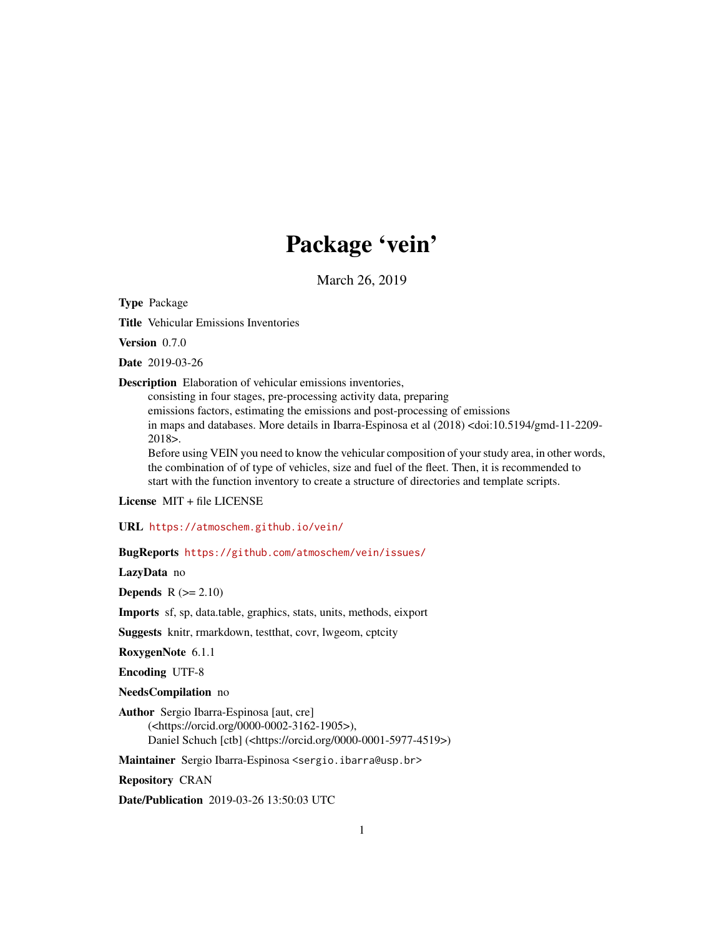# Package 'vein'

March 26, 2019

Type Package

Title Vehicular Emissions Inventories

Version 0.7.0

Date 2019-03-26

Description Elaboration of vehicular emissions inventories,

consisting in four stages, pre-processing activity data, preparing emissions factors, estimating the emissions and post-processing of emissions in maps and databases. More details in Ibarra-Espinosa et al (2018) <doi:10.5194/gmd-11-2209-2018>.

Before using VEIN you need to know the vehicular composition of your study area, in other words, the combination of of type of vehicles, size and fuel of the fleet. Then, it is recommended to start with the function inventory to create a structure of directories and template scripts.

License MIT + file LICENSE

URL <https://atmoschem.github.io/vein/>

BugReports <https://github.com/atmoschem/vein/issues/>

LazyData no

**Depends**  $R$  ( $>= 2.10$ )

Imports sf, sp, data.table, graphics, stats, units, methods, eixport

Suggests knitr, rmarkdown, testthat, covr, lwgeom, cptcity

RoxygenNote 6.1.1

Encoding UTF-8

NeedsCompilation no

Author Sergio Ibarra-Espinosa [aut, cre] (<https://orcid.org/0000-0002-3162-1905>), Daniel Schuch [ctb] (<https://orcid.org/0000-0001-5977-4519>)

Maintainer Sergio Ibarra-Espinosa <sergio.ibarra@usp.br>

Repository CRAN

Date/Publication 2019-03-26 13:50:03 UTC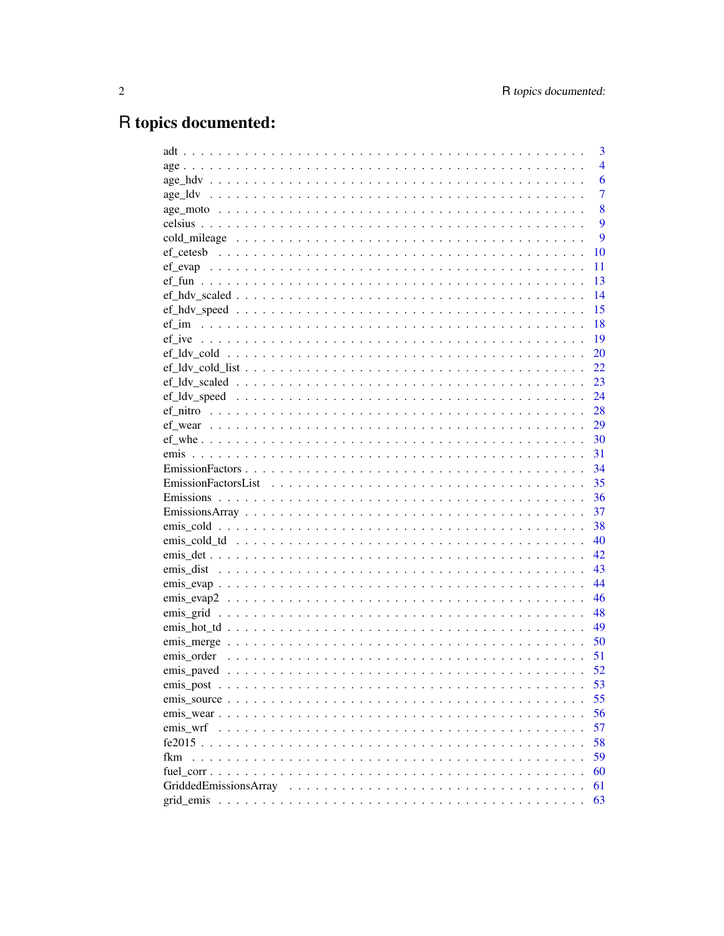# R topics documented:

|     | 3              |
|-----|----------------|
|     | $\overline{4}$ |
|     | 6              |
|     | 7              |
|     | 8              |
|     | 9              |
|     | 9              |
|     | 10             |
|     | 11             |
|     | 13             |
|     | 14             |
|     | 15             |
|     | 18             |
|     | 19             |
|     | 20             |
|     | 22             |
|     | 23             |
|     | 24             |
|     | 28             |
|     | 29             |
|     |                |
|     |                |
|     | 34             |
|     | 35             |
|     | 36             |
|     | 37             |
|     | 38             |
|     | 40             |
|     | 42             |
|     | 43             |
|     | 44             |
|     | 46             |
|     | 48             |
|     | 49             |
|     | 50             |
|     | 51             |
|     | 52             |
|     | 53             |
|     | 55             |
|     | 56             |
|     | 57             |
|     | 58             |
| fkm | 59             |
|     | 60             |
|     | 61             |
|     | 63             |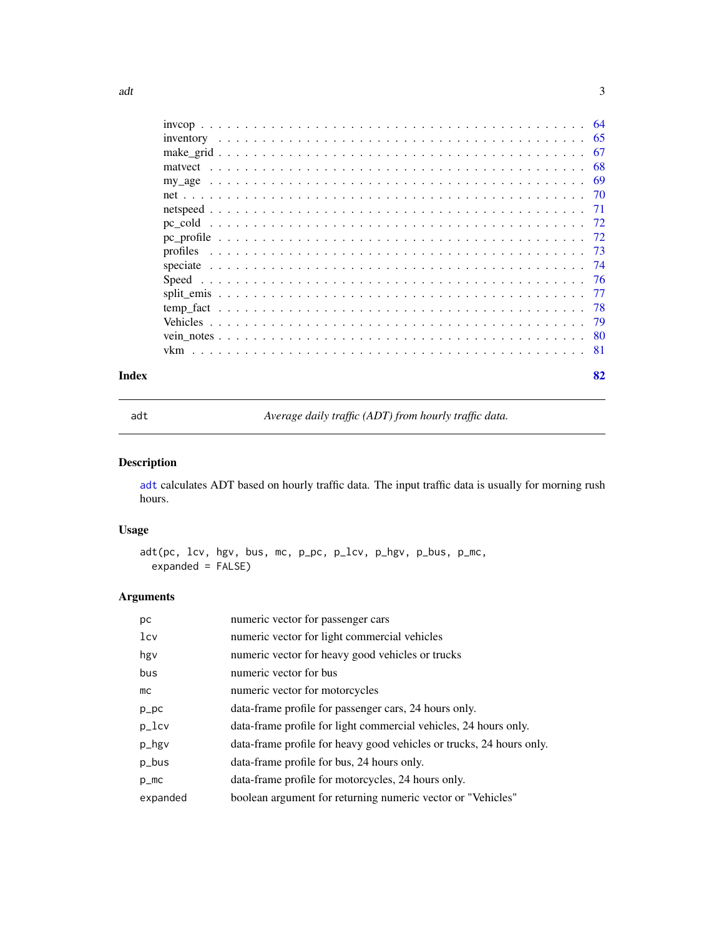<span id="page-2-0"></span>

| Index | 82 |
|-------|----|

<span id="page-2-1"></span>

adt *Average daily traffic (ADT) from hourly traffic data.*

## Description

[adt](#page-2-1) calculates ADT based on hourly traffic data. The input traffic data is usually for morning rush hours.

## Usage

adt(pc, lcv, hgv, bus, mc, p\_pc, p\_lcv, p\_hgv, p\_bus, p\_mc, expanded = FALSE)

### Arguments

| рc              | numeric vector for passenger cars                                    |
|-----------------|----------------------------------------------------------------------|
| 1c <sub>V</sub> | numeric vector for light commercial vehicles                         |
| hgy             | numeric vector for heavy good vehicles or trucks                     |
| bus             | numeric vector for bus                                               |
| mc              | numeric vector for motorcycles                                       |
| $p\_pc$         | data-frame profile for passenger cars, 24 hours only.                |
| $p_{l}$ cv      | data-frame profile for light commercial vehicles, 24 hours only.     |
| p_hgv           | data-frame profile for heavy good vehicles or trucks, 24 hours only. |
| p_bus           | data-frame profile for bus, 24 hours only.                           |
| $p_{m}$         | data-frame profile for motorcycles, 24 hours only.                   |
| expanded        | boolean argument for returning numeric vector or "Vehicles"          |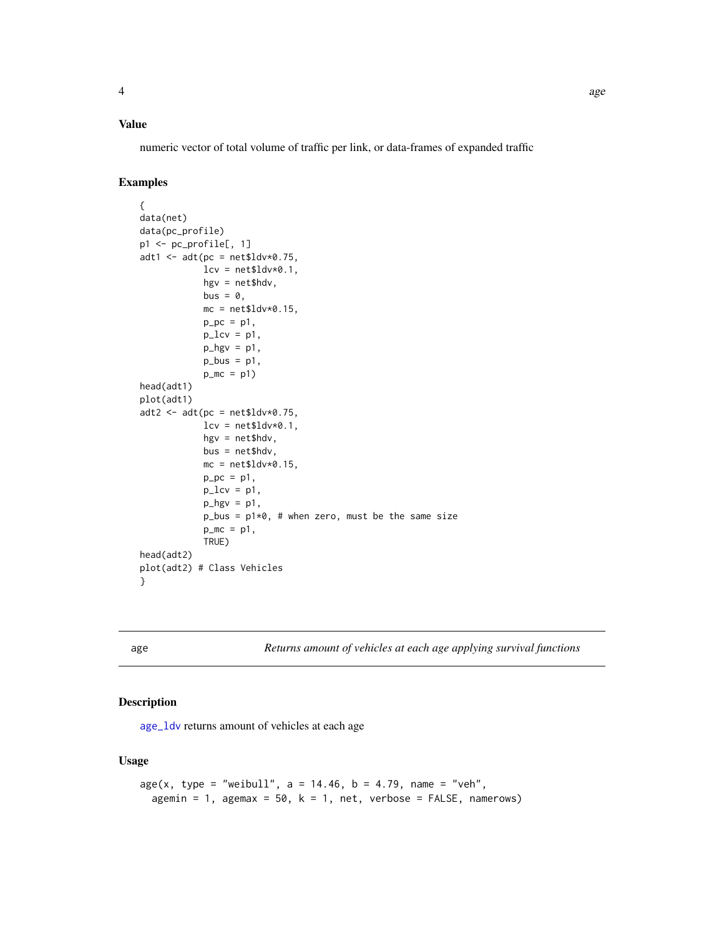## <span id="page-3-0"></span>Value

numeric vector of total volume of traffic per link, or data-frames of expanded traffic

### Examples

```
{
data(net)
data(pc_profile)
p1 <- pc_profile[, 1]
adt1 < -adt(pc = net$ldv*0.75,lev = net$ldv*0.1,hgv = net$hdv,
            bus = \theta,
            mc = net$ldv*0.15,
             p_{p}c = p1,
             p\_lev = p1,
             p_{\text{y}} = p1,
             p_bus = p1,
             p_{m}c = p1head(adt1)
plot(adt1)
adt2 < -adt(pc = net$ldv*0.75,lev = net$ldv*0.1,hgv = net$hdv,
            bus = net$hdv,
            mc = net$ldv*0.15,
            p_{p}c = p1,
             p\_lev = p1,
             p_{\text{y}} = p1,
             p_b = p1*0, # when zero, must be the same size
             p_{m}c = p1,
             TRUE)
head(adt2)
plot(adt2) # Class Vehicles
}
```
age *Returns amount of vehicles at each age applying survival functions*

### Description

[age\\_ldv](#page-6-1) returns amount of vehicles at each age

```
age(x, type = "weibull", a = 14.46, b = 4.79, name = "veh",agemin = 1, agemax = 50, k = 1, net, verbose = FALSE, namerows)
```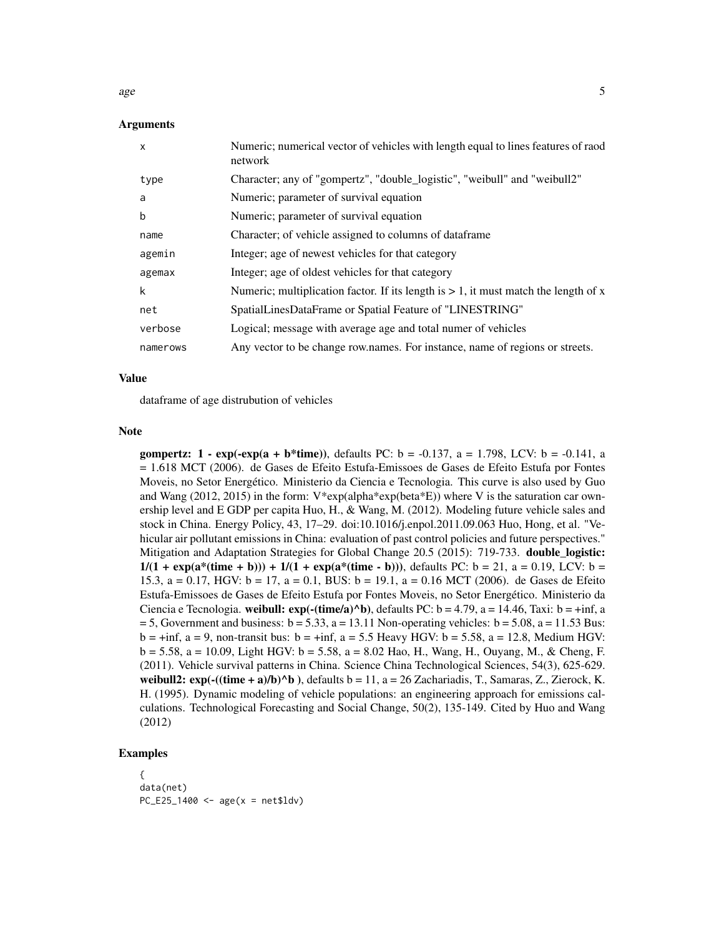age  $\sim$  5

### Arguments

| x        | Numeric; numerical vector of vehicles with length equal to lines features of raod<br>network |
|----------|----------------------------------------------------------------------------------------------|
| type     | Character; any of "gompertz", "double_logistic", "weibull" and "weibull2"                    |
| a        | Numeric; parameter of survival equation                                                      |
| b        | Numeric; parameter of survival equation                                                      |
| name     | Character; of vehicle assigned to columns of dataframe                                       |
| agemin   | Integer; age of newest vehicles for that category                                            |
| agemax   | Integer; age of oldest vehicles for that category                                            |
| k        | Numeric; multiplication factor. If its length is $> 1$ , it must match the length of x       |
| net      | SpatialLinesDataFrame or Spatial Feature of "LINESTRING"                                     |
| verbose  | Logical; message with average age and total numer of vehicles                                |
| namerows | Any vector to be change row names. For instance, name of regions or streets.                 |

#### Value

dataframe of age distrubution of vehicles

#### Note

gompertz:  $1 - \exp(-\exp(a + b^*time))$ , defaults PC:  $b = -0.137$ ,  $a = 1.798$ , LCV:  $b = -0.141$ , a = 1.618 MCT (2006). de Gases de Efeito Estufa-Emissoes de Gases de Efeito Estufa por Fontes Moveis, no Setor Energético. Ministerio da Ciencia e Tecnologia. This curve is also used by Guo and Wang (2012, 2015) in the form:  $V*exp(alpha)*exp(beta*E))$  where V is the saturation car ownership level and E GDP per capita Huo, H., & Wang, M. (2012). Modeling future vehicle sales and stock in China. Energy Policy, 43, 17–29. doi:10.1016/j.enpol.2011.09.063 Huo, Hong, et al. "Vehicular air pollutant emissions in China: evaluation of past control policies and future perspectives." Mitigation and Adaptation Strategies for Global Change 20.5 (2015): 719-733. double\_logistic:  $1/(1 + \exp(a^*(time + b))) + 1/(1 + \exp(a^*(time - b)))$ , defaults PC: b = 21, a = 0.19, LCV: b = 15.3,  $a = 0.17$ , HGV:  $b = 17$ ,  $a = 0.1$ , BUS:  $b = 19.1$ ,  $a = 0.16$  MCT (2006). de Gases de Efeito Estufa-Emissoes de Gases de Efeito Estufa por Fontes Moveis, no Setor Energético. Ministerio da Ciencia e Tecnologia. weibull:  $exp(-(time/a)^b)$ , defaults PC: b = 4.79, a = 14.46, Taxi: b = +inf, a  $= 5$ , Government and business:  $b = 5.33$ ,  $a = 13.11$  Non-operating vehicles:  $b = 5.08$ ,  $a = 11.53$  Bus:  $b = +inf$ , a = 9, non-transit bus: b = +inf, a = 5.5 Heavy HGV: b = 5.58, a = 12.8, Medium HGV:  $b = 5.58$ , a = 10.09, Light HGV:  $b = 5.58$ , a = 8.02 Hao, H., Wang, H., Ouyang, M., & Cheng, F. (2011). Vehicle survival patterns in China. Science China Technological Sciences, 54(3), 625-629. weibull2:  $exp(-(time + a)/b)^b$ , defaults b = 11, a = 26 Zachariadis, T., Samaras, Z., Zierock, K. H. (1995). Dynamic modeling of vehicle populations: an engineering approach for emissions calculations. Technological Forecasting and Social Change, 50(2), 135-149. Cited by Huo and Wang (2012)

```
{
data(net)
PC_E25_1400 \leq age(x) = net$1dv)
```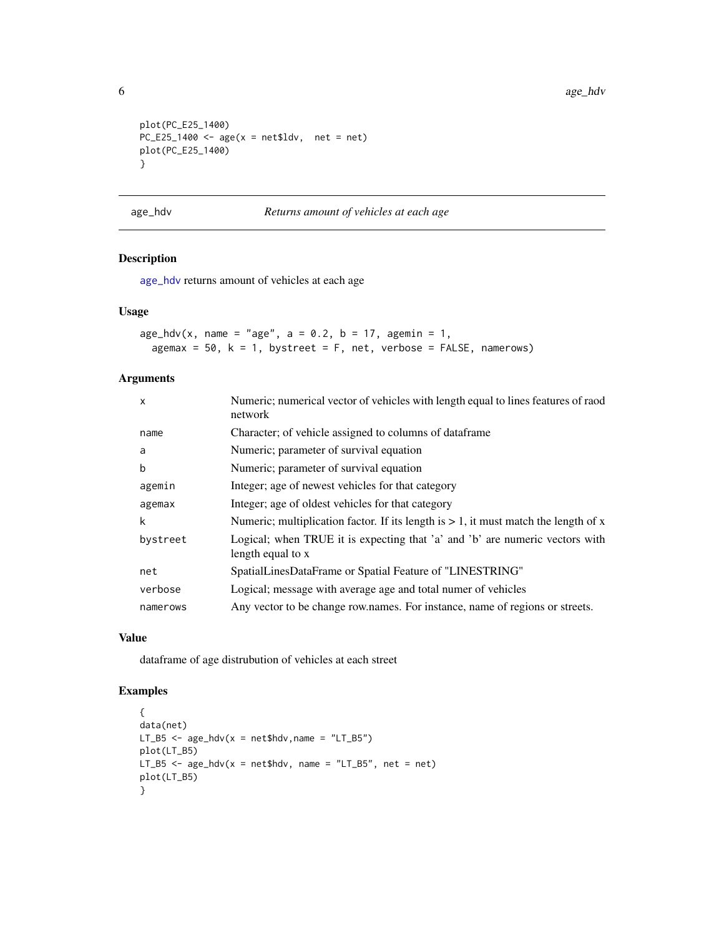```
plot(PC_E25_1400)
PC_E25_1400 <- age(x = net$ldv, net = net)plot(PC_E25_1400)
}
```
#### <span id="page-5-1"></span>age\_hdv *Returns amount of vehicles at each age*

#### Description

[age\\_hdv](#page-5-1) returns amount of vehicles at each age

### Usage

```
age\_hdv(x, name = "age", a = 0.2, b = 17, agent = 1,agemax = 50, k = 1, bystreet = F, net, verbose = FALSE, namerows)
```
### Arguments

| $\mathsf{x}$ | Numeric; numerical vector of vehicles with length equal to lines features of raod<br>network      |
|--------------|---------------------------------------------------------------------------------------------------|
| name         | Character; of vehicle assigned to columns of dataframe                                            |
| a            | Numeric; parameter of survival equation                                                           |
| b            | Numeric; parameter of survival equation                                                           |
| agemin       | Integer; age of newest vehicles for that category                                                 |
| agemax       | Integer; age of oldest vehicles for that category                                                 |
| k            | Numeric; multiplication factor. If its length is $> 1$ , it must match the length of x            |
| bystreet     | Logical; when TRUE it is expecting that 'a' and 'b' are numeric vectors with<br>length equal to x |
| net          | SpatialLinesDataFrame or Spatial Feature of "LINESTRING"                                          |
| verbose      | Logical; message with average age and total numer of vehicles                                     |
| namerows     | Any vector to be change row.names. For instance, name of regions or streets.                      |

### Value

dataframe of age distrubution of vehicles at each street

```
{
data(net)
LT_B5 \leq age_hdv(x = net$hdv, name = "LT_B5")
plot(LT_B5)
LT_B5 \le - age_hdv(x = net$hdv, name = "LT_B5", net = net)
plot(LT_B5)
}
```
<span id="page-5-0"></span>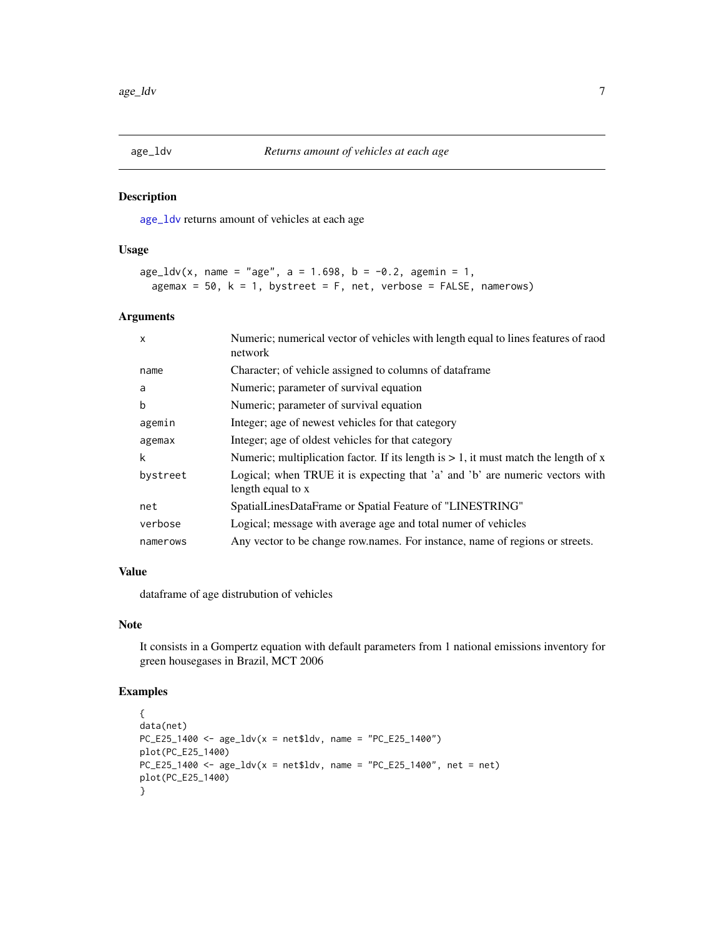<span id="page-6-1"></span><span id="page-6-0"></span>

[age\\_ldv](#page-6-1) returns amount of vehicles at each age

#### Usage

```
age\_ldv(x, name = "age", a = 1.698, b = -0.2, agent = 1,agemax = 50, k = 1, bystreet = F, net, verbose = FALSE, namerows)
```
#### Arguments

| X        | Numeric; numerical vector of vehicles with length equal to lines features of raod<br>network      |
|----------|---------------------------------------------------------------------------------------------------|
| name     | Character; of vehicle assigned to columns of dataframe                                            |
| a        | Numeric; parameter of survival equation                                                           |
| b        | Numeric; parameter of survival equation                                                           |
| agemin   | Integer; age of newest vehicles for that category                                                 |
| agemax   | Integer; age of oldest vehicles for that category                                                 |
| k        | Numeric; multiplication factor. If its length is $> 1$ , it must match the length of x            |
| bystreet | Logical; when TRUE it is expecting that 'a' and 'b' are numeric vectors with<br>length equal to x |
| net      | SpatialLinesDataFrame or Spatial Feature of "LINESTRING"                                          |
| verbose  | Logical; message with average age and total numer of vehicles                                     |
| namerows | Any vector to be change row.names. For instance, name of regions or streets.                      |

### Value

dataframe of age distrubution of vehicles

### Note

It consists in a Gompertz equation with default parameters from 1 national emissions inventory for green housegases in Brazil, MCT 2006

```
{
data(net)
PC_E25_1400 \leq - age_ldv(x = net$ldv, name = "PC_E25_1400")
plot(PC_E25_1400)
PC_E25_1400 <- age_ldv(x = net$ldv, name = "PC_E25_1400", net = net)
plot(PC_E25_1400)
}
```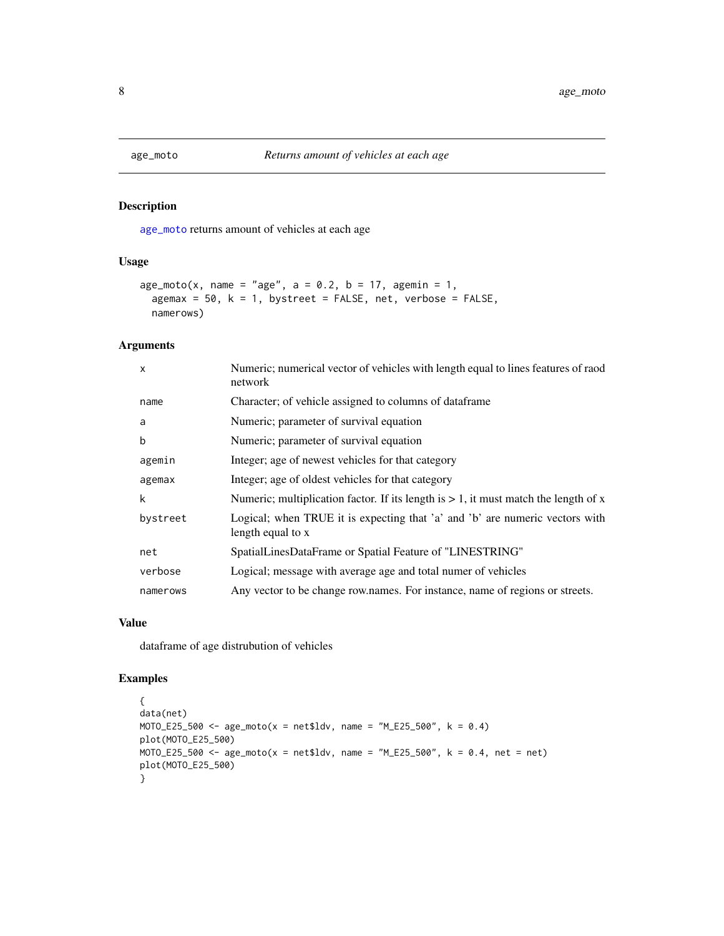[age\\_moto](#page-7-1) returns amount of vehicles at each age

### Usage

```
age_{moto}(x, name = "age", a = 0.2, b = 17, agent = 1,agemax = 50, k = 1, bystreet = FALSE, net, verbose = FALSE,
 namerows)
```
### Arguments

| $\mathsf{x}$ | Numeric; numerical vector of vehicles with length equal to lines features of raod<br>network      |
|--------------|---------------------------------------------------------------------------------------------------|
| name         | Character; of vehicle assigned to columns of dataframe                                            |
| a            | Numeric; parameter of survival equation                                                           |
| b            | Numeric; parameter of survival equation                                                           |
| agemin       | Integer; age of newest vehicles for that category                                                 |
| agemax       | Integer; age of oldest vehicles for that category                                                 |
| k            | Numeric; multiplication factor. If its length is $> 1$ , it must match the length of x            |
| bystreet     | Logical; when TRUE it is expecting that 'a' and 'b' are numeric vectors with<br>length equal to x |
| net          | SpatialLinesDataFrame or Spatial Feature of "LINESTRING"                                          |
| verbose      | Logical; message with average age and total numer of vehicles                                     |
| namerows     | Any vector to be change row.names. For instance, name of regions or streets.                      |

#### Value

dataframe of age distrubution of vehicles

```
{
data(net)
MOTO_E25_500 <- age_moto(x = net$ldv, name = "M_E25_500", k = 0.4)plot(MOTO_E25_500)
MOTO_E25_500 <- age_moto(x = net$ldv, name = "M_E25_500", k = 0.4, net = net)
plot(MOTO_E25_500)
}
```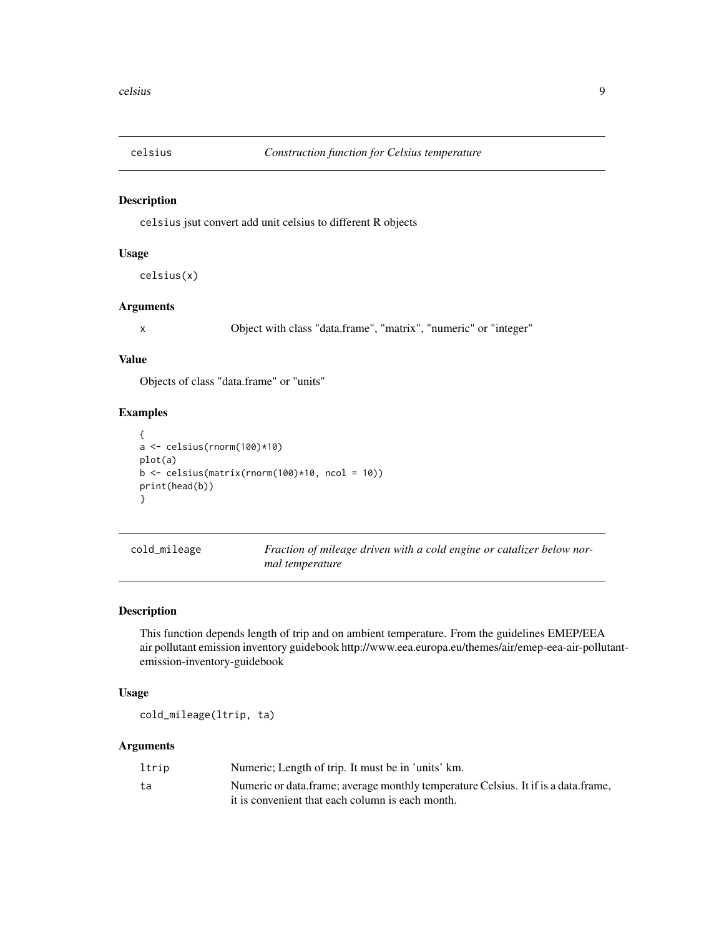<span id="page-8-0"></span>

celsius jsut convert add unit celsius to different R objects

### Usage

celsius(x)

### Arguments

x Object with class "data.frame", "matrix", "numeric" or "integer"

### Value

Objects of class "data.frame" or "units"

### Examples

```
{
a <- celsius(rnorm(100)*10)
plot(a)
b \leftarrow celsius(matrix(rnorm(100)*10, ncol = 10))
print(head(b))
}
```

| cold_mileage | Fraction of mileage driven with a cold engine or catalizer below nor- |
|--------------|-----------------------------------------------------------------------|
|              | mal temperature                                                       |

### Description

This function depends length of trip and on ambient temperature. From the guidelines EMEP/EEA air pollutant emission inventory guidebook http://www.eea.europa.eu/themes/air/emep-eea-air-pollutantemission-inventory-guidebook

#### Usage

cold\_mileage(ltrip, ta)

#### Arguments

| ltrip | Numeric; Length of trip. It must be in 'units' km.                                 |
|-------|------------------------------------------------------------------------------------|
| ta    | Numeric or data.frame; average monthly temperature Celsius. It if is a data.frame, |
|       | it is convenient that each column is each month.                                   |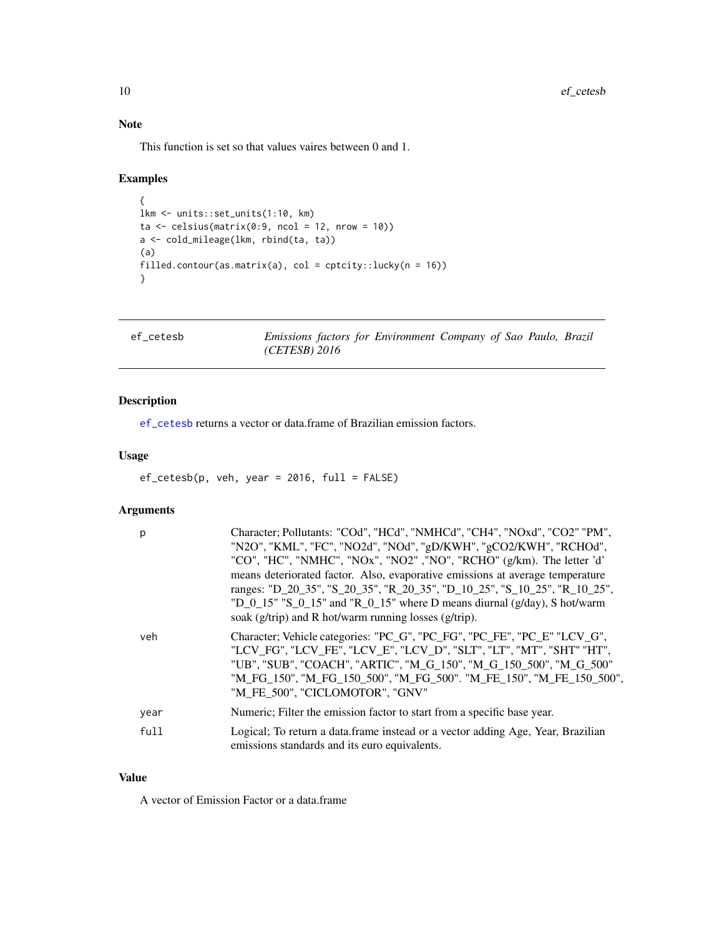### <span id="page-9-0"></span>Note

This function is set so that values vaires between 0 and 1.

### Examples

```
{
lkm <- units::set_units(1:10, km)
ta \le celsius(matrix(0:9, ncol = 12, nrow = 10))
a <- cold_mileage(lkm, rbind(ta, ta))
(a)
filled.contour(as.matrix(a), col = cptcity::lucky(n = 16))
}
```
<span id="page-9-1"></span>

ef\_cetesb *Emissions factors for Environment Company of Sao Paulo, Brazil (CETESB) 2016*

### Description

[ef\\_cetesb](#page-9-1) returns a vector or data.frame of Brazilian emission factors.

### Usage

 $ef_cetesb(p, veh, year = 2016, full = FALSE)$ 

### Arguments

| р    | Character; Pollutants: "COd", "HCd", "NMHCd", "CH4", "NOxd", "CO2" "PM",<br>"N2O", "KML", "FC", "NO2d", "NOd", "gD/KWH", "gCO2/KWH", "RCHOd",<br>"CO", "HC", "NMHC", "NOx", "NO2" ,"NO", "RCHO" (g/km). The letter 'd'<br>means deteriorated factor. Also, evaporative emissions at average temperature<br>ranges: "D_20_35", "S_20_35", "R_20_35", "D_10_25", "S_10_25", "R_10_25",<br>"D_0_15" "S_0_15" and "R_0_15" where D means diurnal $(g/day)$ , S hot/warm<br>soak (g/trip) and R hot/warm running losses (g/trip). |
|------|------------------------------------------------------------------------------------------------------------------------------------------------------------------------------------------------------------------------------------------------------------------------------------------------------------------------------------------------------------------------------------------------------------------------------------------------------------------------------------------------------------------------------|
| veh  | Character; Vehicle categories: "PC_G", "PC_FG", "PC_FE", "PC_E" "LCV_G",<br>"LCV FG", "LCV FE", "LCV E", "LCV D", "SLT", "LT", "MT", "SHT" "HT",<br>"UB", "SUB", "COACH", "ARTIC", "M_G_150", "M_G_150_500", "M_G_500"<br>"M FG 150", "M FG 150 500", "M FG 500". "M FE 150", "M FE 150 500",<br>"M FE 500", "CICLOMOTOR", "GNV"                                                                                                                                                                                             |
| year | Numeric; Filter the emission factor to start from a specific base year.                                                                                                                                                                                                                                                                                                                                                                                                                                                      |
| full | Logical; To return a data frame instead or a vector adding Age, Year, Brazilian<br>emissions standards and its euro equivalents.                                                                                                                                                                                                                                                                                                                                                                                             |

### Value

A vector of Emission Factor or a data.frame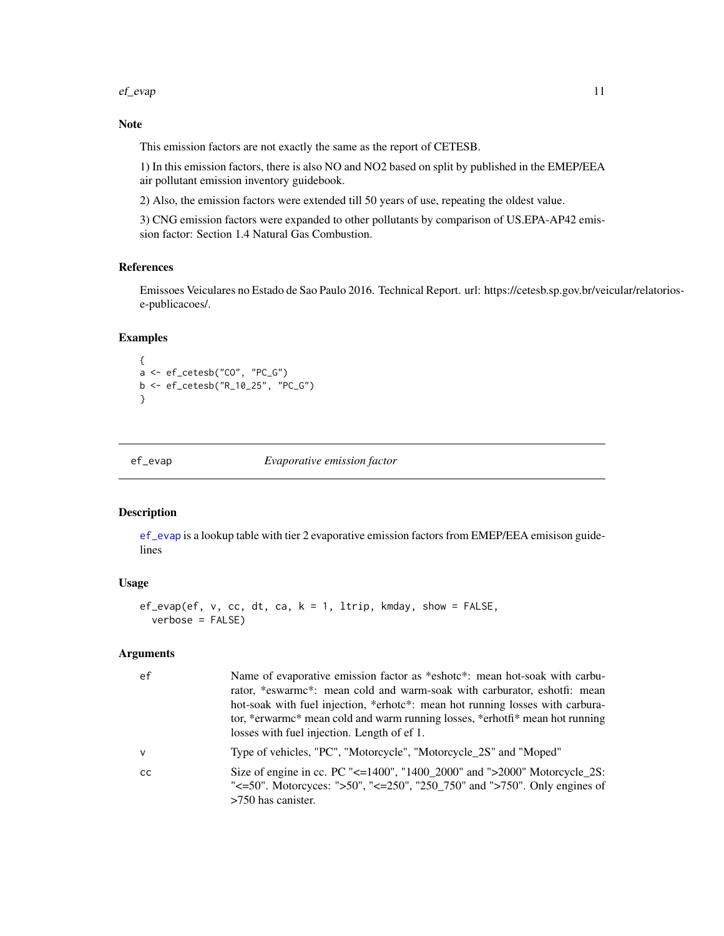#### <span id="page-10-0"></span>ef\_evap 11

### Note

This emission factors are not exactly the same as the report of CETESB.

1) In this emission factors, there is also NO and NO2 based on split by published in the EMEP/EEA air pollutant emission inventory guidebook.

2) Also, the emission factors were extended till 50 years of use, repeating the oldest value.

3) CNG emission factors were expanded to other pollutants by comparison of US.EPA-AP42 emission factor: Section 1.4 Natural Gas Combustion.

### References

Emissoes Veiculares no Estado de Sao Paulo 2016. Technical Report. url: https://cetesb.sp.gov.br/veicular/relatoriose-publicacoes/.

### Examples

```
{
a <- ef_cetesb("CO", "PC_G")
b <- ef_cetesb("R_10_25", "PC_G")
}
```
<span id="page-10-1"></span>

ef\_evap *Evaporative emission factor*

### Description

[ef\\_evap](#page-10-1) is a lookup table with tier 2 evaporative emission factors from EMEP/EEA emisison guidelines

#### Usage

```
ef_{\text{evap}}(ef, v, cc, dt, ca, k = 1, Itrip, kmday, show = FALSE,verbose = FALSE)
```
#### Arguments

| ef            | Name of evaporative emission factor as *eshotc*: mean hot-soak with carbu-<br>rator, *eswarmc*: mean cold and warm-soak with carburator, eshotfi: mean<br>hot-soak with fuel injection, *erhote*: mean hot running losses with carbura-<br>tor, *erwarmc* mean cold and warm running losses, *erhotfi* mean hot running<br>losses with fuel injection. Length of ef 1. |
|---------------|------------------------------------------------------------------------------------------------------------------------------------------------------------------------------------------------------------------------------------------------------------------------------------------------------------------------------------------------------------------------|
| v             | Type of vehicles, "PC", "Motorcycle", "Motorcycle_2S" and "Moped"                                                                                                                                                                                                                                                                                                      |
| <sub>CC</sub> | Size of engine in cc. PC "<=1400", "1400_2000" and ">2000" Motorcycle_2S:<br>" $\leq$ =50". Motorcyces: ">50", " $\leq$ =250", "250_750" and ">750". Only engines of<br>$>750$ has canister.                                                                                                                                                                           |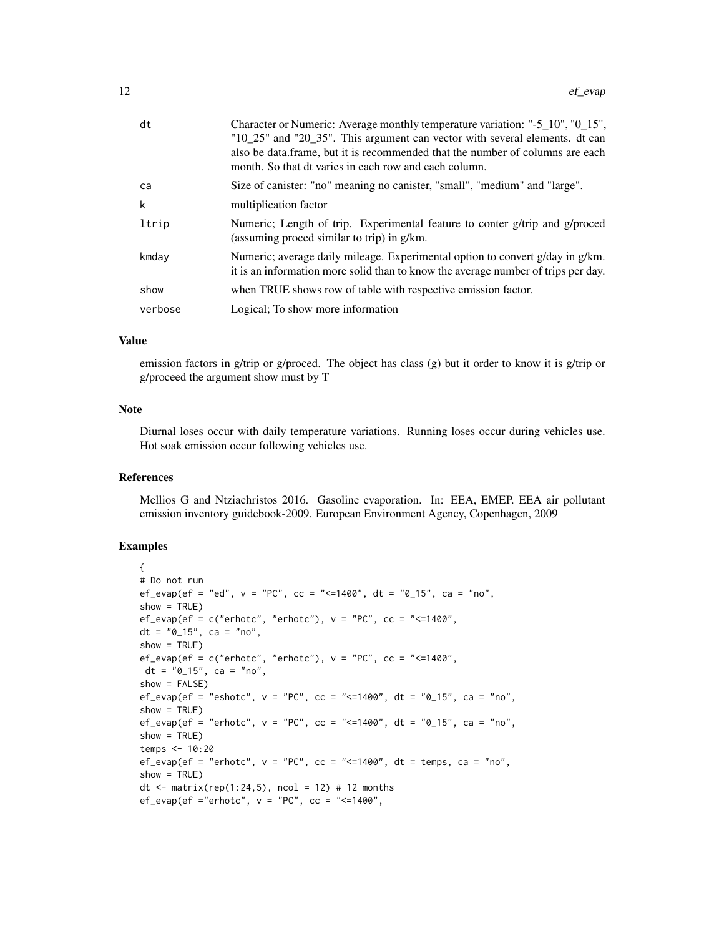| dt      | Character or Numeric: Average monthly temperature variation: "-5_10", "0_15",<br>"10_25" and "20_35". This argument can vector with several elements. dt can<br>also be data frame, but it is recommended that the number of columns are each<br>month. So that dt varies in each row and each column. |
|---------|--------------------------------------------------------------------------------------------------------------------------------------------------------------------------------------------------------------------------------------------------------------------------------------------------------|
| ca      | Size of canister: "no" meaning no canister, "small", "medium" and "large".                                                                                                                                                                                                                             |
| k       | multiplication factor                                                                                                                                                                                                                                                                                  |
| ltrip   | Numeric; Length of trip. Experimental feature to conter g/trip and g/proced<br>(assuming proced similar to trip) in g/km.                                                                                                                                                                              |
| kmday   | Numeric; average daily mileage. Experimental option to convert g/day in g/km.<br>it is an information more solid than to know the average number of trips per day.                                                                                                                                     |
| show    | when TRUE shows row of table with respective emission factor.                                                                                                                                                                                                                                          |
| verbose | Logical; To show more information                                                                                                                                                                                                                                                                      |
|         |                                                                                                                                                                                                                                                                                                        |

#### Value

emission factors in g/trip or g/proced. The object has class (g) but it order to know it is g/trip or g/proceed the argument show must by T

### Note

Diurnal loses occur with daily temperature variations. Running loses occur during vehicles use. Hot soak emission occur following vehicles use.

#### References

Mellios G and Ntziachristos 2016. Gasoline evaporation. In: EEA, EMEP. EEA air pollutant emission inventory guidebook-2009. European Environment Agency, Copenhagen, 2009

```
{
# Do not run
ef_evap(ef = "ed", v = "PC", cc = "<=1400", dt = "0_15", ca = "no",
show = TRUE)
ef_{\text{evap}}(ef = c("erhotc", "erhotc"), v = "PC", cc = "<=1400",dt = "0_15", ca = "no",show = TRUE)
ef\_\text{evap}(ef = c("erhotc", "erhotc"), v = "PC", cc = "<=1400",dt = "0_15", ca = "no",show = FALSE)
ef_{\text{1}} = \text{``eshotc''}, v = \text{``PC''}, cc = \text{``<=1400''}, dt = \text{``0}_15\text{''}, ca = \text{``no''},show = TRUE)
ef_evap(ef = "erhotc", v = "PC", cc = "<=1400", dt = "0_15", ca = "no",
show = TRUE)
temps <- 10:20
ef_evap(ef = "erhotc", v = "PC", cc = "<=1400", dt = temps, ca = "no",
show = TRUE)
dt <- matrix(rep(1:24,5), ncol = 12) # 12 months
ef_{\text{evap}}(ef = "erhotc", v = "PC", cc = "<=1400",
```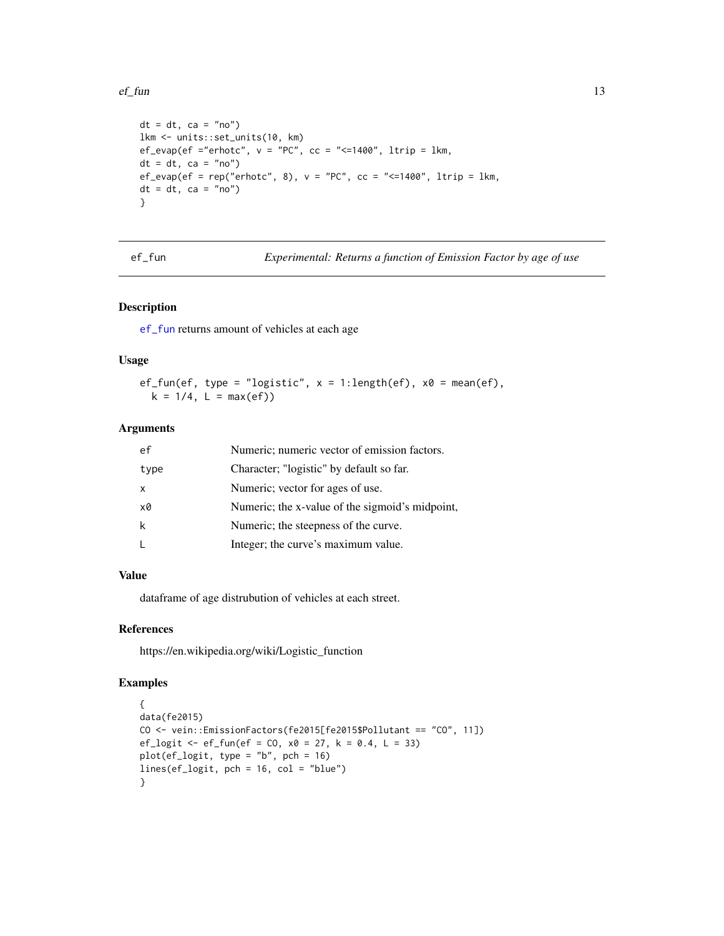#### <span id="page-12-0"></span> $e^{\frac{f}{f}}$  fun 13

```
dt = dt, ca = "no")
lkm <- units::set_units(10, km)
ef_evap(ef ="erhotc", v = "PC", cc = "<=1400", ltrip = lkm,
dt = dt, ca = "no")
ef\_\text{evap}(ef = \text{rep("erhotc", 8)}, v = \text{"PC", cc} = \text{"<-1400", ltrip} = \text{lkm},dt = dt, ca = "no")
}
```
ef\_fun *Experimental: Returns a function of Emission Factor by age of use*

### Description

[ef\\_fun](#page-12-1) returns amount of vehicles at each age

### Usage

ef\_fun(ef, type = "logistic",  $x = 1$ :length(ef),  $x0 = mean(ef)$ ,  $k = 1/4$ ,  $L = max(ef)$ 

### Arguments

| Character; "logistic" by default so far.<br>type<br>Numeric; vector for ages of use.<br>X<br>Numeric; the x-value of the sigmoid's midpoint,<br>x0<br>k<br>Numeric; the steepness of the curve.<br>Integer; the curve's maximum value.<br>L | ef | Numeric; numeric vector of emission factors. |  |
|---------------------------------------------------------------------------------------------------------------------------------------------------------------------------------------------------------------------------------------------|----|----------------------------------------------|--|
|                                                                                                                                                                                                                                             |    |                                              |  |
|                                                                                                                                                                                                                                             |    |                                              |  |
|                                                                                                                                                                                                                                             |    |                                              |  |
|                                                                                                                                                                                                                                             |    |                                              |  |
|                                                                                                                                                                                                                                             |    |                                              |  |

### Value

dataframe of age distrubution of vehicles at each street.

### References

https://en.wikipedia.org/wiki/Logistic\_function

```
{
data(fe2015)
CO \le vein::EmissionFactors(fe2015[fe2015$Pollutant == "CO", 11])
ef_logit <- ef_fun(ef = CO, x0 = 27, k = 0.4, L = 33)
plot(ef_logit, type = "b", pch = 16)
lines(ef_logit, pch = 16, col = "blue")
}
```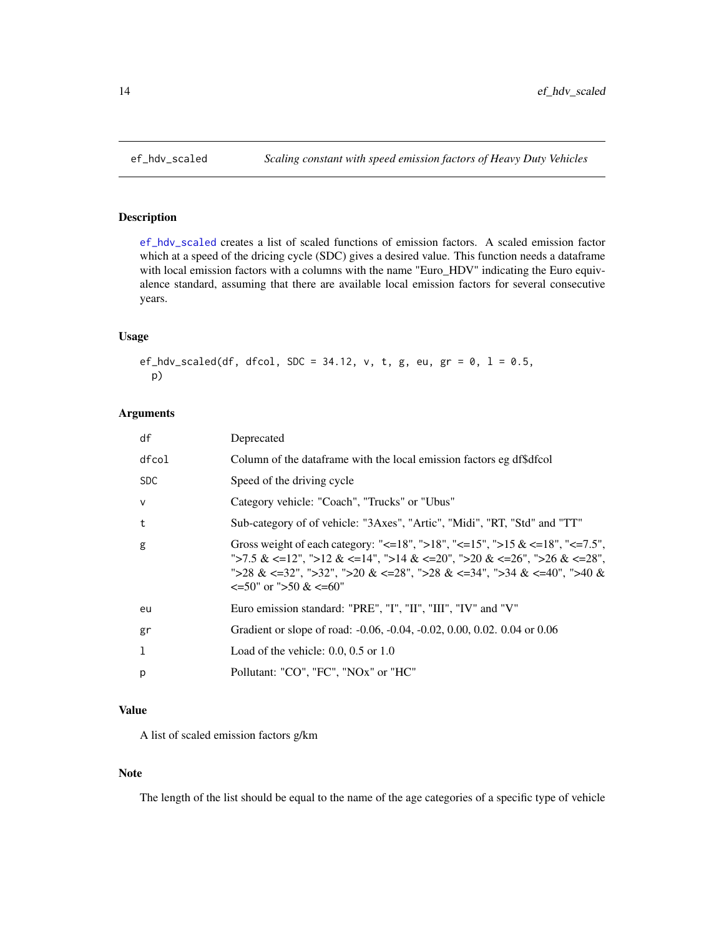<span id="page-13-1"></span><span id="page-13-0"></span>

[ef\\_hdv\\_scaled](#page-13-1) creates a list of scaled functions of emission factors. A scaled emission factor which at a speed of the dricing cycle (SDC) gives a desired value. This function needs a dataframe with local emission factors with a columns with the name "Euro\_HDV" indicating the Euro equivalence standard, assuming that there are available local emission factors for several consecutive years.

#### Usage

ef\_hdv\_scaled(df, dfcol, SDC = 34.12, v, t, g, eu, gr =  $0$ , l =  $0.5$ , p)

#### Arguments

| df           | Deprecated                                                                                                                                                                                                                                                                       |
|--------------|----------------------------------------------------------------------------------------------------------------------------------------------------------------------------------------------------------------------------------------------------------------------------------|
| dfcol        | Column of the dataframe with the local emission factors eg df\$dfcol                                                                                                                                                                                                             |
| <b>SDC</b>   | Speed of the driving cycle                                                                                                                                                                                                                                                       |
| $\mathsf{v}$ | Category vehicle: "Coach", "Trucks" or "Ubus"                                                                                                                                                                                                                                    |
| t            | Sub-category of of vehicle: "3Axes", "Artic", "Midi", "RT, "Std" and "TT"                                                                                                                                                                                                        |
| g            | Gross weight of each category: "<=18", ">18", "<=15", ">15 & <=18", "<=7.5",<br>">7.5 & <=12", ">12 & <=14", ">14 & <=20", ">20 & <=26", ">26 & <=28",<br>">28 & <=32", ">32", ">20 & <=28", ">28 & <=34", ">34 & <=40", ">40 &<br>$\leq 50^{\circ}$ or ">50 & $\leq 60^{\circ}$ |
| eu           | Euro emission standard: "PRE", "I", "II", "III", "IV" and "V"                                                                                                                                                                                                                    |
| gr           | Gradient or slope of road: -0.06, -0.04, -0.02, 0.00, 0.02, 0.04 or 0.06                                                                                                                                                                                                         |
| 1            | Load of the vehicle: $0.0, 0.5$ or $1.0$                                                                                                                                                                                                                                         |
| p            | Pollutant: "CO", "FC", "NOx" or "HC"                                                                                                                                                                                                                                             |

### Value

A list of scaled emission factors g/km

### Note

The length of the list should be equal to the name of the age categories of a specific type of vehicle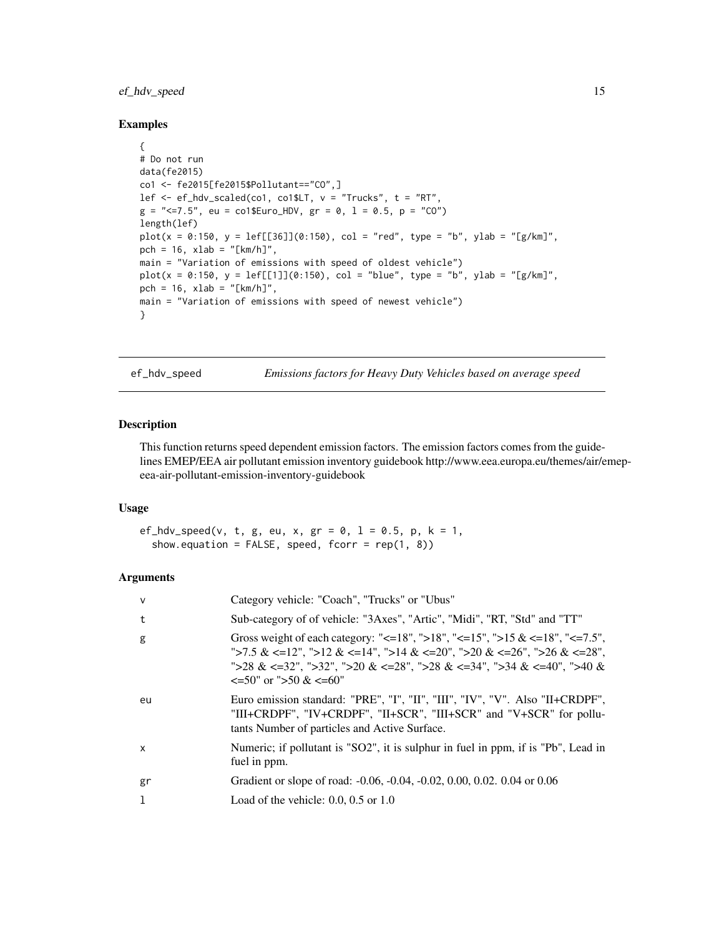### <span id="page-14-0"></span>ef\_hdv\_speed 15

#### Examples

```
{
# Do not run
data(fe2015)
co1 <- fe2015[fe2015$Pollutant=="CO",]
lef \leq ef_hdv_scaled(co1, co1$LT, v = "Trucks", t = "RT",
g = "<=7.5", eu = co1$Euro_HDV, gr = 0, l = 0.5, p = "CO")
length(lef)
plot(x = 0:150, y = left[56]](0:150), col = "red", type = "b", ylab = "g/km]",pch = 16, xlab = "[km/h]",
main = "Variation of emissions with speed of oldest vehicle")
plot(x = 0:150, y = left[[1]](0:150), col = "blue", type = "b", ylab = "[g/km]",pch = 16, xlab = "[km/h]",
main = "Variation of emissions with speed of newest vehicle")
}
```
ef\_hdv\_speed *Emissions factors for Heavy Duty Vehicles based on average speed*

#### Description

This function returns speed dependent emission factors. The emission factors comes from the guidelines EMEP/EEA air pollutant emission inventory guidebook http://www.eea.europa.eu/themes/air/emepeea-air-pollutant-emission-inventory-guidebook

#### Usage

```
ef_hdv_speed(v, t, g, eu, x, gr = 0, l = 0.5, p, k = 1,
  show.equation = FALSE, speed, for r = rep(1, 8))
```
### Arguments

| $\mathsf{V}$ | Category vehicle: "Coach", "Trucks" or "Ubus"                                                                                                                                                                                                                                         |
|--------------|---------------------------------------------------------------------------------------------------------------------------------------------------------------------------------------------------------------------------------------------------------------------------------------|
| t            | Sub-category of of vehicle: "3Axes", "Artic", "Midi", "RT, "Std" and "TT"                                                                                                                                                                                                             |
| g            | Gross weight of each category: "<=18", ">18", "<=15", ">15 & <=18", "<=7.5",<br>">7.5 & <=12", ">12 & <=14", ">14 & <=20", ">20 & <=26", ">26 & <=28",<br>">28 & <=32", ">32", ">20 & <=28", ">28 & <=34", ">34 & <=40", ">40 &<br>$\leq 50^{\circ}$ or " $> 50 \& \leq 60^{\circ}$ " |
| eu           | Euro emission standard: "PRE", "I", "III", "III", "IV", "V". Also "II+CRDPF",<br>"III+CRDPF", "IV+CRDPF", "II+SCR", "III+SCR" and "V+SCR" for pollu-<br>tants Number of particles and Active Surface.                                                                                 |
| $\mathsf{x}$ | Numeric; if pollutant is "SO2", it is sulphur in fuel in ppm, if is "Pb", Lead in<br>fuel in ppm.                                                                                                                                                                                     |
| gr           | Gradient or slope of road: -0.06, -0.04, -0.02, 0.00, 0.02. 0.04 or 0.06                                                                                                                                                                                                              |
| 1            | Load of the vehicle: $0.0, 0.5$ or $1.0$                                                                                                                                                                                                                                              |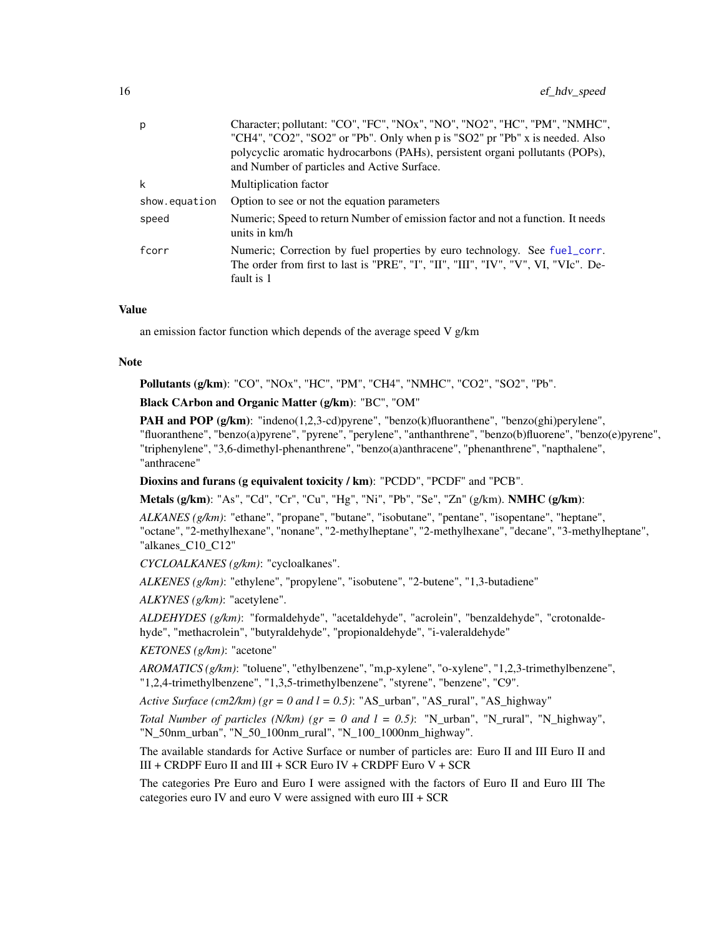| p             | Character; pollutant: "CO", "FC", "NOx", "NO", "NO2", "HC", "PM", "NMHC",<br>"CH4", "CO2", "SO2" or "Pb". Only when p is "SO2" pr "Pb" x is needed. Also<br>polycyclic aromatic hydrocarbons (PAHs), persistent organi pollutants (POPs),<br>and Number of particles and Active Surface. |
|---------------|------------------------------------------------------------------------------------------------------------------------------------------------------------------------------------------------------------------------------------------------------------------------------------------|
| k             | Multiplication factor                                                                                                                                                                                                                                                                    |
| show.equation | Option to see or not the equation parameters                                                                                                                                                                                                                                             |
| speed         | Numeric; Speed to return Number of emission factor and not a function. It needs<br>units in km/h                                                                                                                                                                                         |
| fcorr         | Numeric; Correction by fuel properties by euro technology. See fuel_corr.<br>The order from first to last is "PRE", "I", "II", "III", "IV", "V", VI, "VIc". De-<br>fault is 1                                                                                                            |

#### Value

an emission factor function which depends of the average speed V g/km

#### Note

Pollutants (g/km): "CO", "NOx", "HC", "PM", "CH4", "NMHC", "CO2", "SO2", "Pb".

Black CArbon and Organic Matter (g/km): "BC", "OM"

**PAH and POP (g/km):** "indeno(1,2,3-cd)pyrene", "benzo(k)fluoranthene", "benzo(ghi)perylene", "fluoranthene", "benzo(a)pyrene", "pyrene", "perylene", "anthanthrene", "benzo(b)fluorene", "benzo(e)pyrene", "triphenylene", "3,6-dimethyl-phenanthrene", "benzo(a)anthracene", "phenanthrene", "napthalene", "anthracene"

Dioxins and furans (g equivalent toxicity / km): "PCDD", "PCDF" and "PCB".

Metals (g/km): "As", "Cd", "Cr", "Cu", "Hg", "Ni", "Pb", "Se", "Zn" (g/km). NMHC (g/km):

*ALKANES (g/km)*: "ethane", "propane", "butane", "isobutane", "pentane", "isopentane", "heptane", "octane", "2-methylhexane", "nonane", "2-methylheptane", "2-methylhexane", "decane", "3-methylheptane", "alkanes\_C10\_C12"

*CYCLOALKANES (g/km)*: "cycloalkanes".

*ALKENES (g/km)*: "ethylene", "propylene", "isobutene", "2-butene", "1,3-butadiene"

*ALKYNES (g/km)*: "acetylene".

*ALDEHYDES (g/km)*: "formaldehyde", "acetaldehyde", "acrolein", "benzaldehyde", "crotonaldehyde", "methacrolein", "butyraldehyde", "propionaldehyde", "i-valeraldehyde"

*KETONES (g/km)*: "acetone"

*AROMATICS (g/km)*: "toluene", "ethylbenzene", "m,p-xylene", "o-xylene", "1,2,3-trimethylbenzene", "1,2,4-trimethylbenzene", "1,3,5-trimethylbenzene", "styrene", "benzene", "C9".

*Active Surface (cm2/km) (gr = 0 and l = 0.5)*: "AS\_urban", "AS\_rural", "AS\_highway"

*Total Number of particles (N/km) (gr = 0 and*  $l = 0.5$ *)*: "N\_urban", "N\_rural", "N\_highway", "N\_50nm\_urban", "N\_50\_100nm\_rural", "N\_100\_1000nm\_highway".

The available standards for Active Surface or number of particles are: Euro II and III Euro II and III + CRDPF Euro II and III + SCR Euro IV + CRDPF Euro V + SCR

The categories Pre Euro and Euro I were assigned with the factors of Euro II and Euro III The categories euro IV and euro V were assigned with euro III + SCR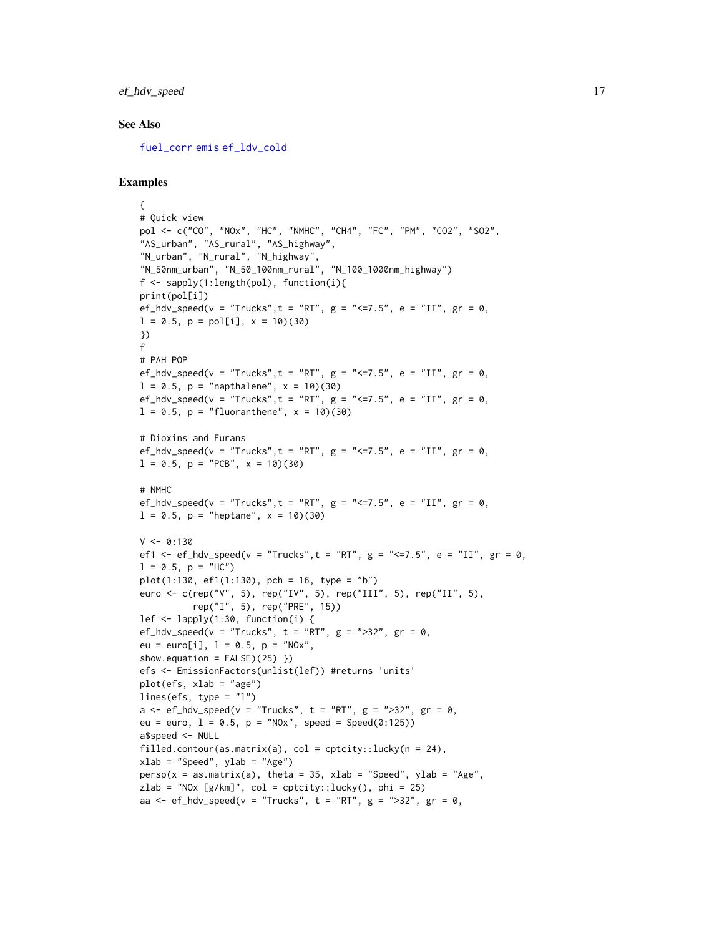### ef\_hdv\_speed 17

### See Also

[fuel\\_corr](#page-59-1) [emis](#page-30-1) [ef\\_ldv\\_cold](#page-19-1)

```
{
# Quick view
pol <- c("CO", "NOx", "HC", "NMHC", "CH4", "FC", "PM", "CO2", "SO2",
"AS_urban", "AS_rural", "AS_highway",
"N_urban", "N_rural", "N_highway",
"N_50nm_urban", "N_50_100nm_rural", "N_100_1000nm_highway")
f <- sapply(1:length(pol), function(i){
print(pol[i])
ef_hdv_speed(v = "Trucks", t = "RT", g = "<=7.5", e = "II", gr = 0,
l = 0.5, p = pol[i], x = 10(30)})
f
# PAH POP
ef_hdv_speed(v = "Trucks", t = "RT", g = "<=7.5", e = "II", gr = 0,
l = 0.5, p = "naphalene", x = 10(30)ef_hdv_speed(v = "Trucks", t = "RT", g = "<=7.5", e = "II", gr = 0,
l = 0.5, p = "fluoranthene", x = 10)(30)# Dioxins and Furans
ef_hdv_speed(v = "Trucks", t = "RT", g = "<=7.5", e = "II", gr = 0,
l = 0.5, p = "PCB", x = 10)(30)# NMHC
ef_hdv_speed(v = "Trucks", t = "RT", g = "<=7.5", e = "II", gr = 0,
l = 0.5, p = "heptane", x = 10(30)V < -0:130ef1 <- ef_hdv_speed(v = "Trucks", t = "RT", g = "<=7.5", e = "II", gr = 0,
l = 0.5, p = "HC")plot(1:130, ef1(1:130), pch = 16, type = "b")
euro <- c(rep("V", 5), rep("IV", 5), rep("III", 5), rep("II", 5),
          rep("I", 5), rep("PRE", 15))
lef <- lapply(1:30, function(i) {
ef_hdv_speed(v = "Trucks", t = "RT", g = ">32", gr = \emptyset,
eu = euro[i], l = 0.5, p = "N0x",show.equation = FALSE(25)}
efs <- EmissionFactors(unlist(lef)) #returns 'units'
plot(efs, xlab = "age")
lines(efs, type = "l")
a \leq -ef_{\text{adv\_speed}}(v = "Trucks", t = "RT", g = ">32", gr = 0,eu = euro, 1 = 0.5, p = "N0x", speed = Speed(0:125))a$speed <- NULL
filled.contour(as.matrix(a), col = cptcity::lucky(n = 24),
xlab = "Speed", ylab = "Age")persp(x = as.matrix(a), theta = 35, xlab = "Speed", ylab = "Age",zlab = "NOx [g/km]", col = cptcity::lucky(), phi = 25)
aa \leq ef_hdv_speed(v = "Trucks", t = "RT", g = ">32", gr = 0,
```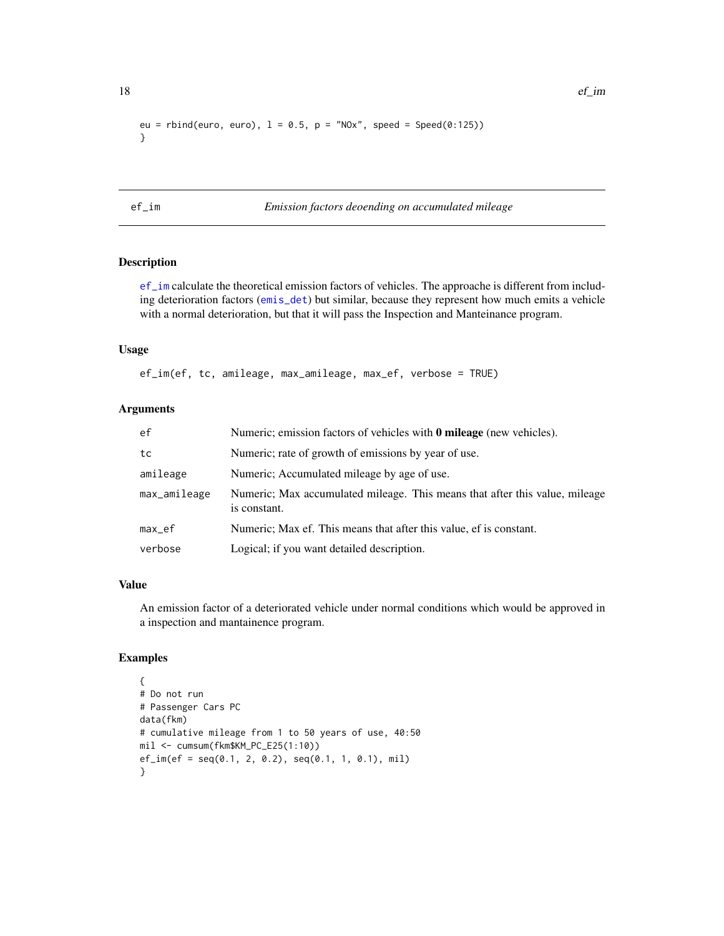```
eu = rbind(euro, euro), l = 0.5, p = "N0x", speed = Speed(0:125))}
```
<span id="page-17-1"></span>ef\_im *Emission factors deoending on accumulated mileage*

### Description

[ef\\_im](#page-17-1) calculate the theoretical emission factors of vehicles. The approache is different from including deterioration factors ([emis\\_det](#page-41-1)) but similar, because they represent how much emits a vehicle with a normal deterioration, but that it will pass the Inspection and Manteinance program.

### Usage

ef\_im(ef, tc, amileage, max\_amileage, max\_ef, verbose = TRUE)

### Arguments

| ef           | Numeric; emission factors of vehicles with <b>0 mileage</b> (new vehicles).                 |
|--------------|---------------------------------------------------------------------------------------------|
| tc           | Numeric; rate of growth of emissions by year of use.                                        |
| amileage     | Numeric; Accumulated mileage by age of use.                                                 |
| max_amileage | Numeric; Max accumulated mileage. This means that after this value, mileage<br>is constant. |
| max_ef       | Numeric; Max ef. This means that after this value, ef is constant.                          |
| verbose      | Logical; if you want detailed description.                                                  |

### Value

An emission factor of a deteriorated vehicle under normal conditions which would be approved in a inspection and mantainence program.

```
{
# Do not run
# Passenger Cars PC
data(fkm)
# cumulative mileage from 1 to 50 years of use, 40:50
mil <- cumsum(fkm$KM_PC_E25(1:10))
ef_im(ef = seq(0.1, 2, 0.2), seq(0.1, 1, 0.1), mil)
}
```
<span id="page-17-0"></span>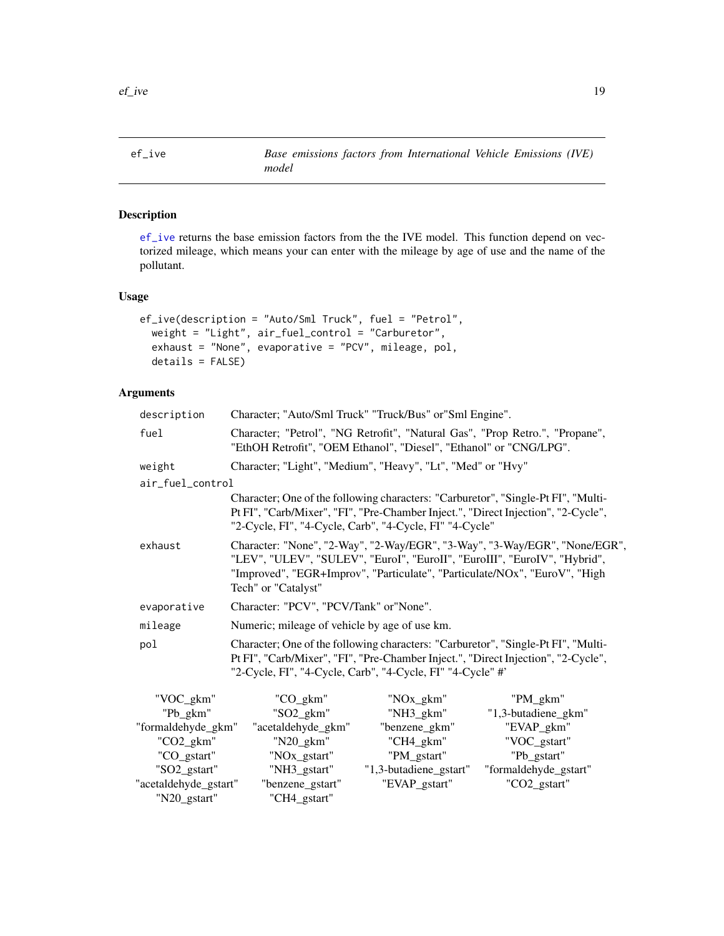<span id="page-18-1"></span><span id="page-18-0"></span>

[ef\\_ive](#page-18-1) returns the base emission factors from the the IVE model. This function depend on vectorized mileage, which means your can enter with the mileage by age of use and the name of the pollutant.

### Usage

```
ef_ive(description = "Auto/Sml Truck", fuel = "Petrol",
 weight = "Light", air_fuel_control = "Carburetor",
 exhaust = "None", evaporative = "PCV", mileage, pol,
  details = FALSE)
```
### Arguments

| description      | Character; "Auto/Sml Truck" "Truck/Bus" or "Sml Engine".                                                                                                                                                                                                     |           |                                                                                                                                                                        |
|------------------|--------------------------------------------------------------------------------------------------------------------------------------------------------------------------------------------------------------------------------------------------------------|-----------|------------------------------------------------------------------------------------------------------------------------------------------------------------------------|
| fuel             | Character; "Petrol", "NG Retrofit", "Natural Gas", "Prop Retro.", "Propane",<br>"EthOH Retrofit", "OEM Ethanol", "Diesel", "Ethanol" or "CNG/LPG".                                                                                                           |           |                                                                                                                                                                        |
| weight           | Character; "Light", "Medium", "Heavy", "Lt", "Med" or "Hvy"                                                                                                                                                                                                  |           |                                                                                                                                                                        |
| air_fuel_control |                                                                                                                                                                                                                                                              |           |                                                                                                                                                                        |
|                  | "2-Cycle, FI", "4-Cycle, Carb", "4-Cycle, FI" "4-Cycle"                                                                                                                                                                                                      |           | Character; One of the following characters: "Carburetor", "Single-Pt FI", "Multi-<br>Pt FI", "Carb/Mixer", "FI", "Pre-Chamber Inject.", "Direct Injection", "2-Cycle", |
| exhaust          | Character: "None", "2-Way", "2-Way/EGR", "3-Way", "3-Way/EGR", "None/EGR",<br>"LEV", "ULEV", "SULEV", "EuroI", "EuroII", "EuroIII", "EuroIV", "Hybrid",<br>"Improved", "EGR+Improv", "Particulate", "Particulate/NOx", "EuroV", "High<br>Tech" or "Catalyst" |           |                                                                                                                                                                        |
| evaporative      | Character: "PCV", "PCV/Tank" or "None".                                                                                                                                                                                                                      |           |                                                                                                                                                                        |
| mileage          | Numeric; mileage of vehicle by age of use km.                                                                                                                                                                                                                |           |                                                                                                                                                                        |
| pol              | Character; One of the following characters: "Carburetor", "Single-Pt FI", "Multi-<br>Pt FI", "Carb/Mixer", "FI", "Pre-Chamber Inject.", "Direct Injection", "2-Cycle",<br>"2-Cycle, FI", "4-Cycle, Carb", "4-Cycle, FI" "4-Cycle" #'                         |           |                                                                                                                                                                        |
| "VOC_gkm"        | "CO_gkm"                                                                                                                                                                                                                                                     | "NOx_gkm" | "PM gkm"                                                                                                                                                               |

| "VOC gkm"             | "CO gkm"                 | "NOx_gkm"              | "PM gkm"              |
|-----------------------|--------------------------|------------------------|-----------------------|
| "Pb_gkm"              | $"SO2\_gkm"$             | $"NH3_gkm"$            | "1,3-butadiene_gkm"   |
| "formaldehyde_gkm"    | "acetaldehyde_gkm"       | "benzene_gkm"          | "EVAP_gkm"            |
| $"CO2_gkm"$           | $"N20_gkm"$              | $"CH4_gkm"$            | "VOC_gstart"          |
| "CO_gstart"           | "NO <sub>x_gstart"</sub> | "PM_gstart"            | "Pb_gstart"           |
| "SO2_gstart"          | "NH3_gstart"             | "1,3-butadiene_gstart" | "formaldehyde_gstart" |
| "acetaldehyde_gstart" | "benzene_gstart"         | "EVAP_gstart"          | "CO2_gstart"          |
| "N20_gstart"          | "CH4_gstart"             |                        |                       |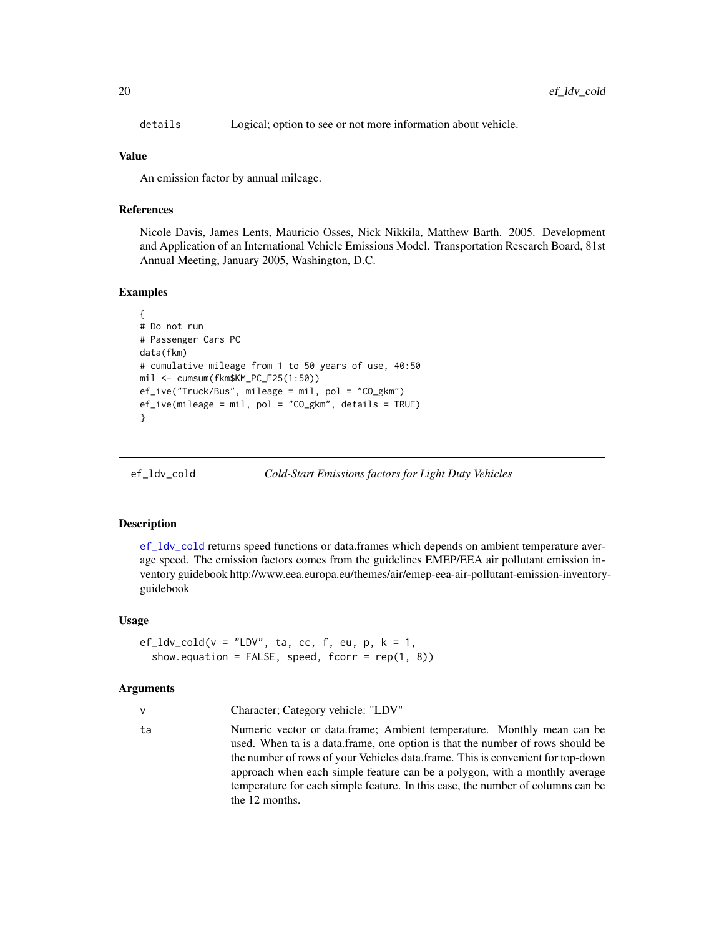<span id="page-19-0"></span>details Logical; option to see or not more information about vehicle.

#### Value

An emission factor by annual mileage.

### References

Nicole Davis, James Lents, Mauricio Osses, Nick Nikkila, Matthew Barth. 2005. Development and Application of an International Vehicle Emissions Model. Transportation Research Board, 81st Annual Meeting, January 2005, Washington, D.C.

#### Examples

```
{
# Do not run
# Passenger Cars PC
data(fkm)
# cumulative mileage from 1 to 50 years of use, 40:50
mil <- cumsum(fkm$KM_PC_E25(1:50))
ef_ive("Truck/Bus", mileage = mil, pol = "CO_gkm")
ef_ive(mileage = mil, pol = "CO_gkm", details = TRUE)
}
```
<span id="page-19-1"></span>

ef\_ldv\_cold *Cold-Start Emissions factors for Light Duty Vehicles*

#### Description

[ef\\_ldv\\_cold](#page-19-1) returns speed functions or data.frames which depends on ambient temperature average speed. The emission factors comes from the guidelines EMEP/EEA air pollutant emission inventory guidebook http://www.eea.europa.eu/themes/air/emep-eea-air-pollutant-emission-inventoryguidebook

#### Usage

```
ef\_ldv\_cold(v = "LDV", ta, cc, f, eu, p, k = 1,show.equation = FALSE, speed, for r = rep(1, 8))
```
#### Arguments

|  | Character; Category vehicle: "LDV" |  |  |  |
|--|------------------------------------|--|--|--|
|--|------------------------------------|--|--|--|

ta Numeric vector or data.frame; Ambient temperature. Monthly mean can be used. When ta is a data.frame, one option is that the number of rows should be the number of rows of your Vehicles data.frame. This is convenient for top-down approach when each simple feature can be a polygon, with a monthly average temperature for each simple feature. In this case, the number of columns can be the 12 months.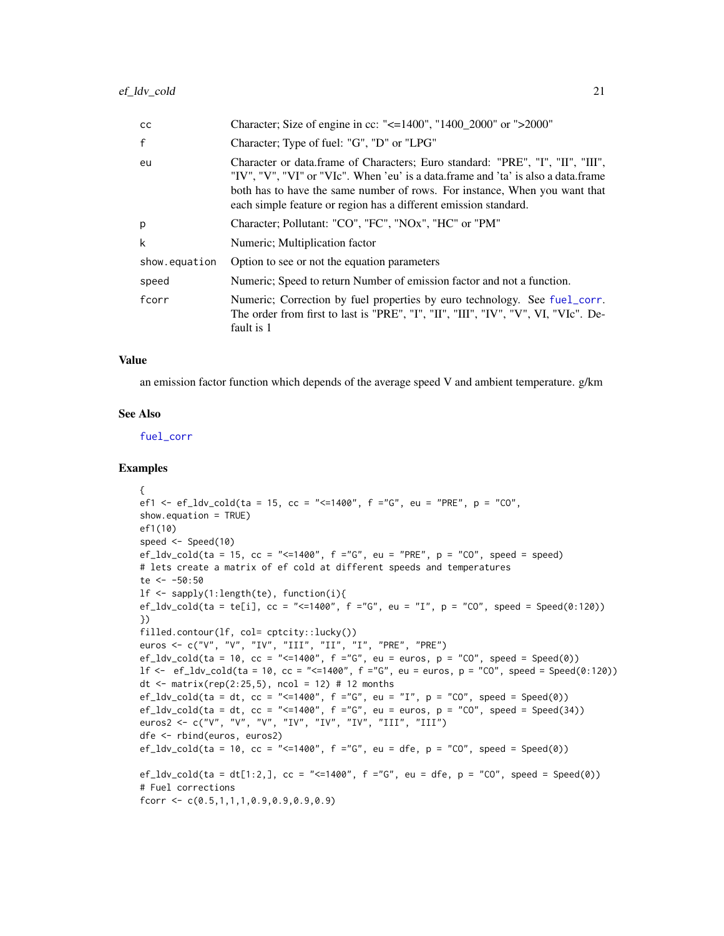| <sub>CC</sub> | Character; Size of engine in cc: "<=1400", "1400_2000" or ">2000"                                                                                                                                                                                                                                                     |
|---------------|-----------------------------------------------------------------------------------------------------------------------------------------------------------------------------------------------------------------------------------------------------------------------------------------------------------------------|
| $\mathsf{f}$  | Character; Type of fuel: "G", "D" or "LPG"                                                                                                                                                                                                                                                                            |
| eu            | Character or data.frame of Characters; Euro standard: "PRE", "I", "II", "III",<br>"IV", "V", "VI" or "VIc". When 'eu' is a data.frame and 'ta' is also a data.frame<br>both has to have the same number of rows. For instance, When you want that<br>each simple feature or region has a different emission standard. |
| p             | Character; Pollutant: "CO", "FC", "NOx", "HC" or "PM"                                                                                                                                                                                                                                                                 |
| k             | Numeric; Multiplication factor                                                                                                                                                                                                                                                                                        |
| show.equation | Option to see or not the equation parameters                                                                                                                                                                                                                                                                          |
| speed         | Numeric; Speed to return Number of emission factor and not a function.                                                                                                                                                                                                                                                |
| fcorr         | Numeric; Correction by fuel properties by euro technology. See fuel_corr.<br>The order from first to last is "PRE", "I", "II", "III", "IV", "V", VI, "VIc". De-<br>fault is 1                                                                                                                                         |

### Value

an emission factor function which depends of the average speed V and ambient temperature. g/km

#### See Also

[fuel\\_corr](#page-59-1)

```
{
ef1 <- ef_ldv_cold(ta = 15, cc = "<=1400", f ="G", eu = "PRE", p = "CO",
show.equation = TRUE)
ef1(10)
speed <- Speed(10)
ef_ldv_cold(ta = 15, cc = "<=1400", f ="G", eu = "PRE", p = "CO", speed = speed)
# lets create a matrix of ef cold at different speeds and temperatures
te <- -50:50
lf <- sapply(1:length(te), function(i){
ef_ldv_cold(ta = te[i], cc = "<=1400", f ="G", eu = "I", p = "CO", speed = Speed(0:120))
})
filled.contour(lf, col= cptcity::lucky())
euros <- c("V", "V", "IV", "III", "II", "I", "PRE", "PRE")
ef_ldv_cold(ta = 10, cc = "<=1400", f ="G", eu = euros, p = "CO", speed = Speed(0))
lf <- ef_ldv_cold(ta = 10, cc = "<=1400", f ="G", eu = euros, p = "CO", speed = Speed(0:120))
dt <- matrix(rep(2:25,5), ncol = 12) # 12 months
ef_ldv_cold(ta = dt, cc = "<=1400", f ="G", eu = "I", p = "CO", speed = Speed(0))
ef_ldv_cold(ta = dt, cc = "<=1400", f ="G", eu = euros, p = "CO", speed = Speed(34))
euros2 <- c("V", "V", "V", "IV", "IV", "IV", "III", "III")
dfe <- rbind(euros, euros2)
ef_ldv_cold(ta = 10, cc = "<=1400", f ="G", eu = dfe, p = "C0", speed = Spec(d))ef_ldv_cold(ta = dt[1:2,], cc = "<=1400", f ="G", eu = dfe, p = "CO", speed = Speed(0))
# Fuel corrections
fcorr <- c(0.5,1,1,1,0.9,0.9,0.9,0.9)
```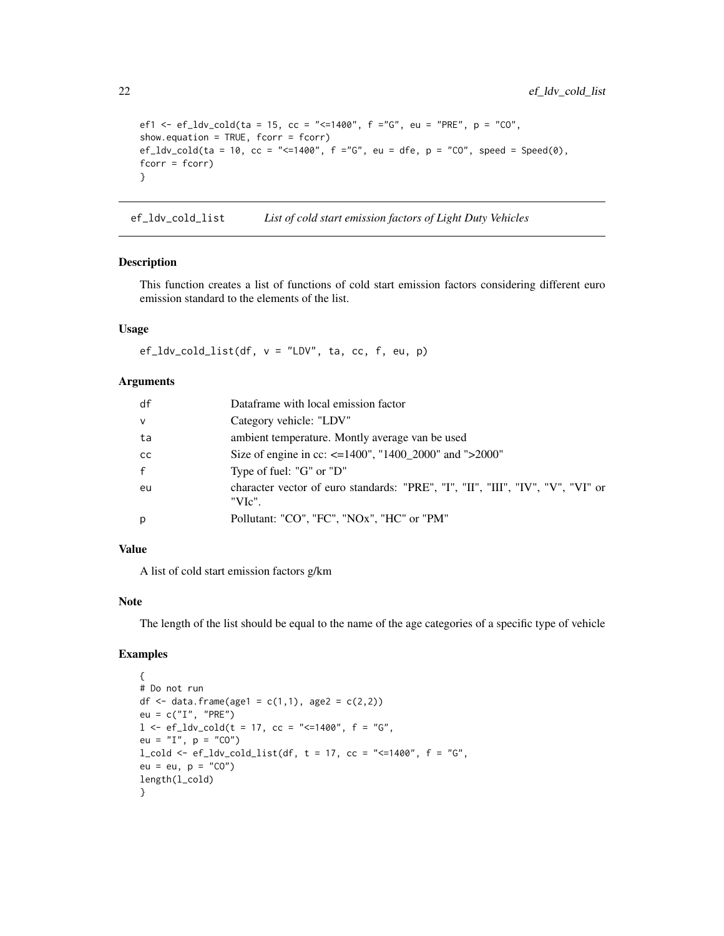```
ef1 <- ef_ldv_cold(ta = 15, cc = "<=1400", f ="G", eu = "PRE", p = "CO",
show.equation = TRUE, fcorr = fcorr)
ef_ldv_cold(ta = 10, cc = "<=1400", f ="G", eu = dfe, p = "CO", speed = Speed(0),
fcorr = fcorr)
}
```
ef\_ldv\_cold\_list *List of cold start emission factors of Light Duty Vehicles*

#### Description

This function creates a list of functions of cold start emission factors considering different euro emission standard to the elements of the list.

### Usage

 $ef_ldv_cold_list(df, v = "LDV", ta, cc, f, eu, p)$ 

#### Arguments

| df           | Dataframe with local emission factor                                                      |
|--------------|-------------------------------------------------------------------------------------------|
| $\mathsf{V}$ | Category vehicle: "LDV"                                                                   |
| ta           | ambient temperature. Montly average van be used                                           |
| cc           | Size of engine in cc: $\leq$ =1400", "1400 2000" and ">2000"                              |
| f            | Type of fuel: "G" or "D"                                                                  |
| eu           | character vector of euro standards: "PRE", "I", "II", "III", "IV", "V", "VI" or<br>"VIc". |
| p            | Pollutant: "CO", "FC", "NOx", "HC" or "PM"                                                |

### Value

A list of cold start emission factors g/km

### Note

The length of the list should be equal to the name of the age categories of a specific type of vehicle

```
{
# Do not run
df <- data.frame(age1 = c(1,1), age2 = c(2,2))
eu = c("I", "PRE")
l < -ef\_ldv\_cold(t = 17, cc = "<=1400", f = "G",eu = "I", p = "CO")l_{cold} <- ef_ldv_cold_list(df, t = 17, cc = "<=1400", f = "G",
eu = eu, p = "CO")length(l_cold)
}
```
<span id="page-21-0"></span>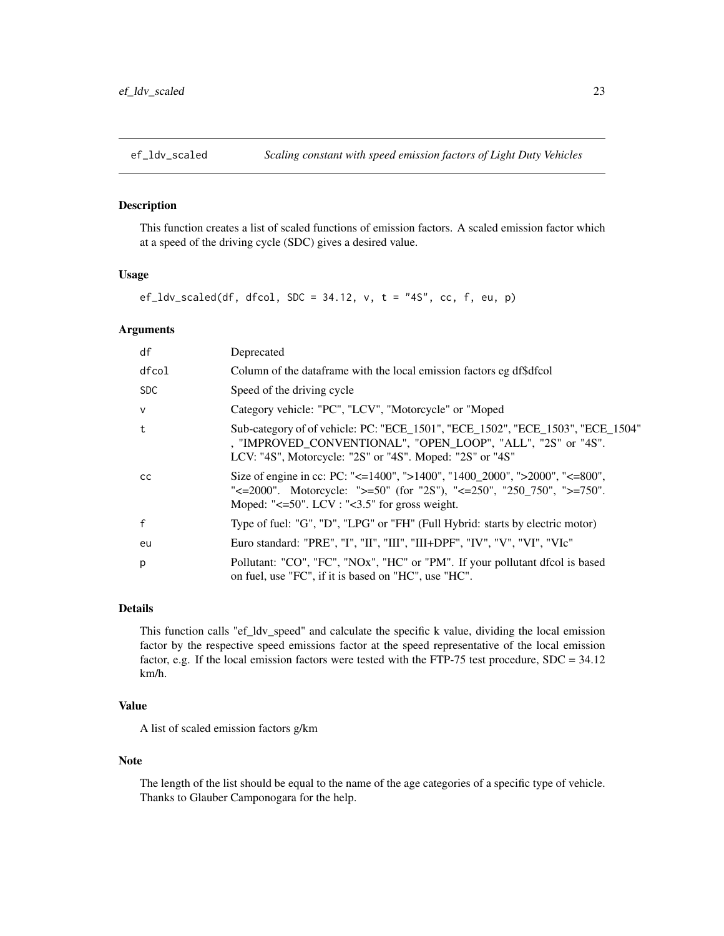<span id="page-22-0"></span>

This function creates a list of scaled functions of emission factors. A scaled emission factor which at a speed of the driving cycle (SDC) gives a desired value.

#### Usage

 $ef_ldv_scaled(df, dfcol, SDC = 34.12, v, t = "4S", cc, f, eu, p)$ 

#### Arguments

| df            | Deprecated                                                                                                                                                                                                                                       |
|---------------|--------------------------------------------------------------------------------------------------------------------------------------------------------------------------------------------------------------------------------------------------|
| dfcol         | Column of the dataframe with the local emission factors eg df\$dfcol                                                                                                                                                                             |
| <b>SDC</b>    | Speed of the driving cycle                                                                                                                                                                                                                       |
| $\mathsf{v}$  | Category vehicle: "PC", "LCV", "Motorcycle" or "Moped                                                                                                                                                                                            |
| t             | Sub-category of of vehicle: PC: "ECE_1501", "ECE_1502", "ECE_1503", "ECE_1504"<br>, "IMPROVED_CONVENTIONAL", "OPEN_LOOP", "ALL", "2S" or "4S".<br>LCV: "4S", Motorcycle: "2S" or "4S". Moped: "2S" or "4S"                                       |
| <sub>CC</sub> | Size of engine in cc: PC: "<=1400", ">1400", "1400_2000", ">2000", "<=800",<br>" $\leq$ =2000". Motorcycle: " $\geq$ =50" (for "2S"), " $\leq$ =250", "250_750", " $\geq$ =750".<br>Moped: " $\leq 50$ ". LCV : " $\leq 3.5$ " for gross weight. |
| $\mathsf{f}$  | Type of fuel: "G", "D", "LPG" or "FH" (Full Hybrid: starts by electric motor)                                                                                                                                                                    |
| eu            | Euro standard: "PRE", "I", "II", "III", "III+DPF", "IV", "V", "VI", "VIc"                                                                                                                                                                        |
| p             | Pollutant: "CO", "FC", "NOx", "HC" or "PM". If your pollutant dfcol is based<br>on fuel, use "FC", if it is based on "HC", use "HC".                                                                                                             |

### Details

This function calls "ef\_ldv\_speed" and calculate the specific k value, dividing the local emission factor by the respective speed emissions factor at the speed representative of the local emission factor, e.g. If the local emission factors were tested with the FTP-75 test procedure, SDC = 34.12 km/h.

### Value

A list of scaled emission factors g/km

### Note

The length of the list should be equal to the name of the age categories of a specific type of vehicle. Thanks to Glauber Camponogara for the help.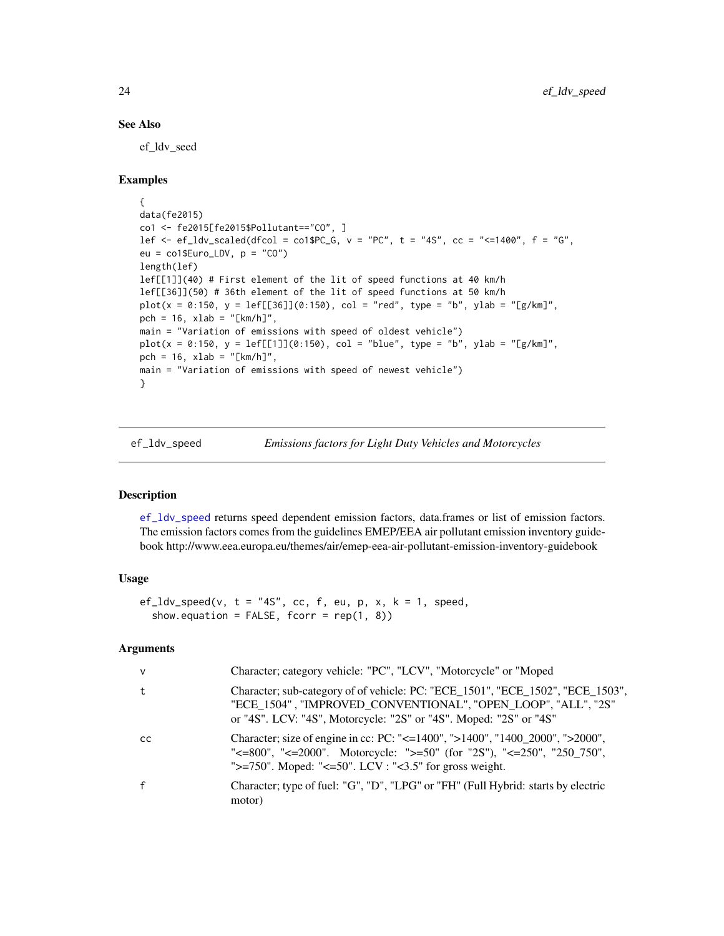#### See Also

ef\_ldv\_seed

#### Examples

```
{
data(fe2015)
co1 <- fe2015[fe2015$Pollutant=="CO", ]
lef \leq -e ef_ldv_scaled(dfcol = co1$PC_G, v = "PC", t = "4S", cc = "\leq -1400", f = "G",
eu = co1$Euro_LDV, p = "CO")
length(lef)
lef[[1]](40) # First element of the lit of speed functions at 40 km/h
lef[[36]](50) # 36th element of the lit of speed functions at 50 km/h
plot(x = 0:150, y = left[[36]](0:150), col = "red", type = "b", ylab = "[g/km]",pch = 16, xlab = "[km/h]",main = "Variation of emissions with speed of oldest vehicle")
plot(x = 0.150, y = left[[1]](0.150), col = "blue", type = "b", ylab = "[g/km]",pch = 16, xlab = "[km/h]",
main = "Variation of emissions with speed of newest vehicle")
}
```
<span id="page-23-1"></span>

ef\_ldv\_speed *Emissions factors for Light Duty Vehicles and Motorcycles*

#### **Description**

[ef\\_ldv\\_speed](#page-23-1) returns speed dependent emission factors, data.frames or list of emission factors. The emission factors comes from the guidelines EMEP/EEA air pollutant emission inventory guidebook http://www.eea.europa.eu/themes/air/emep-eea-air-pollutant-emission-inventory-guidebook

### Usage

```
ef_l d v_speed(v, t = "4S", cc, f, eu, p, x, k = 1, speed,show.equation = FALSE, for r = rep(1, 8))
```
#### Arguments

| $\mathsf{V}$  | Character; category vehicle: "PC", "LCV", "Motorcycle" or "Moped                                                                                                                                                     |
|---------------|----------------------------------------------------------------------------------------------------------------------------------------------------------------------------------------------------------------------|
| t             | Character; sub-category of of vehicle: PC: "ECE_1501", "ECE_1502", "ECE_1503",<br>"ECE_1504", "IMPROVED_CONVENTIONAL", "OPEN_LOOP", "ALL", "2S"<br>or "4S". LCV: "4S", Motorcycle: "2S" or "4S". Moped: "2S" or "4S" |
| <sub>cc</sub> | Character; size of engine in cc: PC: "<=1400", ">1400", "1400_2000", ">2000",<br>"<=800", "<=2000". Motorcycle: ">=50" (for "2S"), "<=250", "250_750",<br>">=750". Moped: "<=50". LCV : "<3.5" for gross weight.     |
| $\mathsf{f}$  | Character; type of fuel: "G", "D", "LPG" or "FH" (Full Hybrid: starts by electric<br>motor)                                                                                                                          |

<span id="page-23-0"></span>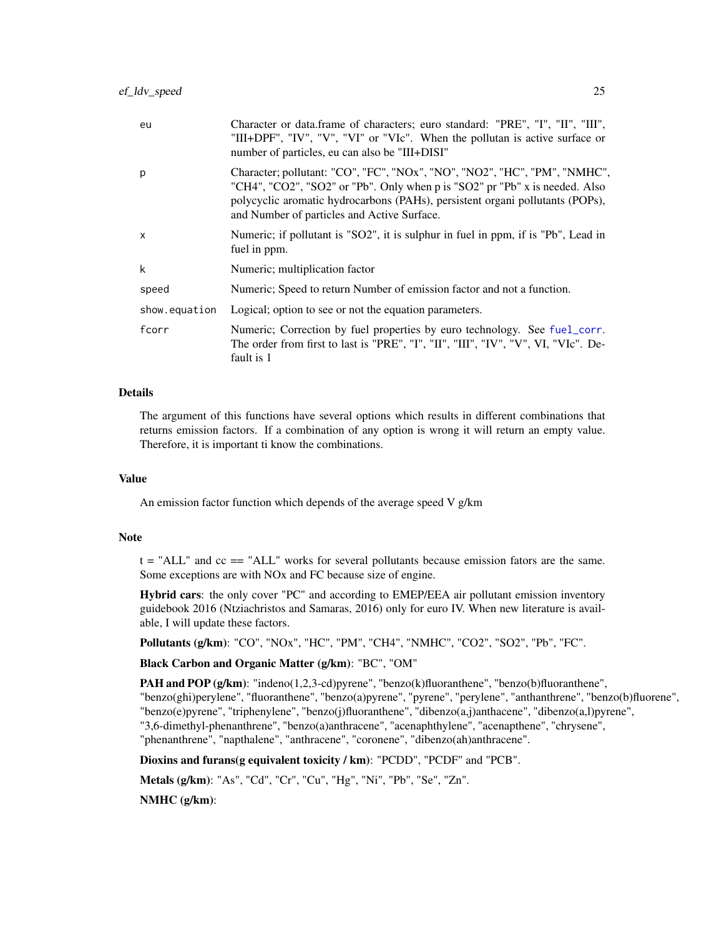| eu            | Character or data.frame of characters; euro standard: "PRE", "I", "II", "III",<br>"III+DPF", "IV", "V", "VI" or "VIc". When the pollutan is active surface or<br>number of particles, eu can also be "III+DISI"                                                                          |
|---------------|------------------------------------------------------------------------------------------------------------------------------------------------------------------------------------------------------------------------------------------------------------------------------------------|
| р             | Character; pollutant: "CO", "FC", "NOx", "NO", "NO2", "HC", "PM", "NMHC",<br>"CH4", "CO2", "SO2" or "Pb". Only when p is "SO2" pr "Pb" x is needed. Also<br>polycyclic aromatic hydrocarbons (PAHs), persistent organi pollutants (POPs),<br>and Number of particles and Active Surface. |
| X             | Numeric; if pollutant is "SO2", it is sulphur in fuel in ppm, if is "Pb", Lead in<br>fuel in ppm.                                                                                                                                                                                        |
| k             | Numeric; multiplication factor                                                                                                                                                                                                                                                           |
| speed         | Numeric; Speed to return Number of emission factor and not a function.                                                                                                                                                                                                                   |
| show.equation | Logical; option to see or not the equation parameters.                                                                                                                                                                                                                                   |
| fcorr         | Numeric; Correction by fuel properties by euro technology. See fuel_corr.<br>The order from first to last is "PRE", "I", "II", "III", "IV", "V", VI, "VIc". De-<br>fault is 1                                                                                                            |

#### Details

The argument of this functions have several options which results in different combinations that returns emission factors. If a combination of any option is wrong it will return an empty value. Therefore, it is important ti know the combinations.

#### Value

An emission factor function which depends of the average speed V g/km

#### **Note**

t = "ALL" and cc == "ALL" works for several pollutants because emission fators are the same. Some exceptions are with NOx and FC because size of engine.

Hybrid cars: the only cover "PC" and according to EMEP/EEA air pollutant emission inventory guidebook 2016 (Ntziachristos and Samaras, 2016) only for euro IV. When new literature is available, I will update these factors.

Pollutants (g/km): "CO", "NOx", "HC", "PM", "CH4", "NMHC", "CO2", "SO2", "Pb", "FC".

### Black Carbon and Organic Matter (g/km): "BC", "OM"

**PAH and POP (g/km):** "indeno(1,2,3-cd)pyrene", "benzo(k)fluoranthene", "benzo(b)fluoranthene", "benzo(ghi)perylene", "fluoranthene", "benzo(a)pyrene", "pyrene", "perylene", "anthanthrene", "benzo(b)fluorene", "benzo(e)pyrene", "triphenylene", "benzo(j)fluoranthene", "dibenzo(a,j)anthacene", "dibenzo(a,l)pyrene", "3,6-dimethyl-phenanthrene", "benzo(a)anthracene", "acenaphthylene", "acenapthene", "chrysene", "phenanthrene", "napthalene", "anthracene", "coronene", "dibenzo(ah)anthracene".

Dioxins and furans(g equivalent toxicity / km): "PCDD", "PCDF" and "PCB".

Metals (g/km): "As", "Cd", "Cr", "Cu", "Hg", "Ni", "Pb", "Se", "Zn".

NMHC (g/km):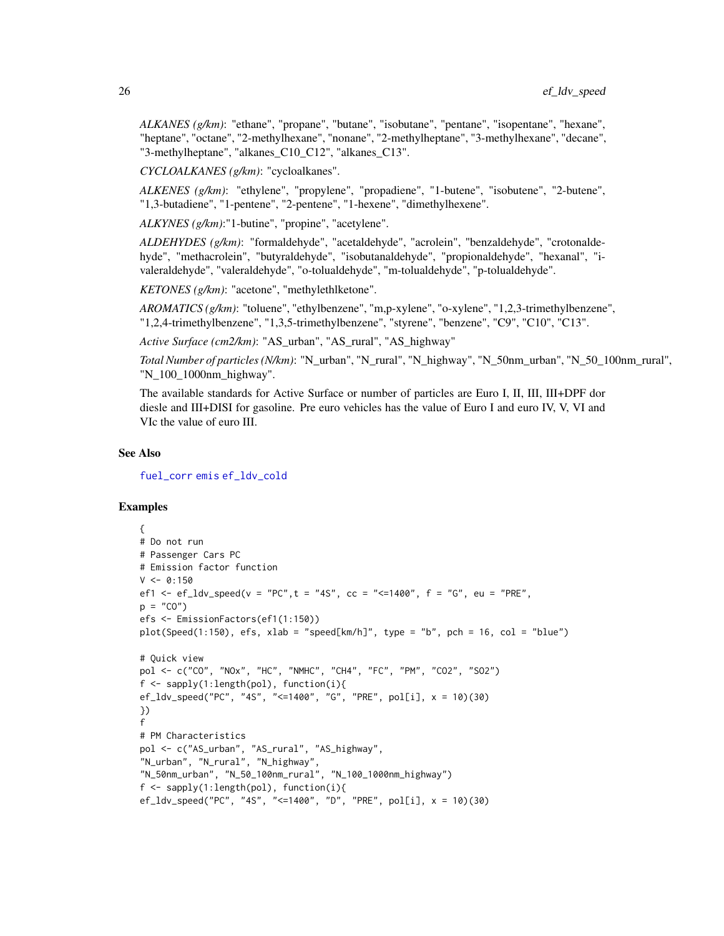*ALKANES (g/km)*: "ethane", "propane", "butane", "isobutane", "pentane", "isopentane", "hexane", "heptane", "octane", "2-methylhexane", "nonane", "2-methylheptane", "3-methylhexane", "decane", "3-methylheptane", "alkanes\_C10\_C12", "alkanes\_C13".

*CYCLOALKANES (g/km)*: "cycloalkanes".

*ALKENES (g/km)*: "ethylene", "propylene", "propadiene", "1-butene", "isobutene", "2-butene", "1,3-butadiene", "1-pentene", "2-pentene", "1-hexene", "dimethylhexene".

*ALKYNES (g/km)*:"1-butine", "propine", "acetylene".

*ALDEHYDES (g/km)*: "formaldehyde", "acetaldehyde", "acrolein", "benzaldehyde", "crotonaldehyde", "methacrolein", "butyraldehyde", "isobutanaldehyde", "propionaldehyde", "hexanal", "ivaleraldehyde", "valeraldehyde", "o-tolualdehyde", "m-tolualdehyde", "p-tolualdehyde".

*KETONES (g/km)*: "acetone", "methylethlketone".

*AROMATICS (g/km)*: "toluene", "ethylbenzene", "m,p-xylene", "o-xylene", "1,2,3-trimethylbenzene", "1,2,4-trimethylbenzene", "1,3,5-trimethylbenzene", "styrene", "benzene", "C9", "C10", "C13".

*Active Surface (cm2/km)*: "AS\_urban", "AS\_rural", "AS\_highway"

*Total Number of particles (N/km)*: "N\_urban", "N\_rural", "N\_highway", "N\_50nm\_urban", "N\_50\_100nm\_rural", "N\_100\_1000nm\_highway".

The available standards for Active Surface or number of particles are Euro I, II, III, III+DPF dor diesle and III+DISI for gasoline. Pre euro vehicles has the value of Euro I and euro IV, V, VI and VIc the value of euro III.

#### See Also

[fuel\\_corr](#page-59-1) [emis](#page-30-1) [ef\\_ldv\\_cold](#page-19-1)

```
{
# Do not run
# Passenger Cars PC
# Emission factor function
V < -0:150ef1 <- ef_ldv_speed(v = "PC", t = "4S", cc = "<=1400", f = "G", eu = "PRE",
p = "CO")efs <- EmissionFactors(ef1(1:150))
plot(Speed(1:150), efs, xlab = "speed[km/h]", type = "b", pch = 16, col = "blue")
# Quick view
pol <- c("CO", "NOx", "HC", "NMHC", "CH4", "FC", "PM", "CO2", "SO2")
f <- sapply(1:length(pol), function(i){
ef_ldv_speed("PC", "4S", "<=1400", "G", "PRE", pol[i], x = 10)(30)
})
f
# PM Characteristics
pol <- c("AS_urban", "AS_rural", "AS_highway",
"N_urban", "N_rural", "N_highway",
"N_50nm_urban", "N_50_100nm_rural", "N_100_1000nm_highway")
f <- sapply(1:length(pol), function(i){
ef_ldv_speed("PC", "4S", "<=1400", "D", "PRE", pol[i], x = 10)(30)
```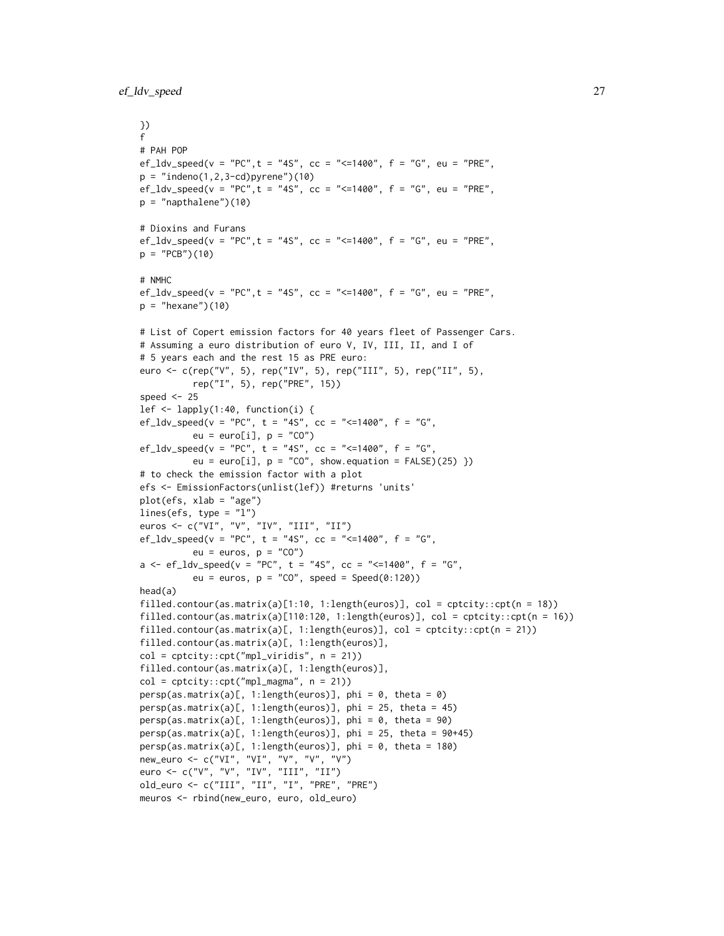```
})
f
# PAH POP
ef_ldv_speed(v = "PC", t = "4S", cc = "<=1400", f = "G", eu = "PRE",
p = "indeno(1, 2, 3-cd)pyrene")(10)
ef_ldv_speed(v = "PC", t = "4S", cc = "<=1400", f = "G", eu = "PRE",
p = "napthalene") (10)# Dioxins and Furans
ef_l d v_s = 'PC'', t = '4S'', cc = '<=1400'', f = 'G'', eu = 'PRE'',
p = "PCB")(10)
# NMHC
ef_l d v_speed(v = "PC", t = "4S", cc = "<=1400", f = "G", eu = "PRE",p = "hexane")(10)
# List of Copert emission factors for 40 years fleet of Passenger Cars.
# Assuming a euro distribution of euro V, IV, III, II, and I of
# 5 years each and the rest 15 as PRE euro:
euro <- c(rep("V", 5), rep("IV", 5), rep("III", 5), rep("II", 5),
          rep("I", 5), rep("PRE", 15))
speed <-25lef <- lapply(1:40, function(i) {
ef_ldv_speed(v = "PC", t = "4S", cc = "<=1400", f = "G",
          eu = euro[i], p = "CO")ef_ldv_speed(v = "PC", t = "4S", cc = "<=1400", f = "G",
          eu = euro[i], p = "CO", show.equation = FALSE)(25) })
# to check the emission factor with a plot
efs <- EmissionFactors(unlist(lef)) #returns 'units'
plot(efs, xlab = "age")
lines(efs, type = "l")
euros <- c("VI", "V", "IV", "III", "II")
ef_ldv_speed(v = "PC", t = "4S", cc = "<=1400", f = "G",
          eu = euros, p = "CO")a \leq -ef\_ldv\_speed(v = "PC", t = "4S", cc = "<=1400", f = "G",eu = euros, p = "CO", speed = Speed(0:120))head(a)
filled.contour(as.matrix(a)[1:10, 1:length(euros)], col = cptcity::\text{cpt}(n = 18))
filled.contour(as.matrix(a)[110:120, 1:length(euros)], col = cptcity::cpt(n = 16))
filled.contour(as.matrix(a)[, 1:length(euros)], col = cptcity::cpt(n = 21))
filled.contour(as.matrix(a)[, 1:length(euros)],
col = cptcity::cpt("mpl_viridis", n = 21))
filled.contour(as.matrix(a)[, 1:length(euros)],
col = \text{cptcity}::\text{cpt("mpl_magma", n = 21)})persp(as.matrix(a)[, 1:length(euros)], phi = 0, theta = 0)
persp(as.matrix(a)[, 1:length(euros)], phi = 25, theta = 45)
persp(as.matrix(a)[, 1:length(euros)], phi = 0, theta = 90)persp(as.matrix(a)[, 1:length(euros)], phi = 25, theta = 90+45)persp(as.matrix(a)[, 1:length(euros)], phi = 0, theta = 180)
new_euro <- c("VI", "VI", "V", "V", "V")
euro <- c("V", "V", "IV", "III", "II")
old_euro <- c("III", "II", "I", "PRE", "PRE")
meuros <- rbind(new_euro, euro, old_euro)
```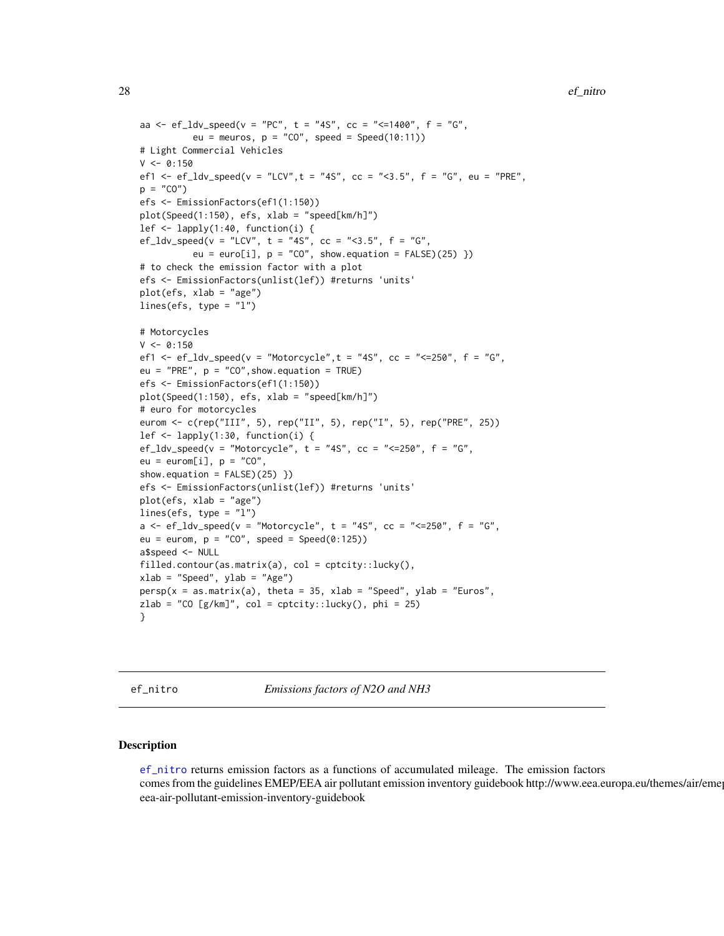```
aa <- ef_ldv_speed(v = "PC", t = "4S", cc = "<=1400", f = "G",
          eu = meuros, p = "CO", speed = Speed(10:11))# Light Commercial Vehicles
V < -0:150ef1 <- ef_ldv_speed(v = "LCV", t = "4S", cc = "<3.5", f = "G", eu = "PRE",
p = "CO")efs <- EmissionFactors(ef1(1:150))
plot(Speed(1:150), efs, xlab = "speed[km/h]")
lef \leq lapply(1:40, function(i) {
ef_ldv_speed(v = "LCV", t = "4S", cc = "<3.5", f = "G",
          eu = euro[i], p = "CO", show.equation = FALSE)(25) })
# to check the emission factor with a plot
efs <- EmissionFactors(unlist(lef)) #returns 'units'
plot(efs, xlab = "age")
lines(efs, type = "l")
# Motorcycles
V < -0:150ef1 <- ef_ldv_speed(v = "Motorcycle", t = "4S", cc = "<=250", f = "G",
eu = "PRE", p = "CO", show. equation = TRUE)
efs <- EmissionFactors(ef1(1:150))
plot(Speed(1:150), efs, xlab = "speed[km/h]")
# euro for motorcycles
eurom <- c(rep("III", 5), rep("II", 5), rep("I", 5), rep("PRE", 25))
lef <- lapply(1:30, function(i) {
ef_l d v_s = f' w_s = f'' w_s = f'' w_s, t = f'' s'', c c = f'' s_s = f'' w_s, f' w_s = f'' w_s,
eu = euron[i], p = "CO",show.equation = FALSE)(25) })
efs <- EmissionFactors(unlist(lef)) #returns 'units'
plot(efs, xlab = "age")
lines(efs, type = "l")
a \leq -ef\_ldv\_speed(v = "Motorcycle", t = "4S", cc = "<=250", f = "G",eu = eurom, p = "CO", speed = Speed(0:125))a$speed <- NULL
filled.contour(as.matrix(a), col = cptcity::lucky(),
xlab = "Speed", ylab = "Age")persp(x = as.matrix(a), theta = 35, xlab = "Speed", ylab = "Euros",zlab = "CO [g/km]", col = cptcity::lucky(), phi = 25)
}
```
<span id="page-27-1"></span>ef\_nitro *Emissions factors of N2O and NH3*

#### Description

[ef\\_nitro](#page-27-1) returns emission factors as a functions of accumulated mileage. The emission factors comes from the guidelines EMEP/EEA air pollutant emission inventory guidebook http://www.eea.europa.eu/themes/air/eme eea-air-pollutant-emission-inventory-guidebook

<span id="page-27-0"></span>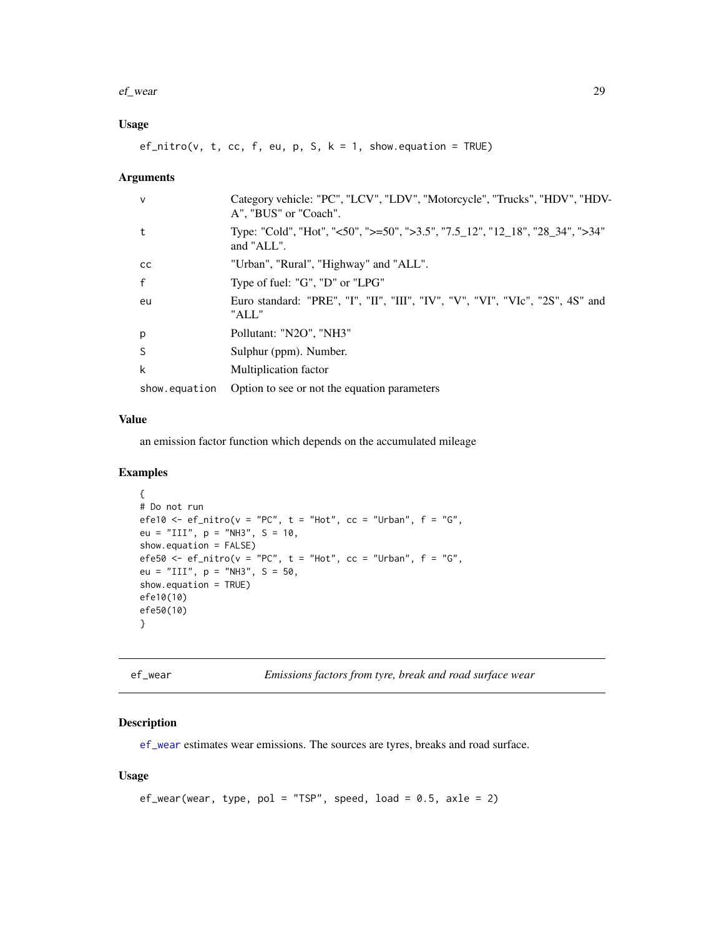#### <span id="page-28-0"></span>ef\_wear 29

### Usage

 $ef\_nitro(v, t, cc, f, eu, p, S, k = 1, show. equation = TRUE)$ 

#### Arguments

| Category vehicle: "PC", "LCV", "LDV", "Motorcycle", "Trucks", "HDV", "HDV-<br>A", "BUS" or "Coach". |
|-----------------------------------------------------------------------------------------------------|
| Type: "Cold", "Hot", "<50", ">=50", ">3.5", "7.5_12", "12_18", "28_34", ">34"<br>and "ALL".         |
| "Urban", "Rural", "Highway" and "ALL".                                                              |
| Type of fuel: "G", "D" or "LPG"                                                                     |
| Euro standard: "PRE", "I", "II", "III", "IV", "V", "VI", "VIc", "2S", 4S" and<br>"ALL"              |
| Pollutant: "N2O", "NH3"                                                                             |
| Sulphur (ppm). Number.                                                                              |
| Multiplication factor                                                                               |
| Option to see or not the equation parameters                                                        |
|                                                                                                     |

### Value

an emission factor function which depends on the accumulated mileage

### Examples

```
{
# Do not run
efe10 <- ef_nitro(v = "PC", t = "Hot", cc = "Urban", f = "G",eu = "III", p = "NH3", S = 10,
show.equation = FALSE)
efe50 <- ef_nitro(v = "PC", t = "Hot", cc = "Urban", f = "G",eu = "III", p = "NH3", S = 50,
show.equation = TRUE)
efe10(10)
efe50(10)
}
```
<span id="page-28-1"></span>ef\_wear *Emissions factors from tyre, break and road surface wear*

### Description

[ef\\_wear](#page-28-1) estimates wear emissions. The sources are tyres, breaks and road surface.

```
ef_wear(wear, type, pol = "TSP", speed, load = 0.5, axle = 2)
```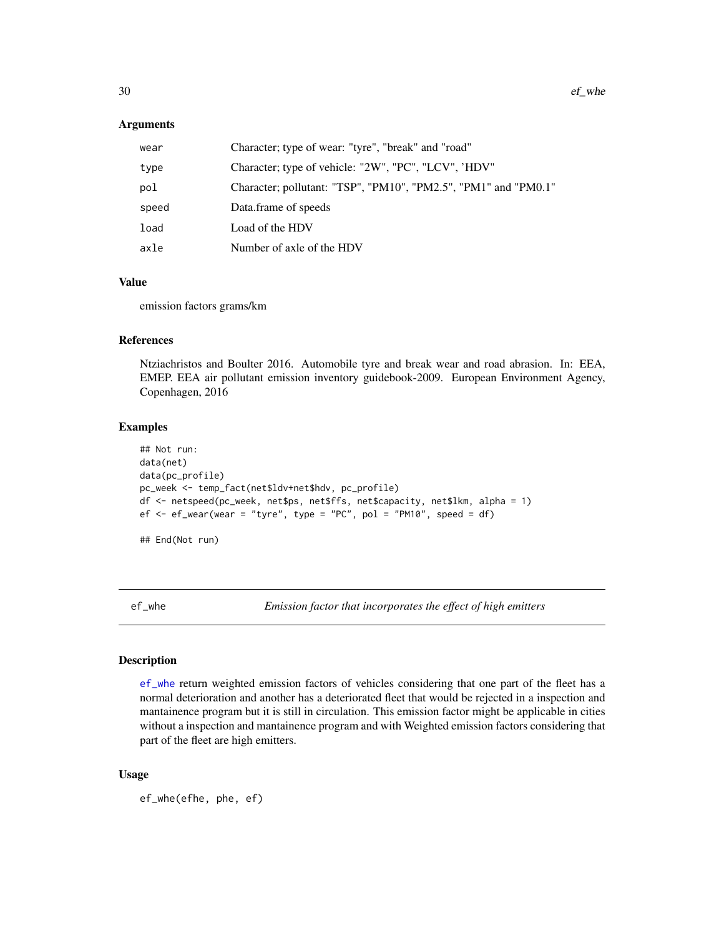#### <span id="page-29-0"></span>Arguments

| wear  | Character; type of wear: "tyre", "break" and "road"             |
|-------|-----------------------------------------------------------------|
| type  | Character; type of vehicle: "2W", "PC", "LCV", 'HDV"            |
| pol   | Character; pollutant: "TSP", "PM10", "PM2.5", "PM1" and "PM0.1" |
| speed | Data.frame of speeds                                            |
| load  | Load of the HDV                                                 |
| axle  | Number of axle of the HDV                                       |

### Value

emission factors grams/km

#### References

Ntziachristos and Boulter 2016. Automobile tyre and break wear and road abrasion. In: EEA, EMEP. EEA air pollutant emission inventory guidebook-2009. European Environment Agency, Copenhagen, 2016

#### Examples

```
## Not run:
data(net)
data(pc_profile)
pc_week <- temp_fact(net$ldv+net$hdv, pc_profile)
df <- netspeed(pc_week, net$ps, net$ffs, net$capacity, net$lkm, alpha = 1)
ef \leq ef_wear(wear = "tyre", type = "PC", pol = "PM10", speed = df)
## End(Not run)
```
<span id="page-29-1"></span>ef\_whe *Emission factor that incorporates the effect of high emitters*

#### Description

[ef\\_whe](#page-29-1) return weighted emission factors of vehicles considering that one part of the fleet has a normal deterioration and another has a deteriorated fleet that would be rejected in a inspection and mantainence program but it is still in circulation. This emission factor might be applicable in cities without a inspection and mantainence program and with Weighted emission factors considering that part of the fleet are high emitters.

```
ef_whe(efhe, phe, ef)
```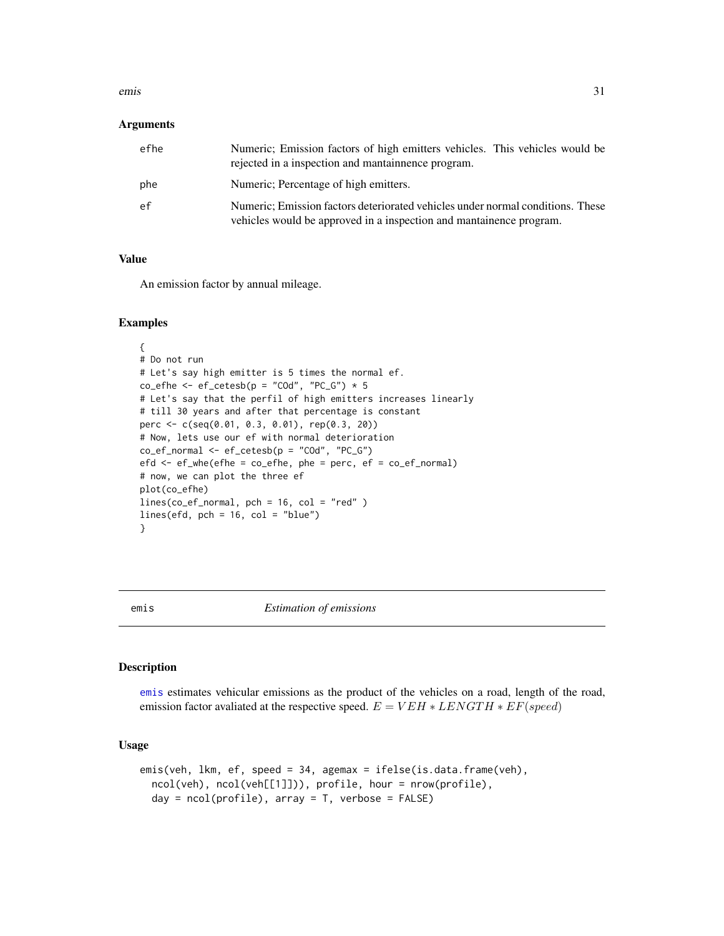#### <span id="page-30-0"></span>emis 31

#### **Arguments**

| efhe | Numeric; Emission factors of high emitters vehicles. This vehicles would be<br>rejected in a inspection and mantainnence program.                     |
|------|-------------------------------------------------------------------------------------------------------------------------------------------------------|
| phe  | Numeric; Percentage of high emitters.                                                                                                                 |
| ef   | Numeric; Emission factors deteriorated vehicles under normal conditions. These<br>vehicles would be approved in a inspection and mantainence program. |

### Value

An emission factor by annual mileage.

#### Examples

```
{
# Do not run
# Let's say high emitter is 5 times the normal ef.
co\_efhe \leq -ef\_cetesb(p = "COd", "PC_G") * 5# Let's say that the perfil of high emitters increases linearly
# till 30 years and after that percentage is constant
perc <- c(seq(0.01, 0.3, 0.01), rep(0.3, 20))
# Now, lets use our ef with normal deterioration
co\_ef\_normal \leftarrow ef\_cetesb(p = "COd", "PC_G")efd \le -ef_{\text{whe}}(efhe = co_{\text{e}}efhe, \text{ phe} = \text{perc}, \text{ ef} = co_{\text{e}}ef_{\text{norm}})# now, we can plot the three ef
plot(co_efhe)
lines(co_ef_normal, pch = 16, col = "red" )
lines(efd, pch = 16, col = "blue")}
```
<span id="page-30-1"></span>

#### emis *Estimation of emissions*

#### Description

[emis](#page-30-1) estimates vehicular emissions as the product of the vehicles on a road, length of the road, emission factor avaliated at the respective speed.  $E = VEH * LENGTH * EF(speed)$ 

```
emis(veh, lkm, ef, speed = 34, agemax = ifelse(is.data.frame(veh),
  ncol(veh), ncol(veh[[1]])), profile, hour = nrow(profile),
  day = ncol(profile), array = T, verbose = FALSE)
```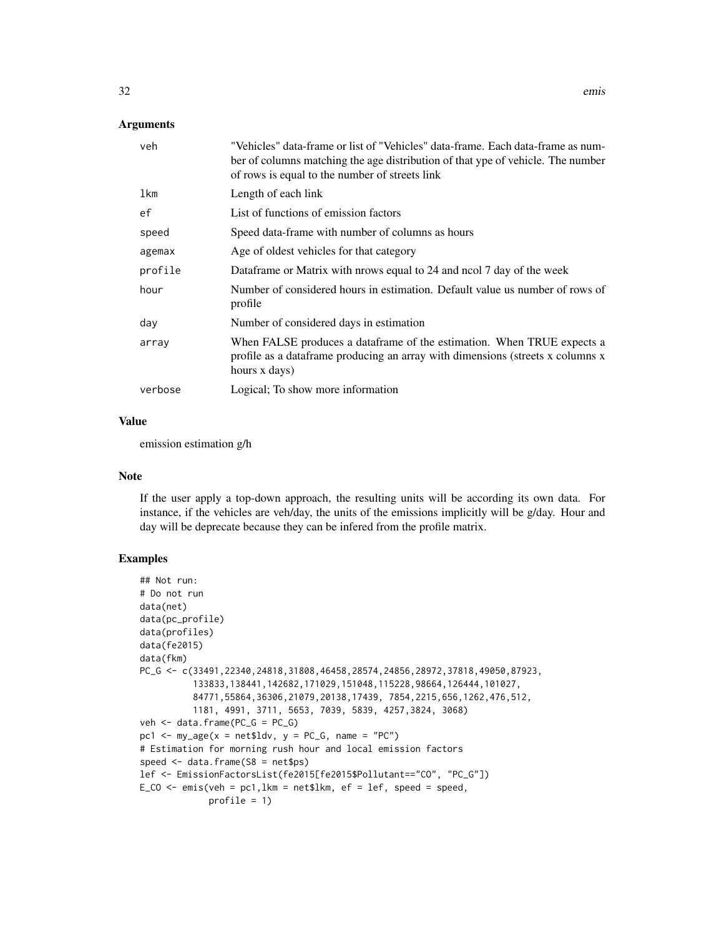### Arguments

| veh     | "Vehicles" data-frame or list of "Vehicles" data-frame. Each data-frame as num-<br>ber of columns matching the age distribution of that ype of vehicle. The number<br>of rows is equal to the number of streets link |
|---------|----------------------------------------------------------------------------------------------------------------------------------------------------------------------------------------------------------------------|
| lkm     | Length of each link                                                                                                                                                                                                  |
| ef      | List of functions of emission factors                                                                                                                                                                                |
| speed   | Speed data-frame with number of columns as hours                                                                                                                                                                     |
| agemax  | Age of oldest vehicles for that category                                                                                                                                                                             |
| profile | Dataframe or Matrix with prows equal to 24 and nool 7 day of the week                                                                                                                                                |
| hour    | Number of considered hours in estimation. Default value us number of rows of<br>profile                                                                                                                              |
| day     | Number of considered days in estimation                                                                                                                                                                              |
| array   | When FALSE produces a dataframe of the estimation. When TRUE expects a<br>profile as a dataframe producing an array with dimensions (streets x columns x<br>hours x days)                                            |
| verbose | Logical; To show more information                                                                                                                                                                                    |

#### Value

emission estimation g/h

### Note

If the user apply a top-down approach, the resulting units will be according its own data. For instance, if the vehicles are veh/day, the units of the emissions implicitly will be g/day. Hour and day will be deprecate because they can be infered from the profile matrix.

```
## Not run:
# Do not run
data(net)
data(pc_profile)
data(profiles)
data(fe2015)
data(fkm)
PC_G <- c(33491,22340,24818,31808,46458,28574,24856,28972,37818,49050,87923,
          133833,138441,142682,171029,151048,115228,98664,126444,101027,
          84771,55864,36306,21079,20138,17439, 7854,2215,656,1262,476,512,
          1181, 4991, 3711, 5653, 7039, 5839, 4257,3824, 3068)
veh <- data.frame(PC_G = PC_G)
pc1 <- my\_\text{age}(x = net$1dv, y = PC_G, name = "PC")# Estimation for morning rush hour and local emission factors
speed \leq data.frame(S8 = net$ps)
lef <- EmissionFactorsList(fe2015[fe2015$Pollutant=="CO", "PC_G"])
E_CO \leq emis(veh = pc1, lkm = net$lkm, ef = lef, speed = speed,
             profile = 1)
```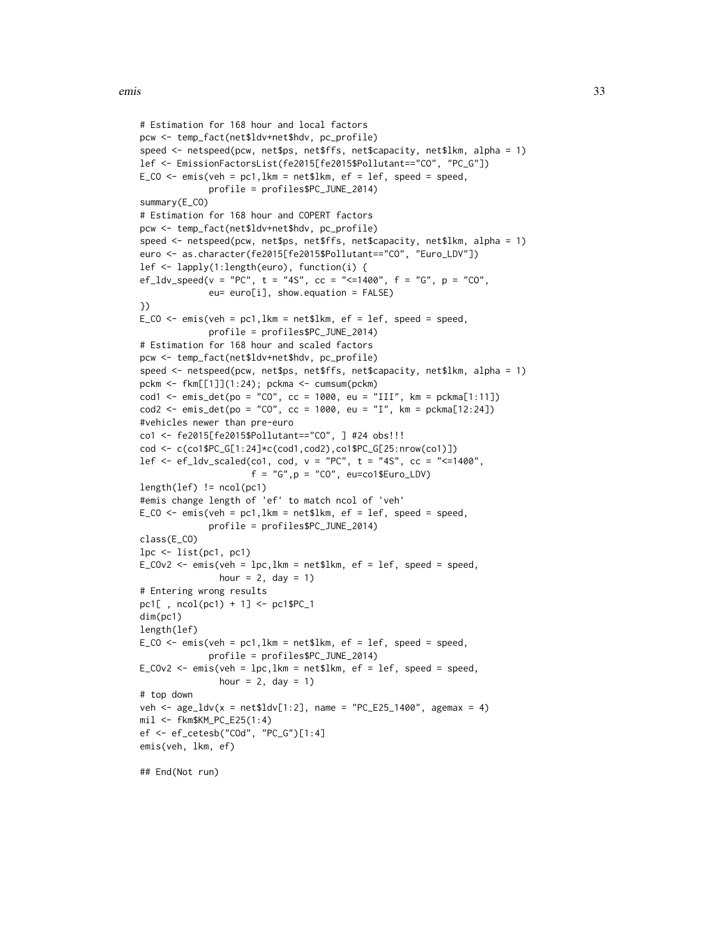```
# Estimation for 168 hour and local factors
pcw <- temp_fact(net$ldv+net$hdv, pc_profile)
speed <- netspeed(pcw, net$ps, net$ffs, net$capacity, net$lkm, alpha = 1)
lef <- EmissionFactorsList(fe2015[fe2015$Pollutant=="CO", "PC_G"])
E_{C}CO <- emis(veh = pc1,1km = net$1km, ef = lef, speed = speed,
              profile = profiles$PC_JUNE_2014)
summary(E_CO)
# Estimation for 168 hour and COPERT factors
pcw <- temp_fact(net$ldv+net$hdv, pc_profile)
speed <- netspeed(pcw, net$ps, net$ffs, net$capacity, net$lkm, alpha = 1)
euro <- as.character(fe2015[fe2015$Pollutant=="CO", "Euro_LDV"])
lef <- lapply(1:length(euro), function(i) {
ef_l v_s = f' v_s = f' v_s = f'' v_s, t = 4s'', c = 4400'', f = 4s'', p = 4s''eu= euro[i], show.equation = FALSE)
})
E_{C}CO <- emis(veh = pc1,1km = net$1km, ef = lef, speed = speed,
              profile = profiles$PC_JUNE_2014)
# Estimation for 168 hour and scaled factors
pcw <- temp_fact(net$ldv+net$hdv, pc_profile)
speed <- netspeed(pcw, net$ps, net$ffs, net$capacity, net$lkm, alpha = 1)
pckm <- fkm[[1]](1:24); pckma <- cumsum(pckm)
cod1 \le emis_det(po = "CO", cc = 1000, eu = "III", km = pckma[1:11])
cod2 \le - \text{emis\_det}(po = "CO", cc = 1000, eu = "I", km = pckma[12:24])#vehicles newer than pre-euro
co1 <- fe2015[fe2015$Pollutant=="CO", ] #24 obs!!!
cod <- c(co1$PC_G[1:24]*c(cod1,cod2),co1$PC_G[25:nrow(co1)])
lef <- ef_ldv_scaled(co1, cod, v = "PC", t = "4S", cc = "<=1400",
                       f = "G", p = "CO", eu=co1$Euro_LDV)length(lef) != ncol(pc1)
#emis change length of 'ef' to match ncol of 'veh'
E_{C}CO <- emis(veh = pc1,1km = net$1km, ef = lef, speed = speed,
              profile = profiles$PC_JUNE_2014)
class(E_CO)
lpc \leftarrow list(pc1, pc1)E_COv2 \leq emis(veh = lpc, lkm = net$lkm, ef = lef, speed = speed,
                hour = 2, day = 1)
# Entering wrong results
pc1[ , ncol(pc1) + 1] <- pc1$PC_1
dim(pc1)
length(lef)
E_{C} \leq \leq \leq \leq \leq \leq \leq \leq \leq \leq \leq \leq \leq \leq \leq \leq \leq \leq \leq \leq \leq \leq \leq \leq \leq \leq \leq \leq \leq \leq \leq \leq \leq \leq \leq \leqprofile = profiles$PC_JUNE_2014)
E_COv2 \le - emis(veh = lpc, lkm = net$lkm, ef = lef, speed = speed,
                hour = 2, day = 1)
# top down
veh <- age\_ldv(x = net$ldv[1:2], name = "PC_E25_1400", agemax = 4)mil <- fkm$KM_PC_E25(1:4)
ef <- ef_cetesb("COd", "PC_G")[1:4]
emis(veh, lkm, ef)
## End(Not run)
```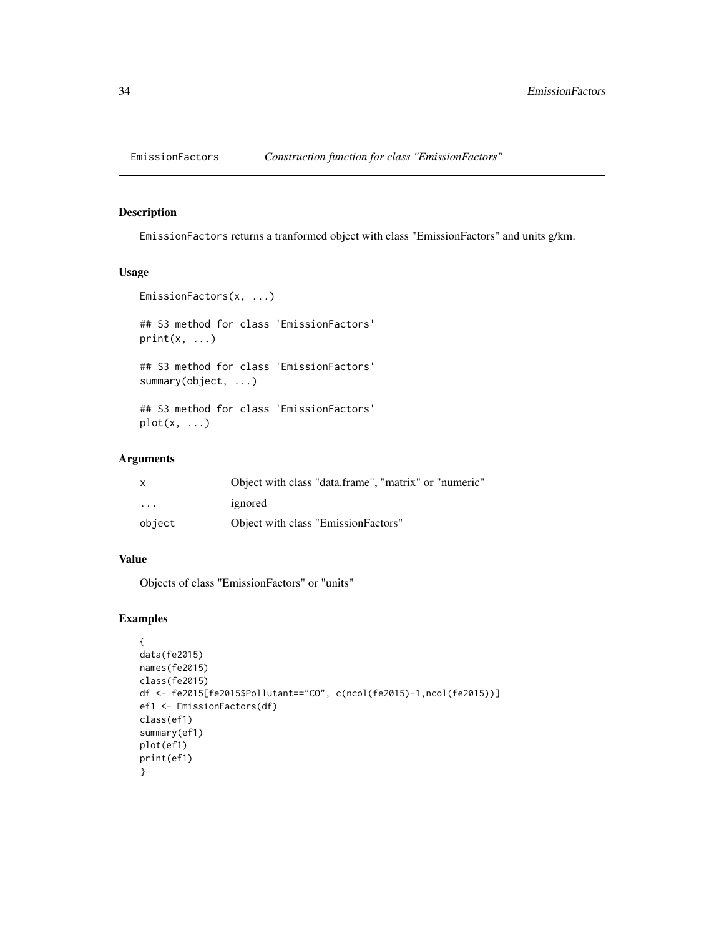<span id="page-33-0"></span>

EmissionFactors returns a tranformed object with class "EmissionFactors" and units g/km.

### Usage

```
EmissionFactors(x, ...)
## S3 method for class 'EmissionFactors'
print(x, \ldots)## S3 method for class 'EmissionFactors'
summary(object, ...)
## S3 method for class 'EmissionFactors'
```
#### Arguments

 $plot(x, \ldots)$ 

| X                 | Object with class "data.frame", "matrix" or "numeric" |
|-------------------|-------------------------------------------------------|
| $\cdot\cdot\cdot$ | ignored                                               |
| object            | Object with class "EmissionFactors"                   |

### Value

Objects of class "EmissionFactors" or "units"

```
{
data(fe2015)
names(fe2015)
class(fe2015)
df <- fe2015[fe2015$Pollutant=="CO", c(ncol(fe2015)-1,ncol(fe2015))]
ef1 <- EmissionFactors(df)
class(ef1)
summary(ef1)
plot(ef1)
print(ef1)
}
```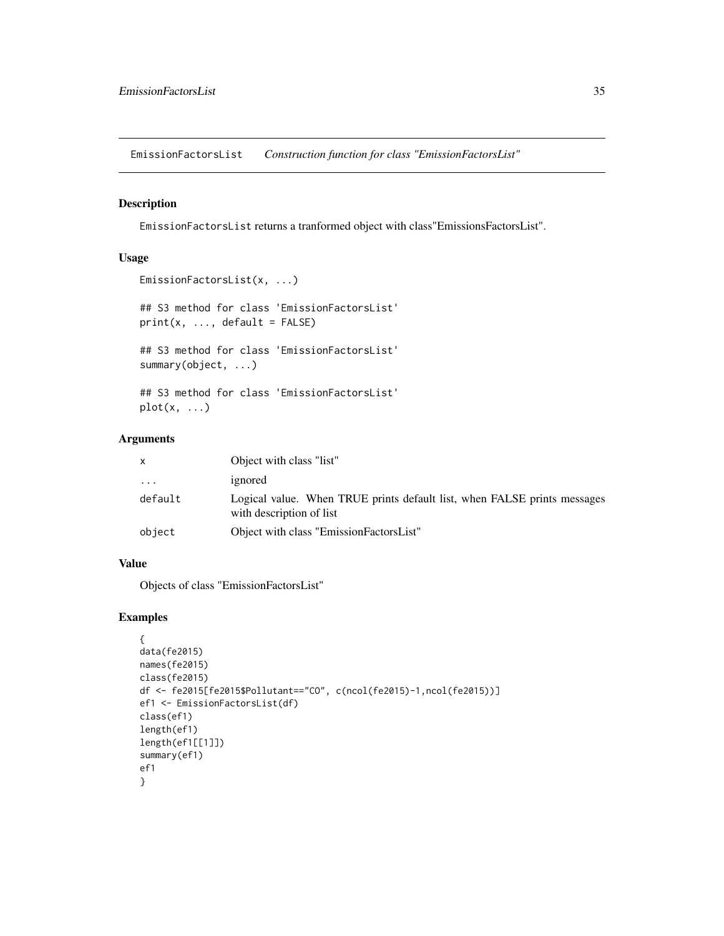<span id="page-34-0"></span>EmissionFactorsList *Construction function for class "EmissionFactorsList"*

### Description

EmissionFactorsList returns a tranformed object with class"EmissionsFactorsList".

### Usage

```
EmissionFactorsList(x, ...)
```
## S3 method for class 'EmissionFactorsList'  $print(x, ..., default = FALSE)$ 

## S3 method for class 'EmissionFactorsList' summary(object, ...)

## S3 method for class 'EmissionFactorsList'  $plot(x, \ldots)$ 

### Arguments

| X        | Object with class "list"                                                                             |
|----------|------------------------------------------------------------------------------------------------------|
| $\cdots$ | ignored                                                                                              |
| default  | Logical value. When TRUE prints default list, when FALSE prints messages<br>with description of list |
| object   | Object with class "EmissionFactorsList"                                                              |

### Value

Objects of class "EmissionFactorsList"

```
{
data(fe2015)
names(fe2015)
class(fe2015)
df <- fe2015[fe2015$Pollutant=="CO", c(ncol(fe2015)-1,ncol(fe2015))]
ef1 <- EmissionFactorsList(df)
class(ef1)
length(ef1)
length(ef1[[1]])
summary(ef1)
ef1
}
```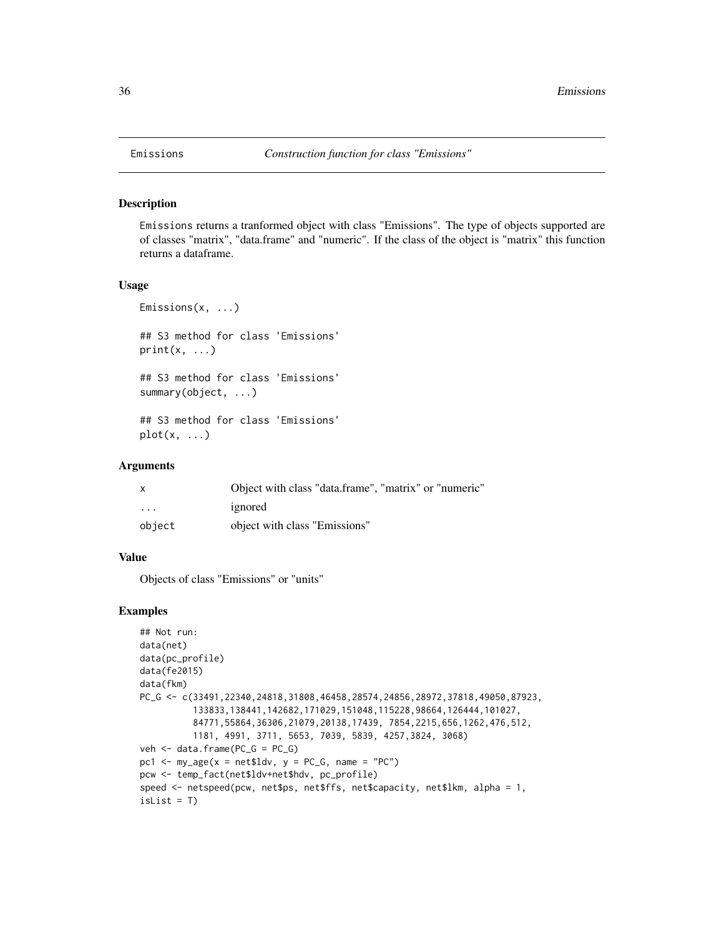Emissions returns a tranformed object with class "Emissions". The type of objects supported are of classes "matrix", "data.frame" and "numeric". If the class of the object is "matrix" this function returns a dataframe.

### Usage

```
Emissions(x, ...)
## S3 method for class 'Emissions'
print(x, \ldots)## S3 method for class 'Emissions'
summary(object, ...)
## S3 method for class 'Emissions'
plot(x, \ldots)
```
### Arguments

|                         | Object with class "data.frame", "matrix" or "numeric" |
|-------------------------|-------------------------------------------------------|
| $\cdot$ $\cdot$ $\cdot$ | ignored                                               |
| object                  | object with class "Emissions"                         |

#### Value

Objects of class "Emissions" or "units"

```
## Not run:
data(net)
data(pc_profile)
data(fe2015)
data(fkm)
PC_G <- c(33491,22340,24818,31808,46458,28574,24856,28972,37818,49050,87923,
          133833,138441,142682,171029,151048,115228,98664,126444,101027,
          84771,55864,36306,21079,20138,17439, 7854,2215,656,1262,476,512,
          1181, 4991, 3711, 5653, 7039, 5839, 4257,3824, 3068)
veh <- data.frame(PC_G = PC_G)
pc1 <- my\_\text{age}(x = net$1dv, y = PC_G, name = "PC")pcw <- temp_fact(net$ldv+net$hdv, pc_profile)
speed <- netspeed(pcw, net$ps, net$ffs, net$capacity, net$lkm, alpha = 1,
isList = T)
```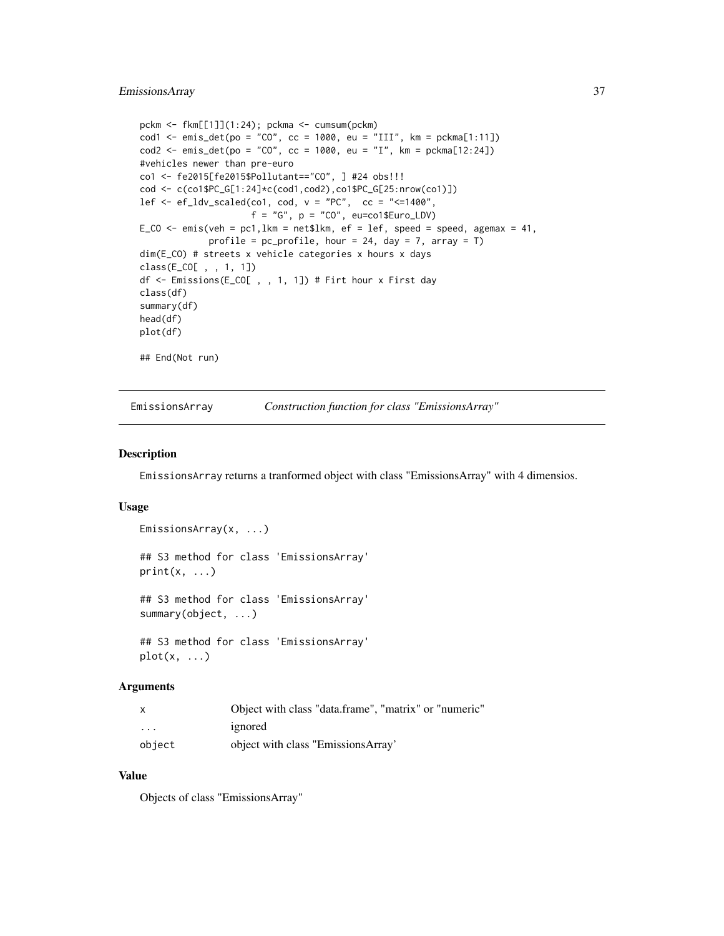```
pckm <- fkm[[1]](1:24); pckma <- cumsum(pckm)
cod1 <- emis_det(po = "CO", cc = 1000, eu = "III", km = pckma[1:11])
cod2 <- emis_det(po = "CO", cc = 1000, eu = "I", km = pckma[12:24])
#vehicles newer than pre-euro
co1 <- fe2015[fe2015$Pollutant=="CO", ] #24 obs!!!
cod <- c(co1$PC_G[1:24]*c(cod1,cod2),co1$PC_G[25:nrow(co1)])
lef \leq ef_ldv_scaled(co1, cod, v = "PC", cc = "\leq=1400",
                     f = "G", p = "CO", eu=co1$Euro_LDV)E_CO <- emis(veh = pc1, lkm = net$lkm, ef = lef, speed = speed, agemax = 41,
             profile = pc\_profile, hour = 24, day = 7, array = T)
dim(E_CO) # streets x vehicle categories x hours x days
class(E_CO[ , , 1, 1])
df <- Emissions(E_CO[ , , 1, 1]) # Firt hour x First day
class(df)
summary(df)
head(df)
plot(df)
## End(Not run)
```
EmissionsArray *Construction function for class "EmissionsArray"*

#### Description

EmissionsArray returns a tranformed object with class "EmissionsArray" with 4 dimensios.

## Usage

```
EmissionsArray(x, ...)
## S3 method for class 'EmissionsArray'
print(x, \ldots)## S3 method for class 'EmissionsArray'
summary(object, ...)
## S3 method for class 'EmissionsArray'
plot(x, \ldots)
```
#### Arguments

| $\times$ | Object with class "data.frame", "matrix" or "numeric" |
|----------|-------------------------------------------------------|
| .        | ignored                                               |
| object   | object with class "EmissionsArray"                    |

### Value

Objects of class "EmissionsArray"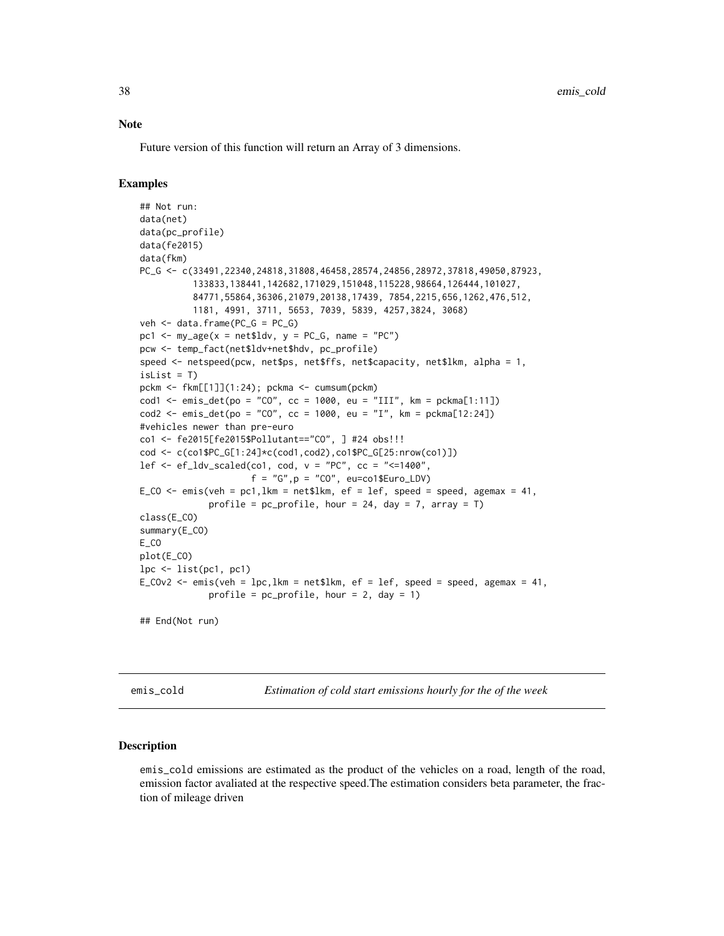#### **Note**

Future version of this function will return an Array of 3 dimensions.

### Examples

```
## Not run:
data(net)
data(pc_profile)
data(fe2015)
data(fkm)
PC_G <- c(33491,22340,24818,31808,46458,28574,24856,28972,37818,49050,87923,
          133833,138441,142682,171029,151048,115228,98664,126444,101027,
          84771,55864,36306,21079,20138,17439, 7854,2215,656,1262,476,512,
          1181, 4991, 3711, 5653, 7039, 5839, 4257,3824, 3068)
veh <- data.frame(PC_G = PC_G)
pc1 <- my\_\text{age}(x = net$ldv, y = PC_G, name = "PC")pcw <- temp_fact(net$ldv+net$hdv, pc_profile)
speed <- netspeed(pcw, net$ps, net$ffs, net$capacity, net$lkm, alpha = 1,
isList = Tpckm <- fkm[[1]](1:24); pckma <- cumsum(pckm)
cod1 <- emis_det(po = "CO", cc = 1000, eu = "III", km = pckma[1:11])
cod2 \le - emis_det(po = "CO", cc = 1000, eu = "I", km = pckma[12:24])
#vehicles newer than pre-euro
co1 <- fe2015[fe2015$Pollutant=="CO", ] #24 obs!!!
cod <- c(co1$PC_G[1:24]*c(cod1,cod2),co1$PC_G[25:nrow(co1)])
lef \leq ef_ldv_scaled(co1, cod, v = "PC", cc = "\leq=1400",
                     f = "G", p = "CO", eu=co1$Euro_LDV)E_CO <- emis(veh = pc1, lkm = net$lkm, ef = lef, speed = speed, agemax = 41,
             profile = pc\_profile, hour = 24, day = 7, array = T)
class(E_CO)
summary(E_CO)
E_CO
plot(E_CO)
lpc <- list(pc1, pc1)
E_COv2 <- emis(veh = lpc, lkm = net$lkm, ef = lef, speed = speed, agemax = 41,
             profile = pc\_profile, hour = 2, day = 1)
## End(Not run)
```
emis\_cold *Estimation of cold start emissions hourly for the of the week*

#### Description

emis\_cold emissions are estimated as the product of the vehicles on a road, length of the road, emission factor avaliated at the respective speed.The estimation considers beta parameter, the fraction of mileage driven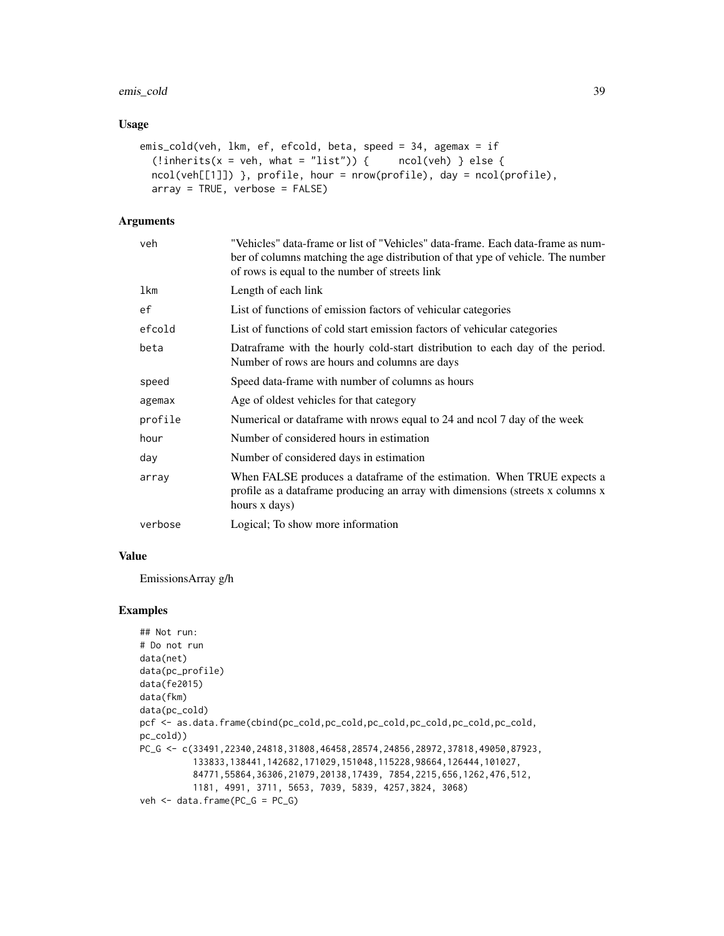## emis\_cold 39

### Usage

```
emis_cold(veh, lkm, ef, efcold, beta, speed = 34, agemax = if
  (!inherits(x = veh, what = "list")) { ncol(veh) } else {
  ncol(veh[[1]]) }, profile, hour = nrow(profile), day = ncol(profile),
 array = TRUE, verbose = FALSE)
```
# Arguments

| veh        | "Vehicles" data-frame or list of "Vehicles" data-frame. Each data-frame as num-<br>ber of columns matching the age distribution of that ype of vehicle. The number<br>of rows is equal to the number of streets link |
|------------|----------------------------------------------------------------------------------------------------------------------------------------------------------------------------------------------------------------------|
| <b>lkm</b> | Length of each link                                                                                                                                                                                                  |
| ef         | List of functions of emission factors of vehicular categories                                                                                                                                                        |
| efcold     | List of functions of cold start emission factors of vehicular categories                                                                                                                                             |
| beta       | Datraframe with the hourly cold-start distribution to each day of the period.<br>Number of rows are hours and columns are days                                                                                       |
| speed      | Speed data-frame with number of columns as hours                                                                                                                                                                     |
| agemax     | Age of oldest vehicles for that category                                                                                                                                                                             |
| profile    | Numerical or dataframe with nrows equal to 24 and nool 7 day of the week                                                                                                                                             |
| hour       | Number of considered hours in estimation                                                                                                                                                                             |
| day        | Number of considered days in estimation                                                                                                                                                                              |
| array      | When FALSE produces a dataframe of the estimation. When TRUE expects a<br>profile as a dataframe producing an array with dimensions (streets x columns x<br>hours x days)                                            |
| verbose    | Logical; To show more information                                                                                                                                                                                    |

## Value

EmissionsArray g/h

```
## Not run:
# Do not run
data(net)
data(pc_profile)
data(fe2015)
data(fkm)
data(pc_cold)
pcf <- as.data.frame(cbind(pc_cold,pc_cold,pc_cold,pc_cold,pc_cold,pc_cold,
pc_cold))
PC_G <- c(33491, 22340, 24818, 31808, 46458, 28574, 24856, 28972, 37818, 49050, 87923,
          133833,138441,142682,171029,151048,115228,98664,126444,101027,
          84771,55864,36306,21079,20138,17439, 7854,2215,656,1262,476,512,
          1181, 4991, 3711, 5653, 7039, 5839, 4257,3824, 3068)
veh <- data.frame(PC_G = PC_G)
```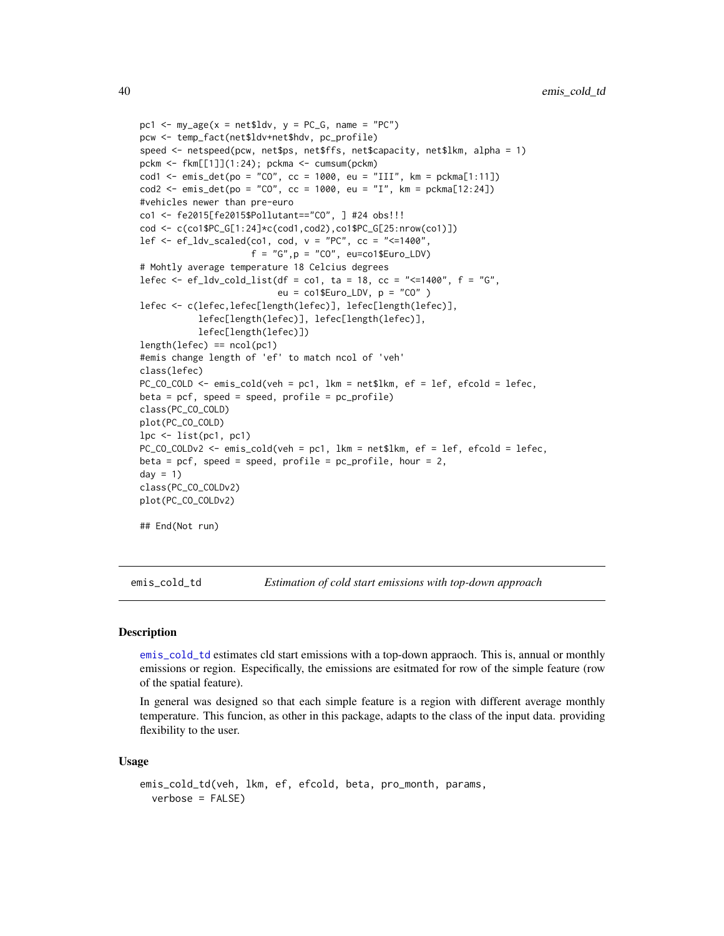```
pc1 \leq my_age(x = net$ldv, y = PC_G, name = "PC")
pcw <- temp_fact(net$ldv+net$hdv, pc_profile)
speed <- netspeed(pcw, net$ps, net$ffs, net$capacity, net$lkm, alpha = 1)
pckm <- fkm[[1]](1:24); pckma <- cumsum(pckm)
cod1 <- emis_det(po = "CO", cc = 1000, eu = "III", km = pckma[1:11])
cod2 <- emis_det(po = "CO", cc = 1000, eu = "I", km = pckma[12:24])
#vehicles newer than pre-euro
co1 <- fe2015[fe2015$Pollutant=="CO", ] #24 obs!!!
cod <- c(co1$PC_G[1:24]*c(cod1,cod2),co1$PC_G[25:nrow(co1)])
lef \leq ef_ldv_scaled(co1, cod, v = "PC", cc = "\leq=1400",
                     f = "G", p = "CO", eu=co1$Euro_LDV)# Mohtly average temperature 18 Celcius degrees
lefec <- ef_ldv_cold_list(df = co1, ta = 18, cc = "<=1400", f = "G",
                          eu = col$Euro_LDV, p = "CO" )lefec <- c(lefec,lefec[length(lefec)], lefec[length(lefec)],
           lefec[length(lefec)], lefec[length(lefec)],
           lefec[length(lefec)])
length(lefcc) == ncol(pc1)#emis change length of 'ef' to match ncol of 'veh'
class(lefec)
PC_CO_COLD <- emis_cold(veh = pc1, lkm = net$lkm, ef = lef, efcold = lefec,
beta = pcf, speed = speed, profile = pc\_profile)
class(PC_CO_COLD)
plot(PC_CO_COLD)
lpc <- list(pc1, pc1)
PC_CO_COLDv2 <- emis_cold(veh = pc1, lkm = net$lkm, ef = lef, efcold = lefec,
beta = pcf, speed = speed, profile = pc\_profile, hour = 2,
day = 1)class(PC_CO_COLDv2)
plot(PC_CO_COLDv2)
## End(Not run)
```
<span id="page-39-0"></span>emis\_cold\_td *Estimation of cold start emissions with top-down approach*

### **Description**

[emis\\_cold\\_td](#page-39-0) estimates cld start emissions with a top-down appraoch. This is, annual or monthly emissions or region. Especifically, the emissions are esitmated for row of the simple feature (row of the spatial feature).

In general was designed so that each simple feature is a region with different average monthly temperature. This funcion, as other in this package, adapts to the class of the input data. providing flexibility to the user.

#### Usage

```
emis_cold_td(veh, lkm, ef, efcold, beta, pro_month, params,
  verbose = FALSE)
```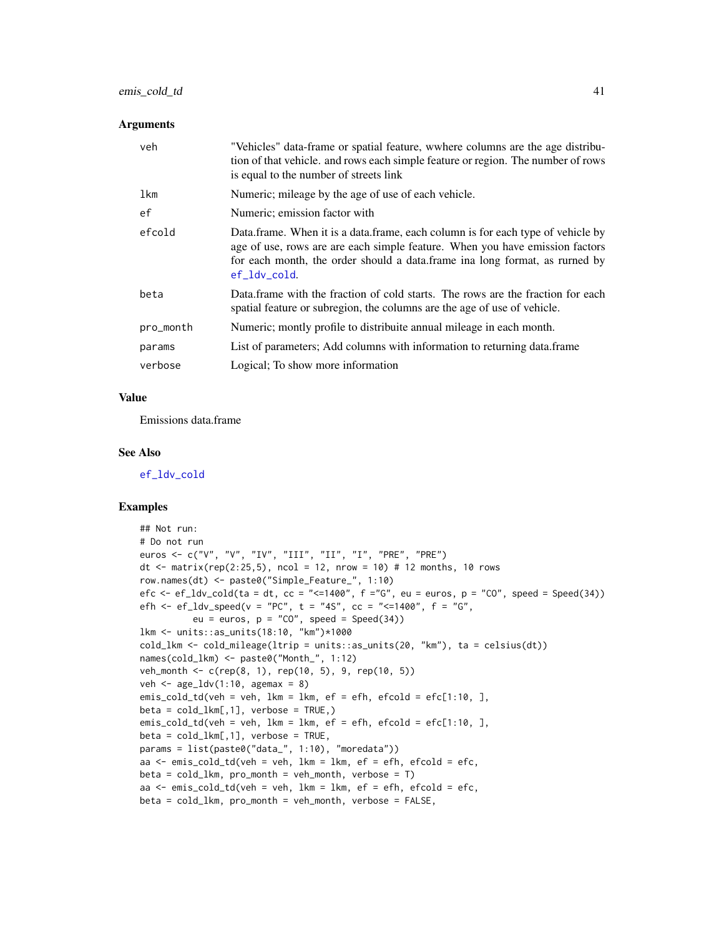## emis\_cold\_td 41

#### **Arguments**

| veh       | "Vehicles" data-frame or spatial feature, wwhere columns are the age distribu-<br>tion of that vehicle, and rows each simple feature or region. The number of rows<br>is equal to the number of streets link                                                    |
|-----------|-----------------------------------------------------------------------------------------------------------------------------------------------------------------------------------------------------------------------------------------------------------------|
| lkm       | Numeric; mileage by the age of use of each vehicle.                                                                                                                                                                                                             |
| ef        | Numeric; emission factor with                                                                                                                                                                                                                                   |
| efcold    | Data frame. When it is a data frame, each column is for each type of vehicle by<br>age of use, rows are are each simple feature. When you have emission factors<br>for each month, the order should a data. frame in along format, as rurned by<br>ef_ldv_cold. |
| beta      | Data frame with the fraction of cold starts. The rows are the fraction for each<br>spatial feature or subregion, the columns are the age of use of vehicle.                                                                                                     |
| pro_month | Numeric; montly profile to distribuite annual mileage in each month.                                                                                                                                                                                            |
| params    | List of parameters; Add columns with information to returning data.frame                                                                                                                                                                                        |
| verbose   | Logical; To show more information                                                                                                                                                                                                                               |

## Value

Emissions data.frame

#### See Also

[ef\\_ldv\\_cold](#page-19-0)

```
## Not run:
# Do not run
euros <- c("V", "V", "IV", "III", "II", "I", "PRE", "PRE")
dt \le matrix(rep(2:25,5), ncol = 12, nrow = 10) # 12 months, 10 rows
row.names(dt) <- paste0("Simple_Feature_", 1:10)
efc \leq - ef_ldv_cold(ta = dt, cc = "\leq=1400", f ="G", eu = euros, p = "C0", speed = Speed(34))
efh <- ef_ldv_speed(v = "PC", t = "4S", cc = "<=1400", f = "G",
          eu = euros, p = "CO", speed = Speed(34))lkm <- units::as_units(18:10, "km")*1000
cold_lkm <- cold_mileage(ltrip = units::as_units(20, "km"), ta = celsius(dt))
names(cold_lkm) <- paste0("Month_", 1:12)
veh_month <- c(rep(8, 1), rep(10, 5), 9, rep(10, 5))
veh \leq age_ldv(1:10, agemax = 8)
emis_cold_td(veh = veh, lkm = lkm, ef = efh, efcold = efc[1:10, ],
beta = cold_lkm[,1], verbose = TRUE,)
emis_cold_td(veh = veh, lkm = lkm, ef = efh, efcold = efc[1:10, ],
beta = cold_lkm[,1], verbose = TRUE,
params = list(paste0("data_", 1:10), "moredata"))
aa <- emis_cold_td(veh = veh, lkm = lkm, ef = efh, efcold = efc,
beta = cold_lkm, pro_month = veh_month, verbose = T)aa \le emis_cold_td(veh = veh, lkm = lkm, ef = efh, efcold = efc,
beta = cold_lkm, pro_month = veh_month, verbose = FALSE,
```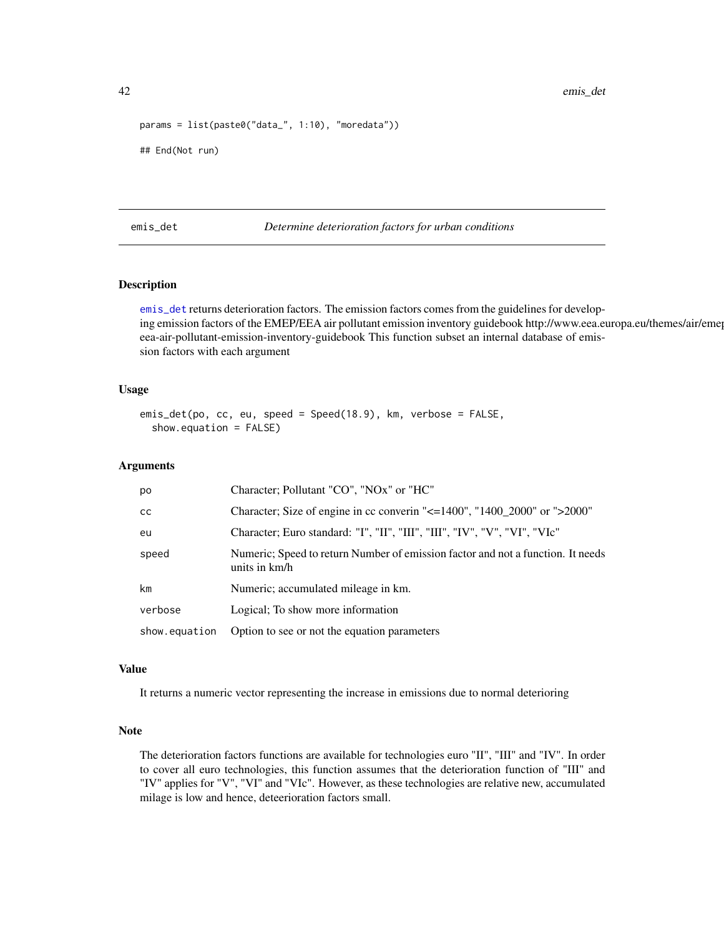42 emis\_det

```
params = list(paste0("data_", 1:10), "moredata"))
## End(Not run)
```
<span id="page-41-0"></span>emis\_det *Determine deterioration factors for urban conditions*

## Description

[emis\\_det](#page-41-0) returns deterioration factors. The emission factors comes from the guidelines for developing emission factors of the EMEP/EEA air pollutant emission inventory guidebook http://www.eea.europa.eu/themes/air/eme eea-air-pollutant-emission-inventory-guidebook This function subset an internal database of emission factors with each argument

#### Usage

```
emis_det(po, cc, eu, speed = Speed(18.9), km, verbose = FALSE,
  show.equation = FALSE)
```
#### Arguments

| po            | Character; Pollutant "CO", "NOx" or "HC"                                                         |
|---------------|--------------------------------------------------------------------------------------------------|
| <sub>CC</sub> | Character; Size of engine in cc converin "<=1400", "1400_2000" or ">2000"                        |
| eu            | Character; Euro standard: "I", "II", "III", "III", "IV", "V", "VI", "VIc"                        |
| speed         | Numeric; Speed to return Number of emission factor and not a function. It needs<br>units in km/h |
| km            | Numeric; accumulated mileage in km.                                                              |
| verbose       | Logical; To show more information                                                                |
| show.equation | Option to see or not the equation parameters                                                     |

### Value

It returns a numeric vector representing the increase in emissions due to normal deterioring

## Note

The deterioration factors functions are available for technologies euro "II", "III" and "IV". In order to cover all euro technologies, this function assumes that the deterioration function of "III" and "IV" applies for "V", "VI" and "VIc". However, as these technologies are relative new, accumulated milage is low and hence, deteerioration factors small.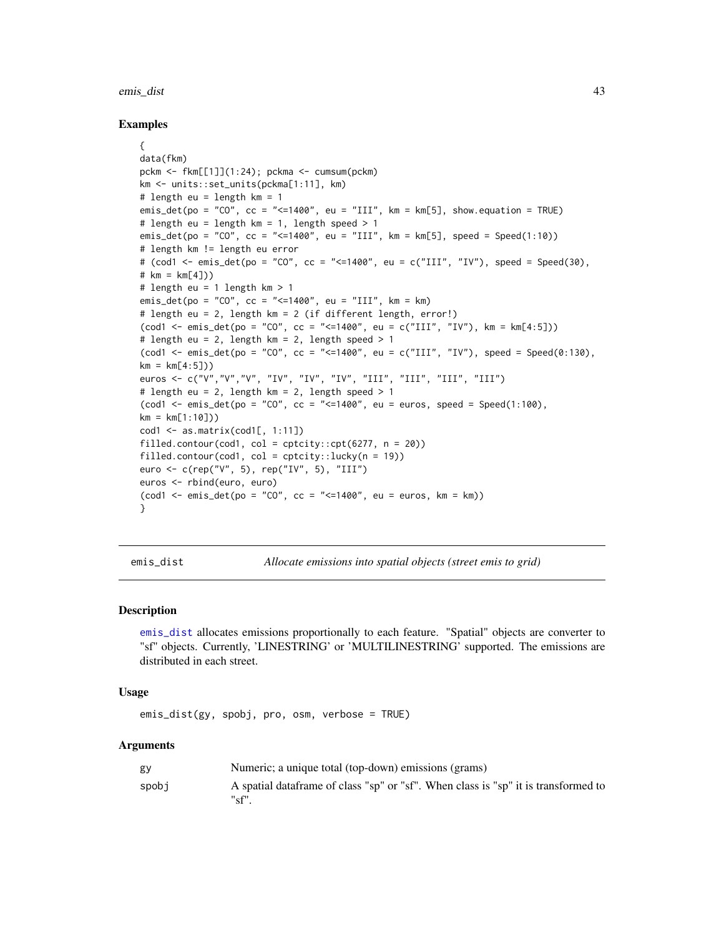#### emis\_dist 43

#### Examples

```
{
data(fkm)
pckm <- fkm[[1]](1:24); pckma <- cumsum(pckm)
km <- units::set_units(pckma[1:11], km)
# length eu = length km = 1
emis_det(po = "CO", cc = "<=1400", eu = "III", km = km[5], show.equation = TRUE)
# length eu = length km = 1, length speed > 1
emis_det(po = "CO", cc = "<=1400", eu = "III", km = km[5], speed = Speed(1:10))
# length km != length eu error
# (cod1 <- emis_det(po = "CO", cc = "<=1400", eu = c("III", "IV"), speed = Speed(30),
# km = km[4])# length eu = 1 length km > 1
emis_det(po = "CO", cc = "<=1400", eu = "III", km = km)
# length eu = 2, length km = 2 (if different length, error!)
(cod1 <- emis_det(po = "CO", cc = "<=1400", eu = c("III", "IV"), km = km[4:5]))
# length eu = 2, length km = 2, length speed > 1(cod1 <- emis_det(po = "CO", cc = "<=1400", eu = c("III", "IV"), speed = Speed(0:130),
km = km[4:5])euros <- c("V","V","V", "IV", "IV", "IV", "III", "III", "III", "III")
# length eu = 2, length km = 2, length speed > 1
(cod1 \le - \text{emis}\_det(po = "CO", cc = "<=1400", eu = euros, speed = Speed(1:100),km = km[1:10])cod1 \leq -as_matrix(cod1[, 1:11])filled.contour(cod1, col = cptcity::cpt(6277, n = 20))
filled.contour(cod1, col = cptcity::lucky(n = 19))
euro <- c(rep("V", 5), rep("IV", 5), "III")
euros <- rbind(euro, euro)
(cod1 < - emisdet(po = "CO", cc = "<=1400", eu = euros, km = km))}
```
<span id="page-42-0"></span>

emis\_dist *Allocate emissions into spatial objects (street emis to grid)*

#### Description

[emis\\_dist](#page-42-0) allocates emissions proportionally to each feature. "Spatial" objects are converter to "sf" objects. Currently, 'LINESTRING' or 'MULTILINESTRING' supported. The emissions are distributed in each street.

#### Usage

```
emis_dist(gy, spobj, pro, osm, verbose = TRUE)
```
#### Arguments

| gy    | Numeric; a unique total (top-down) emissions (grams)                                        |
|-------|---------------------------------------------------------------------------------------------|
| spobi | A spatial data frame of class "sp" or "sf". When class is "sp" it is transformed to<br>"sf" |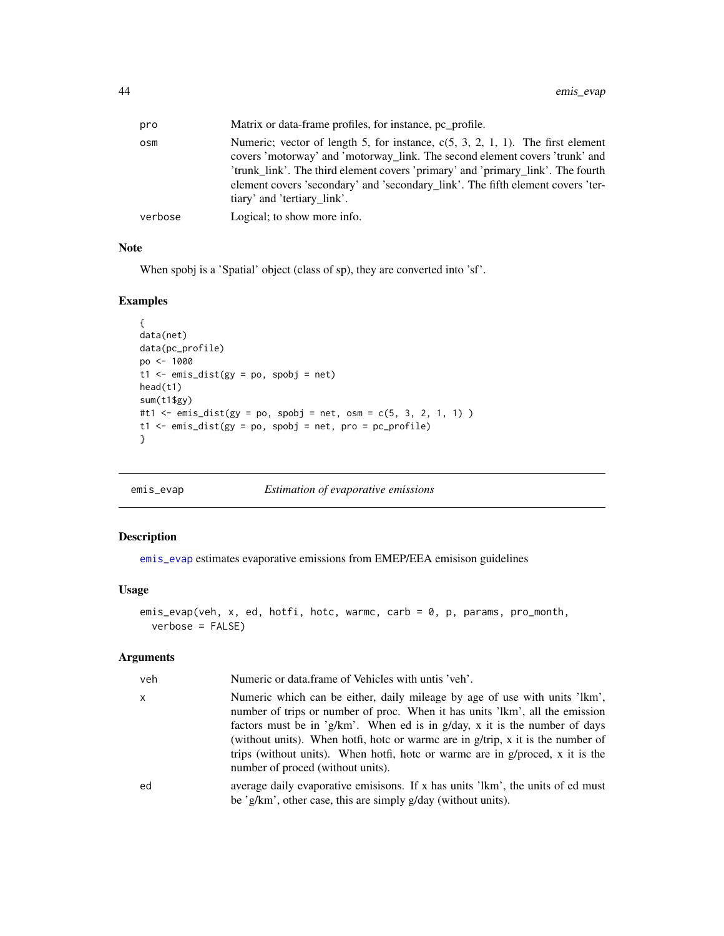| pro     | Matrix or data-frame profiles, for instance, pc profile.                                                                                                                                                                                                                                                                                                              |
|---------|-----------------------------------------------------------------------------------------------------------------------------------------------------------------------------------------------------------------------------------------------------------------------------------------------------------------------------------------------------------------------|
| osm     | Numeric; vector of length 5, for instance, $c(5, 3, 2, 1, 1)$ . The first element<br>covers 'motorway' and 'motorway_link. The second element covers 'trunk' and<br>'trunk_link'. The third element covers 'primary' and 'primary_link'. The fourth<br>element covers 'secondary' and 'secondary_link'. The fifth element covers 'ter-<br>tiary' and 'tertiary link'. |
| verbose | Logical; to show more info.                                                                                                                                                                                                                                                                                                                                           |

# Note

When spobj is a 'Spatial' object (class of sp), they are converted into 'sf'.

### Examples

```
{
data(net)
data(pc_profile)
po <- 1000
t1 <- emis\_dist(gy = po, spobj = net)head(t1)
sum(t1$gy)
#t1 <- emis\_dist(gy = po, spobj = net, osm = c(5, 3, 2, 1, 1))t1 <- emis_dist(gy = po, spobj = net, pro = pc_profile)
}
```
<span id="page-43-0"></span>

emis\_evap *Estimation of evaporative emissions*

## Description

[emis\\_evap](#page-43-0) estimates evaporative emissions from EMEP/EEA emisison guidelines

### Usage

```
emis_evap(veh, x, ed, hotfi, hotc, warmc, carb = 0, p, params, pro_month,
 verbose = FALSE)
```
# Arguments

| veh | Numeric or data.frame of Vehicles with untis 'veh'.                                                                                                                                                                                                                                                                                                                                                                                                  |
|-----|------------------------------------------------------------------------------------------------------------------------------------------------------------------------------------------------------------------------------------------------------------------------------------------------------------------------------------------------------------------------------------------------------------------------------------------------------|
| X   | Numeric which can be either, daily mileage by age of use with units 'lkm',<br>number of trips or number of proc. When it has units 'lkm', all the emission<br>factors must be in 'g/km'. When ed is in g/day, x it is the number of days<br>(without units). When hotfi, hote or warme are in $g/trip$ , x it is the number of<br>trips (without units). When hotfi, hotc or warme are in g/proced, x it is the<br>number of proced (without units). |
| ed  | average daily evaporative emisisons. If x has units 'lkm', the units of ed must<br>be 'g/km', other case, this are simply g/day (without units).                                                                                                                                                                                                                                                                                                     |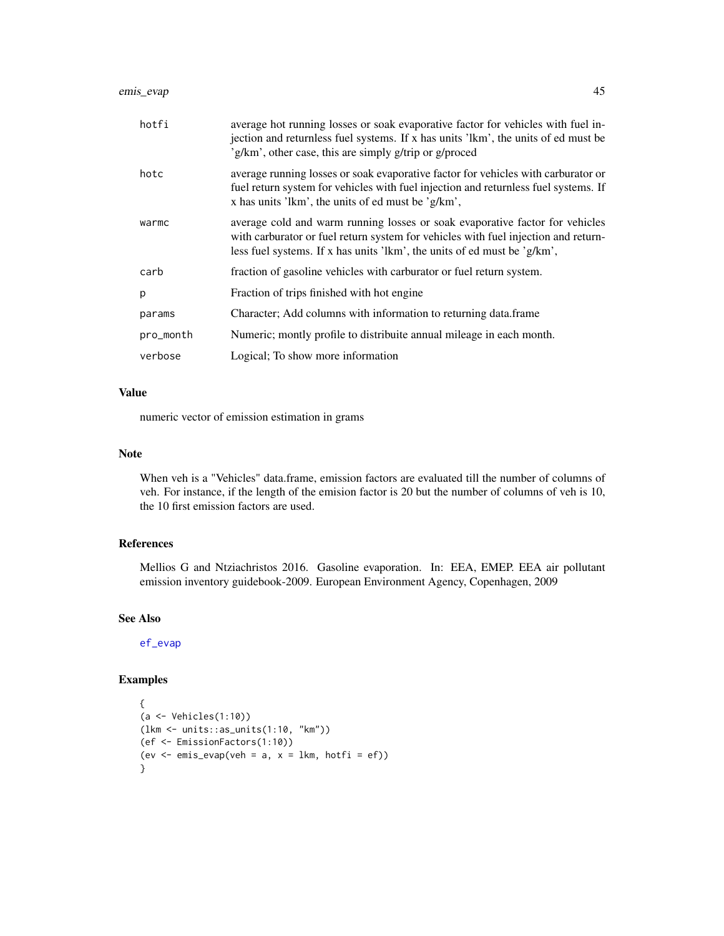| hotfi     | average hot running losses or soak evaporative factor for vehicles with fuel in-<br>jection and returnless fuel systems. If x has units 'lkm', the units of ed must be<br>'g/km', other case, this are simply g/trip or g/proced               |
|-----------|------------------------------------------------------------------------------------------------------------------------------------------------------------------------------------------------------------------------------------------------|
| hotc      | average running losses or soak evaporative factor for vehicles with carburator or<br>fuel return system for vehicles with fuel injection and returnless fuel systems. If<br>x has units 'lkm', the units of ed must be 'g/km',                 |
| warmc     | average cold and warm running losses or soak evaporative factor for vehicles<br>with carburator or fuel return system for vehicles with fuel injection and return-<br>less fuel systems. If x has units 'lkm', the units of ed must be 'g/km', |
| carb      | fraction of gasoline vehicles with carburator or fuel return system.                                                                                                                                                                           |
| p         | Fraction of trips finished with hot engine                                                                                                                                                                                                     |
| params    | Character; Add columns with information to returning data.frame                                                                                                                                                                                |
| pro_month | Numeric; montly profile to distribuite annual mileage in each month.                                                                                                                                                                           |
| verbose   | Logical; To show more information                                                                                                                                                                                                              |

### Value

numeric vector of emission estimation in grams

### Note

When veh is a "Vehicles" data.frame, emission factors are evaluated till the number of columns of veh. For instance, if the length of the emision factor is 20 but the number of columns of veh is 10, the 10 first emission factors are used.

## References

Mellios G and Ntziachristos 2016. Gasoline evaporation. In: EEA, EMEP. EEA air pollutant emission inventory guidebook-2009. European Environment Agency, Copenhagen, 2009

# See Also

[ef\\_evap](#page-10-0)

```
{
(a <- Vehicles(1:10))
(lkm <- units::as_units(1:10, "km"))
(ef <- EmissionFactors(1:10))
(ev \leq emis_evap(veh = a, x = 1km, hotfi = ef))
}
```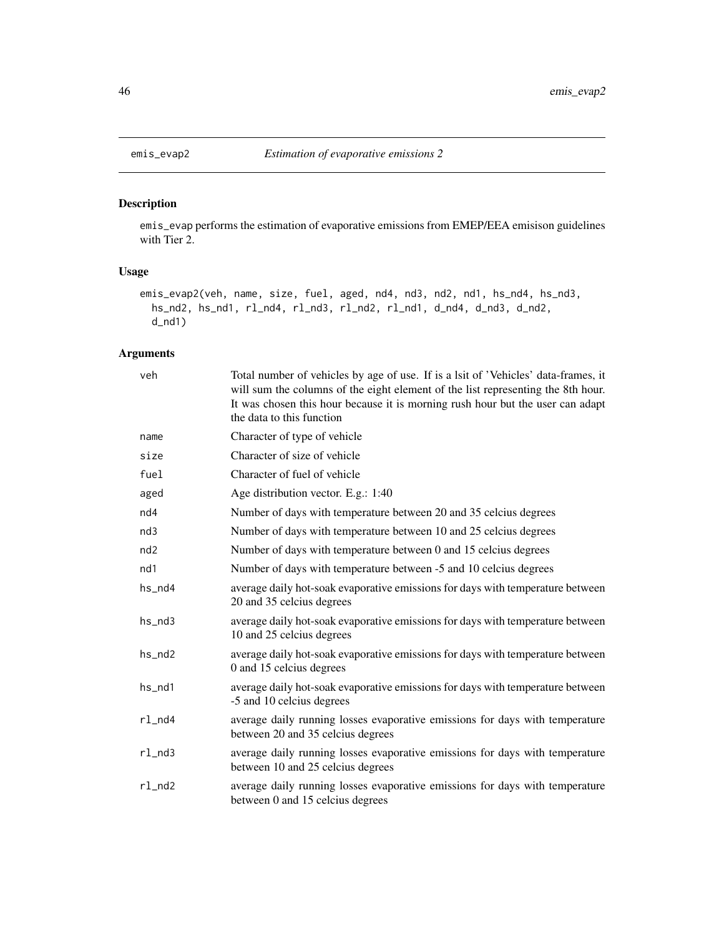## Description

emis\_evap performs the estimation of evaporative emissions from EMEP/EEA emisison guidelines with Tier 2.

#### Usage

```
emis_evap2(veh, name, size, fuel, aged, nd4, nd3, nd2, nd1, hs_nd4, hs_nd3,
 hs_nd2, hs_nd1, rl_nd4, rl_nd3, rl_nd2, rl_nd1, d_nd4, d_nd3, d_nd2,
 d_nd1)
```
## Arguments

| veh          | Total number of vehicles by age of use. If is a lsit of 'Vehicles' data-frames, it<br>will sum the columns of the eight element of the list representing the 8th hour.<br>It was chosen this hour because it is morning rush hour but the user can adapt<br>the data to this function |
|--------------|---------------------------------------------------------------------------------------------------------------------------------------------------------------------------------------------------------------------------------------------------------------------------------------|
| name         | Character of type of vehicle                                                                                                                                                                                                                                                          |
| size         | Character of size of vehicle                                                                                                                                                                                                                                                          |
| fuel         | Character of fuel of vehicle                                                                                                                                                                                                                                                          |
| aged         | Age distribution vector. E.g.: 1:40                                                                                                                                                                                                                                                   |
| nd4          | Number of days with temperature between 20 and 35 celcius degrees                                                                                                                                                                                                                     |
| nd3          | Number of days with temperature between 10 and 25 celcius degrees                                                                                                                                                                                                                     |
| nd2          | Number of days with temperature between 0 and 15 celcius degrees                                                                                                                                                                                                                      |
| nd1          | Number of days with temperature between -5 and 10 celcius degrees                                                                                                                                                                                                                     |
| hs_nd4       | average daily hot-soak evaporative emissions for days with temperature between<br>20 and 35 celcius degrees                                                                                                                                                                           |
| $hs_n$ d3    | average daily hot-soak evaporative emissions for days with temperature between<br>10 and 25 celcius degrees                                                                                                                                                                           |
| hs_nd2       | average daily hot-soak evaporative emissions for days with temperature between<br>0 and 15 celcius degrees                                                                                                                                                                            |
| hs_nd1       | average daily hot-soak evaporative emissions for days with temperature between<br>-5 and 10 celcius degrees                                                                                                                                                                           |
| rl_nd4       | average daily running losses evaporative emissions for days with temperature<br>between 20 and 35 celcius degrees                                                                                                                                                                     |
| $r1$ _nd $3$ | average daily running losses evaporative emissions for days with temperature<br>between 10 and 25 celcius degrees                                                                                                                                                                     |
| $r1$ _nd $2$ | average daily running losses evaporative emissions for days with temperature<br>between 0 and 15 celcius degrees                                                                                                                                                                      |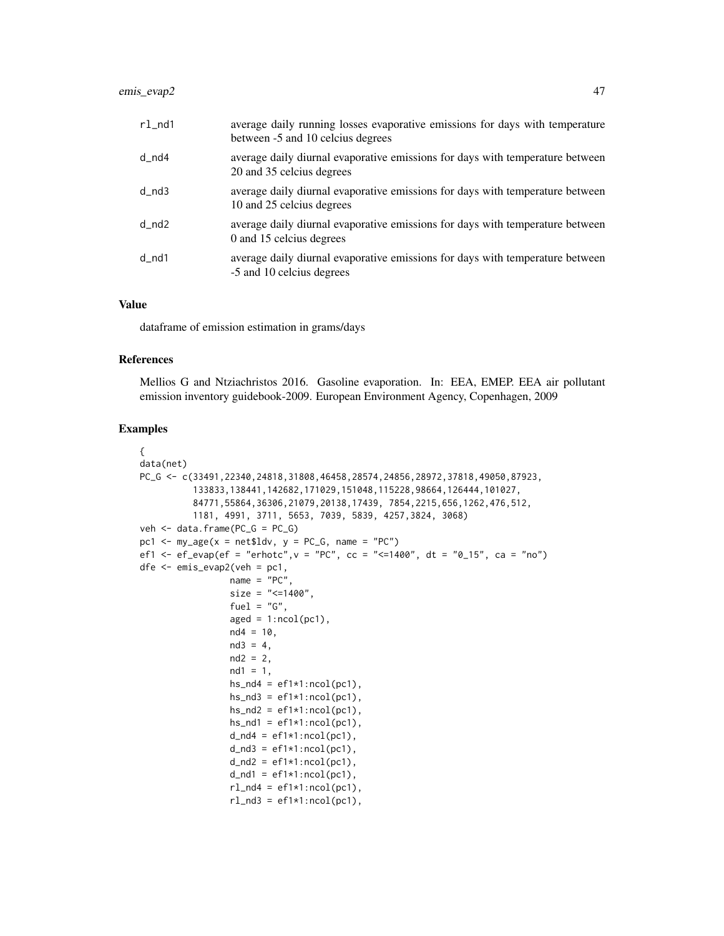## emis\_evap2 47

| $r1$ _nd1 | average daily running losses evaporative emissions for days with temperature<br>between -5 and 10 celcius degrees |
|-----------|-------------------------------------------------------------------------------------------------------------------|
| d_nd4     | average daily diurnal evaporative emissions for days with temperature between<br>20 and 35 celcius degrees        |
| $d_{nd3}$ | average daily diurnal evaporative emissions for days with temperature between<br>10 and 25 celcius degrees        |
| $d_{nd2}$ | average daily diurnal evaporative emissions for days with temperature between<br>0 and 15 celcius degrees         |
| $d$ _nd1  | average daily diurnal evaporative emissions for days with temperature between<br>-5 and 10 celcius degrees        |

### Value

dataframe of emission estimation in grams/days

### References

Mellios G and Ntziachristos 2016. Gasoline evaporation. In: EEA, EMEP. EEA air pollutant emission inventory guidebook-2009. European Environment Agency, Copenhagen, 2009

```
{
data(net)
PC_G <- c(33491,22340,24818,31808,46458,28574,24856,28972,37818,49050,87923,
          133833,138441,142682,171029,151048,115228,98664,126444,101027,
          84771,55864,36306,21079,20138,17439, 7854,2215,656,1262,476,512,
          1181, 4991, 3711, 5653, 7039, 5839, 4257,3824, 3068)
veh <- data.frame(PC_G = PC_G)
pc1 <- my\text{-}age(x = net$ldv, y = PC_G, name = "PC")ef1 <- ef_evap(ef = "erhotc", v = "PC", cc = "<=1400", dt = "0_15", ca = "no")
dfe \leq emis_evap2(veh = pc1,
                 name = "PC"size = "<=1400".fuel = "G",aged = 1:ncol(pc1),nd4 = 10,nd3 = 4,
                 nd2 = 2,
                 nd1 = 1,
                 hs\_nd4 = eff1*1:ncol(pc1),
                 hs\_nd3 = ef1*1:ncol(pc1),hs\_nd2 = eff1*1:ncol(pc1),hs\_nd1 = eff1*1:ncol(pc1),
                 d_{nd4} = ef1*1:ncol(pc1),d\_nd3 = ef1*1:ncol(pc1),d_{nd2} = ef1*1:ncol(pc1),d_{nd1} = ef1*1:ncol(pc1),rl\_nd4 = ef1*1:ncol(pc1),rl\_nd3 = ef1*1:ncol(pc1),
```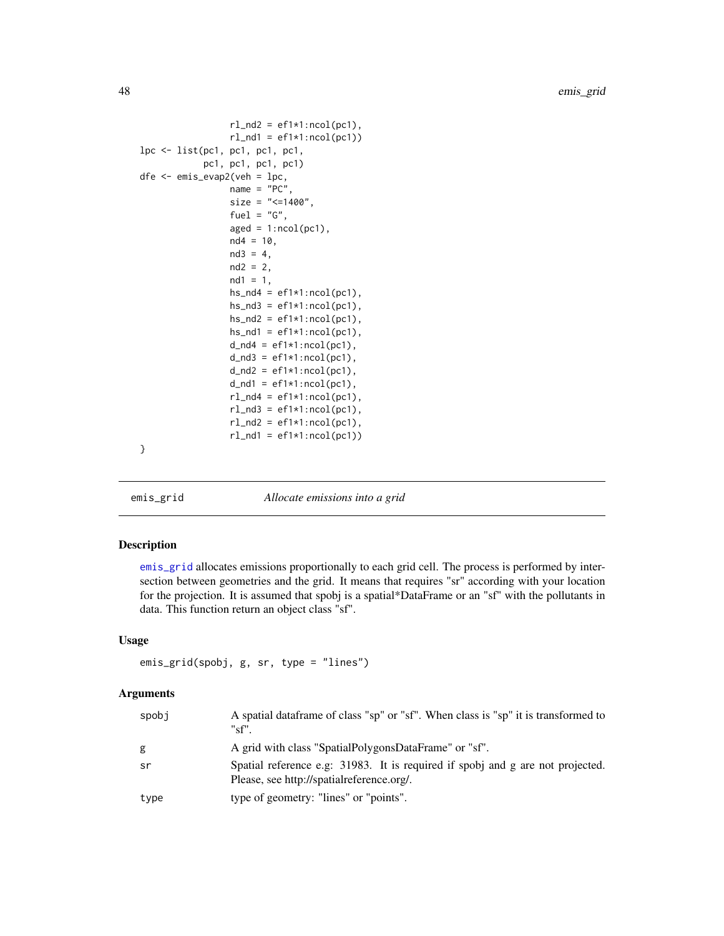```
rl\_nd2 = ef1*1:ncol(pc1),rl\_nd1 = ef1*1:ncol(pc1))lpc <- list(pc1, pc1, pc1, pc1,
            pc1, pc1, pc1, pc1)
dfe <- emis_evap2(veh = lpc,
                 name = "PC",size = "<=1400",fuel = "G",aged = 1:ncol(pc1),nd4 = 10,nd3 = 4,nd2 = 2,
                 nd1 = 1,hs\_nd4 = eff1*1:ncol(pc1),
                 hs\_nd3 = ef1*1:ncol(pc1),hs\_nd2 = eff1*1:ncol(pc1),hs\_nd1 = ef1*1:ncol(pc1),d\_nd4 = ef1*1:ncol(pc1),d\_nd3 = ef1*1:ncol(pc1),d_{nd2} = ef1*1:ncol(pc1),d\_nd1 = ef1*1:ncol(pc1),rl\_nd4 = ef1*1:ncol(pc1),rl\_nd3 = ef1*1:ncol(pc1),rl\_nd2 = ef1*1:ncol(pc1),rl\_nd1 = ef1*1:ncol(pc1))}
```
emis\_grid *Allocate emissions into a grid*

## Description

[emis\\_grid](#page-47-0) allocates emissions proportionally to each grid cell. The process is performed by intersection between geometries and the grid. It means that requires "sr" according with your location for the projection. It is assumed that spobj is a spatial\*DataFrame or an "sf" with the pollutants in data. This function return an object class "sf".

### Usage

```
emis_grid(spobj, g, sr, type = "lines")
```
#### Arguments

| spobi | A spatial data frame of class "sp" or "sf". When class is "sp" it is transformed to<br>"sf".                                |
|-------|-----------------------------------------------------------------------------------------------------------------------------|
| g     | A grid with class "SpatialPolygonsDataFrame" or "sf".                                                                       |
| sr    | Spatial reference e.g. 31983. It is required if spobj and g are not projected.<br>Please, see http://spatialreference.org/. |
| type  | type of geometry: "lines" or "points".                                                                                      |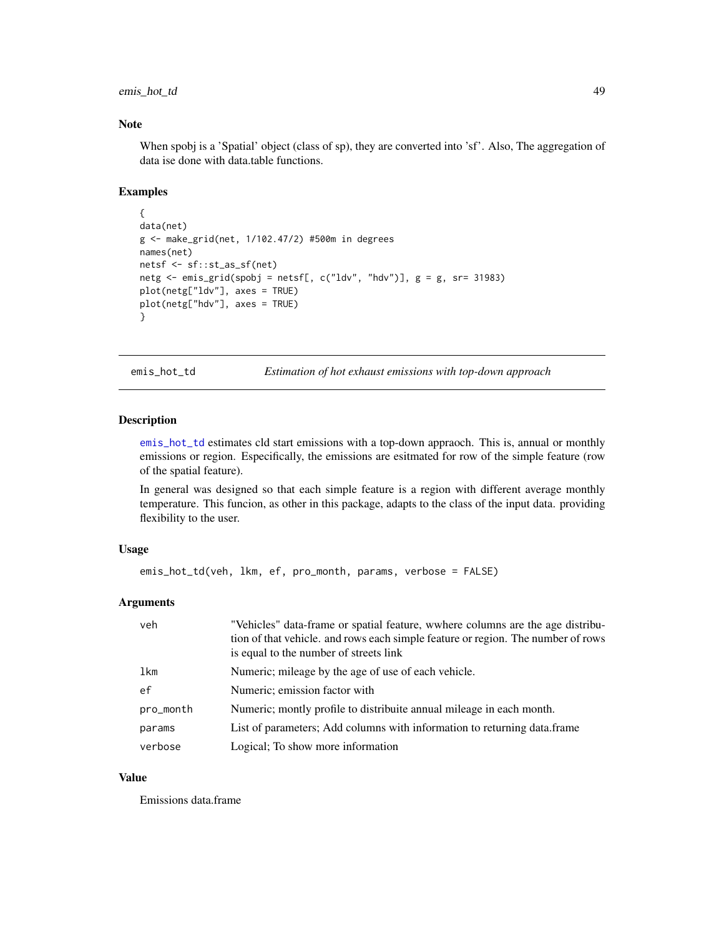## emis\_hot\_td 49

### Note

When spobj is a 'Spatial' object (class of sp), they are converted into 'sf'. Also, The aggregation of data ise done with data.table functions.

#### Examples

```
{
data(net)
g <- make_grid(net, 1/102.47/2) #500m in degrees
names(net)
netsf <- sf::st_as_sf(net)
netg \le emis_grid(spobj = netsf[, c("ldv", "hdv")], g = g, sr= 31983)
plot(netg["ldv"], axes = TRUE)
plot(netg["hdv"], axes = TRUE)
}
```
<span id="page-48-0"></span>emis\_hot\_td *Estimation of hot exhaust emissions with top-down approach*

#### Description

[emis\\_hot\\_td](#page-48-0) estimates cld start emissions with a top-down appraoch. This is, annual or monthly emissions or region. Especifically, the emissions are esitmated for row of the simple feature (row of the spatial feature).

In general was designed so that each simple feature is a region with different average monthly temperature. This funcion, as other in this package, adapts to the class of the input data. providing flexibility to the user.

### Usage

```
emis_hot_td(veh, lkm, ef, pro_month, params, verbose = FALSE)
```
### Arguments

| veh       | "Vehicles" data-frame or spatial feature, wwhere columns are the age distribu-<br>tion of that vehicle, and rows each simple feature or region. The number of rows<br>is equal to the number of streets link |
|-----------|--------------------------------------------------------------------------------------------------------------------------------------------------------------------------------------------------------------|
| lkm       | Numeric; mileage by the age of use of each vehicle.                                                                                                                                                          |
| ef        | Numeric; emission factor with                                                                                                                                                                                |
| pro_month | Numeric; montly profile to distribuite annual mileage in each month.                                                                                                                                         |
| params    | List of parameters; Add columns with information to returning data.frame                                                                                                                                     |
| verbose   | Logical; To show more information                                                                                                                                                                            |

#### Value

Emissions data.frame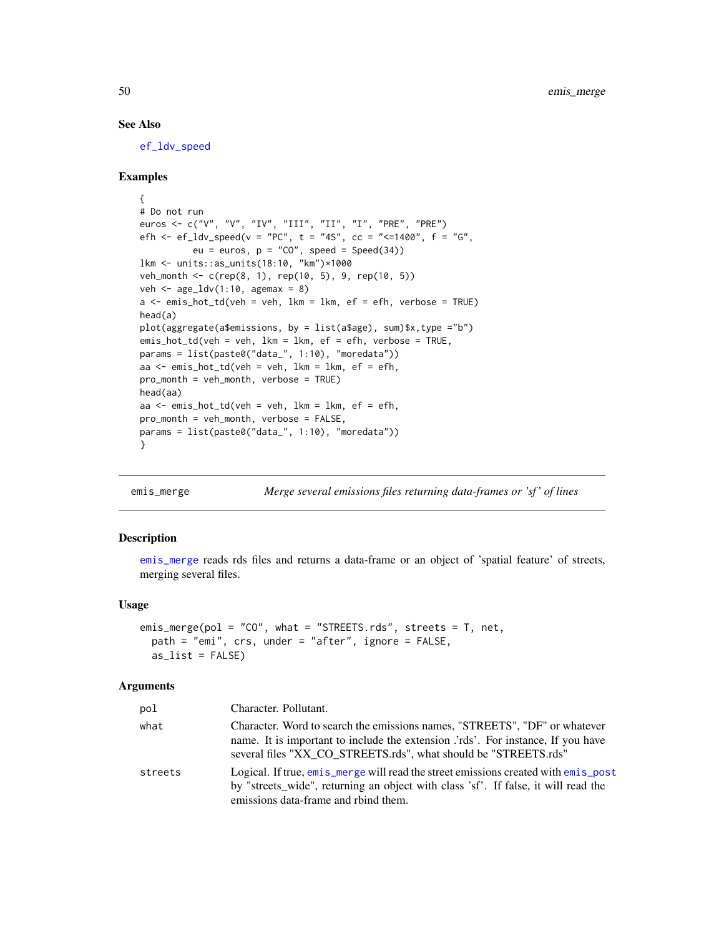### See Also

[ef\\_ldv\\_speed](#page-23-0)

### Examples

```
{
# Do not run
euros <- c("V", "V", "IV", "III", "II", "I", "PRE", "PRE")
efh <- ef_ldv_speed(v = "PC", t = "4S", cc = "<=1400", f = "G",
          eu = euros, p = "CO", speed = Speed(34))lkm <- units::as_units(18:10, "km")*1000
veh_month <- c(rep(8, 1), rep(10, 5), 9, rep(10, 5))
veh \leq age_ldv(1:10, agemax = 8)
a \le - emis_hot_td(veh = veh, lkm = lkm, ef = efh, verbose = TRUE)
head(a)
plot(aggregate(a$emissions, by = list(a$age), sum)$x,type ="b")
emis_hot_td(veh = veh, lkm = lkm, ef = efh, verbose = TRUE,
params = list(paste0("data_", 1:10), "moredata"))
aa <- emis_hot_td(veh = veh, lkm = lkm, ef = efh,
pro_month = veh_month, verbose = TRUE)
head(aa)
aa \leq emis_hot_td(veh = veh, lkm = lkm, ef = efh,
pro_month = veh_month, verbose = FALSE,
params = list(paste0("data_", 1:10), "moredata"))
}
```
<span id="page-49-0"></span>

emis\_merge *Merge several emissions files returning data-frames or 'sf ' of lines*

#### Description

[emis\\_merge](#page-49-0) reads rds files and returns a data-frame or an object of 'spatial feature' of streets, merging several files.

#### Usage

```
emis_merge(pol = "CO", what = "STREETS.rds", streets = T, net,
 path = "emi", crs, under = "after", ignore = FALSE,
  as\_list = FALSE)
```
#### Arguments

| pol     | Character. Pollutant.                                                                                                                                                                                                            |
|---------|----------------------------------------------------------------------------------------------------------------------------------------------------------------------------------------------------------------------------------|
| what    | Character. Word to search the emissions names, "STREETS", "DF" or whatever<br>name. It is important to include the extension 'rds'. For instance, If you have<br>several files "XX CO STREETS.rds", what should be "STREETS.rds" |
| streets | Logical. If true, emis_merge will read the street emissions created with emis_post<br>by "streets_wide", returning an object with class 'sf'. If false, it will read the<br>emissions data-frame and rbind them.                 |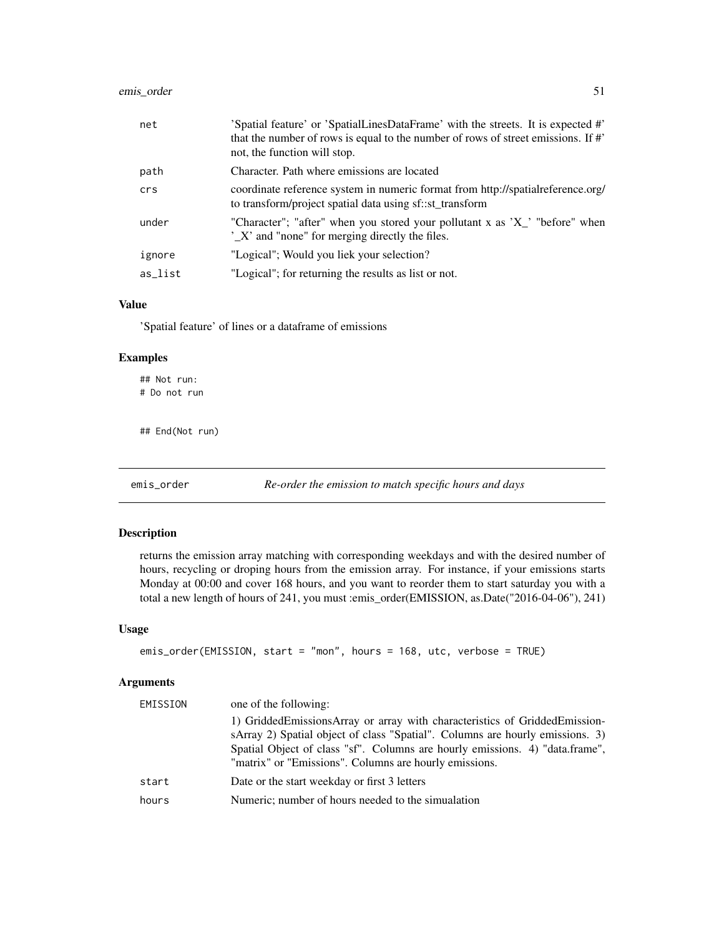## emis\_order 51

| net     | 'Spatial feature' or 'SpatialLinesDataFrame' with the streets. It is expected #'<br>that the number of rows is equal to the number of rows of street emissions. If #'<br>not, the function will stop. |
|---------|-------------------------------------------------------------------------------------------------------------------------------------------------------------------------------------------------------|
| path    | Character. Path where emissions are located                                                                                                                                                           |
| crs     | coordinate reference system in numeric format from http://spatialreference.org/<br>to transform/project spatial data using sf::st_transform                                                           |
| under   | "Character"; "after" when you stored your pollutant x as 'X' "before" when<br>$\sum X'$ and "none" for merging directly the files.                                                                    |
| ignore  | "Logical"; Would you liek your selection?                                                                                                                                                             |
| as list | "Logical"; for returning the results as list or not.                                                                                                                                                  |

### Value

'Spatial feature' of lines or a dataframe of emissions

### Examples

## Not run: # Do not run

## End(Not run)

emis\_order *Re-order the emission to match specific hours and days*

## Description

returns the emission array matching with corresponding weekdays and with the desired number of hours, recycling or droping hours from the emission array. For instance, if your emissions starts Monday at 00:00 and cover 168 hours, and you want to reorder them to start saturday you with a total a new length of hours of 241, you must :emis\_order(EMISSION, as.Date("2016-04-06"), 241)

#### Usage

```
emis_order(EMISSION, start = "mon", hours = 168, utc, verbose = TRUE)
```
# Arguments

| EMISSION | one of the following:                                                                                                                                                                                                                                                                                 |
|----------|-------------------------------------------------------------------------------------------------------------------------------------------------------------------------------------------------------------------------------------------------------------------------------------------------------|
|          | 1) GriddedEmissionsArray or array with characteristics of GriddedEmission-<br>sArray 2) Spatial object of class "Spatial". Columns are hourly emissions. 3)<br>Spatial Object of class "sf". Columns are hourly emissions. 4) "data.frame",<br>"matrix" or "Emissions". Columns are hourly emissions. |
| start    | Date or the start weekday or first 3 letters                                                                                                                                                                                                                                                          |
| hours    | Numeric; number of hours needed to the simualation                                                                                                                                                                                                                                                    |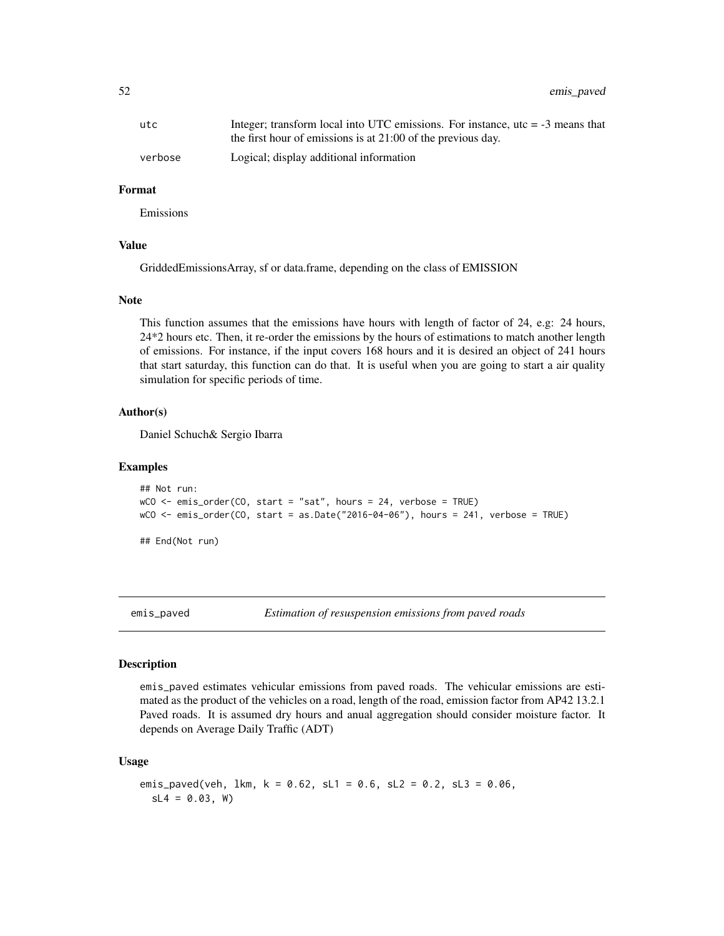52 emis\_paved

| utc     | Integer; transform local into UTC emissions. For instance, $\mu$ tc = -3 means that |
|---------|-------------------------------------------------------------------------------------|
|         | the first hour of emissions is at $21:00$ of the previous day.                      |
| verbose | Logical; display additional information                                             |

### Format

Emissions

#### Value

GriddedEmissionsArray, sf or data.frame, depending on the class of EMISSION

### Note

This function assumes that the emissions have hours with length of factor of 24, e.g: 24 hours, 24\*2 hours etc. Then, it re-order the emissions by the hours of estimations to match another length of emissions. For instance, if the input covers 168 hours and it is desired an object of 241 hours that start saturday, this function can do that. It is useful when you are going to start a air quality simulation for specific periods of time.

#### Author(s)

Daniel Schuch& Sergio Ibarra

#### Examples

```
## Not run:
wCO \le - emis_order(CO, start = "sat", hours = 24, verbose = TRUE)
wCO <- emis_order(CO, start = as.Date("2016-04-06"), hours = 241, verbose = TRUE)
## End(Not run)
```
emis\_paved *Estimation of resuspension emissions from paved roads*

#### Description

emis\_paved estimates vehicular emissions from paved roads. The vehicular emissions are estimated as the product of the vehicles on a road, length of the road, emission factor from AP42 13.2.1 Paved roads. It is assumed dry hours and anual aggregation should consider moisture factor. It depends on Average Daily Traffic (ADT)

### Usage

```
emis_paved(veh, lkm, k = 0.62, sl1 = 0.6, sl2 = 0.2, sl3 = 0.06,
  SL4 = 0.03, W
```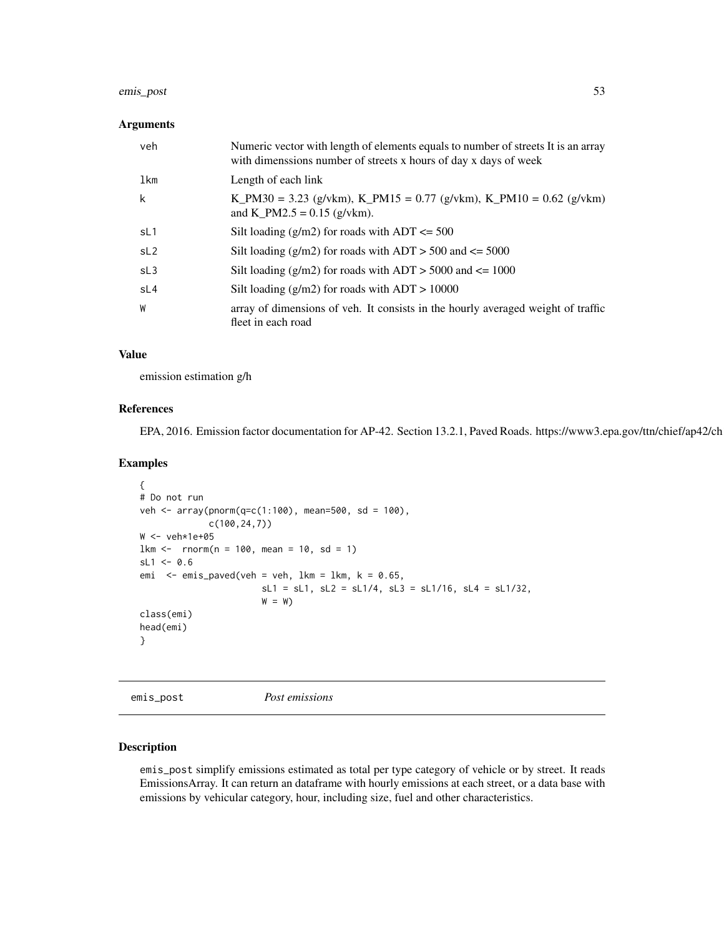#### emis\_post 53

#### Arguments

| veh             | Numeric vector with length of elements equals to number of streets It is an array<br>with dimensions number of streets x hours of day x days of week |
|-----------------|------------------------------------------------------------------------------------------------------------------------------------------------------|
| lkm             | Length of each link                                                                                                                                  |
| k               | K_PM30 = 3.23 (g/vkm), K_PM15 = 0.77 (g/vkm), K_PM10 = 0.62 (g/vkm)<br>and K_PM2.5 = $0.15$ (g/vkm).                                                 |
| sL1             | Silt loading $(g/m2)$ for roads with ADT $\leq 500$                                                                                                  |
| sL <sub>2</sub> | Silt loading $(g/m2)$ for roads with ADT > 500 and $\leq$ 5000                                                                                       |
| SL <sub>3</sub> | Silt loading $(g/m2)$ for roads with ADT > 5000 and $\leq 1000$                                                                                      |
| sL4             | Silt loading $(g/m2)$ for roads with ADT > 10000                                                                                                     |
| W               | array of dimensions of veh. It consists in the hourly averaged weight of traffic<br>fleet in each road                                               |

### Value

emission estimation g/h

## References

EPA, 2016. Emission factor documentation for AP-42. Section 13.2.1, Paved Roads. https://www3.epa.gov/ttn/chief/ap42/ch

### Examples

```
{
# Do not run
veh <- array(pnorm(q=c(1:100), mean=500, sd = 100),
             c(100,24,7))
W <- veh*1e+05
lkm < - rnorm(n = 100, mean = 10, sd = 1)
sL1 < -0.6emi \leq emis_paved(veh = veh, lkm = lkm, k = 0.65,
                       sL1 = sL1, sL2 = sL1/4, sL3 = sL1/16, sL4 = sL1/32,
                       W = Wclass(emi)
head(emi)
}
```
<span id="page-52-0"></span>emis\_post *Post emissions*

## Description

emis\_post simplify emissions estimated as total per type category of vehicle or by street. It reads EmissionsArray. It can return an dataframe with hourly emissions at each street, or a data base with emissions by vehicular category, hour, including size, fuel and other characteristics.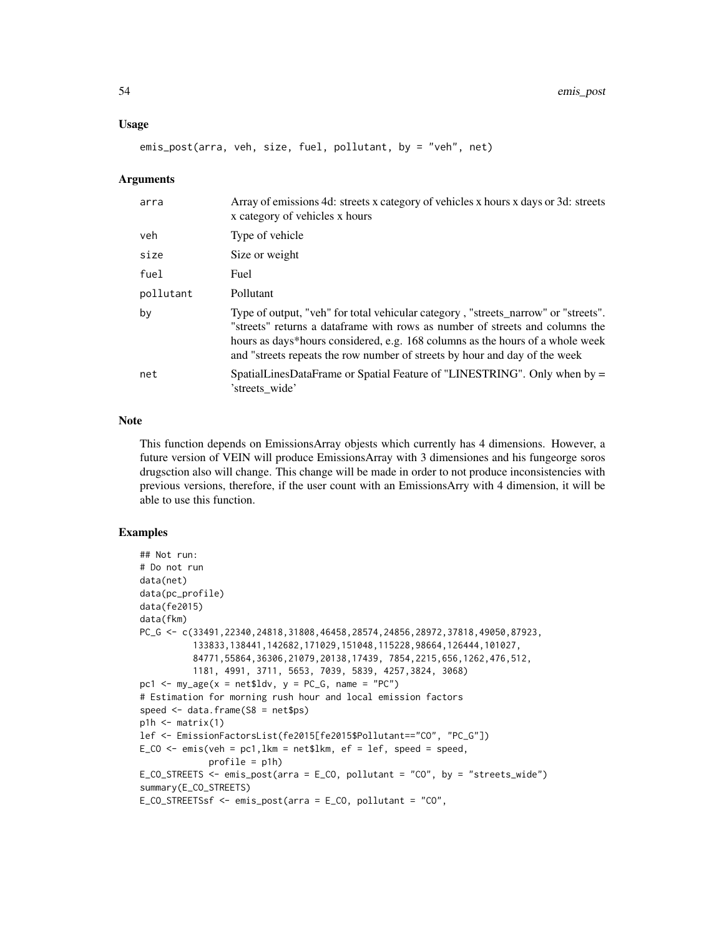#### Usage

emis\_post(arra, veh, size, fuel, pollutant, by = "veh", net)

#### Arguments

| arra      | Array of emissions 4d: streets x category of vehicles x hours x days or 3d: streets<br>x category of vehicles x hours                                                                                                                                                                                                             |
|-----------|-----------------------------------------------------------------------------------------------------------------------------------------------------------------------------------------------------------------------------------------------------------------------------------------------------------------------------------|
| veh       | Type of vehicle                                                                                                                                                                                                                                                                                                                   |
| size      | Size or weight                                                                                                                                                                                                                                                                                                                    |
| fuel      | Fuel                                                                                                                                                                                                                                                                                                                              |
| pollutant | Pollutant                                                                                                                                                                                                                                                                                                                         |
| by        | Type of output, "veh" for total vehicular category, "streets_narrow" or "streets".<br>"streets" returns a dataframe with rows as number of streets and columns the<br>hours as days*hours considered, e.g. 168 columns as the hours of a whole week<br>and "streets repeats the row number of streets by hour and day of the week |
| net       | SpatialLinesDataFrame or Spatial Feature of "LINESTRING". Only when by =<br>'streets wide'                                                                                                                                                                                                                                        |

#### Note

This function depends on EmissionsArray objests which currently has 4 dimensions. However, a future version of VEIN will produce EmissionsArray with 3 dimensiones and his fungeorge soros drugsction also will change. This change will be made in order to not produce inconsistencies with previous versions, therefore, if the user count with an EmissionsArry with 4 dimension, it will be able to use this function.

```
## Not run:
# Do not run
data(net)
data(pc_profile)
data(fe2015)
data(fkm)
PC_G <- c(33491,22340,24818,31808,46458,28574,24856,28972,37818,49050,87923,
          133833,138441,142682,171029,151048,115228,98664,126444,101027,
          84771,55864,36306,21079,20138,17439, 7854,2215,656,1262,476,512,
          1181, 4991, 3711, 5653, 7039, 5839, 4257,3824, 3068)
pc1 <- my\_\text{age}(x = net$1dv, y = PC\_\text{G}, name = "PC")# Estimation for morning rush hour and local emission factors
speed \leq data.frame(S8 = net$ps)
p1h \leftarrow matrix(1)lef <- EmissionFactorsList(fe2015[fe2015$Pollutant=="CO", "PC_G"])
E_CO \leq emis(veh = pc1, lkm = net$lkm, ef = lef, speed = speed,
             profile = p1h)
E_CO_STREETS <- emis_post(arra = E_CO, pollutant = "CO", by = "streets_wide")
summary(E_CO_STREETS)
E_CO_STREETSsf <- emis_post(arra = E_CO, pollutant = "CO",
```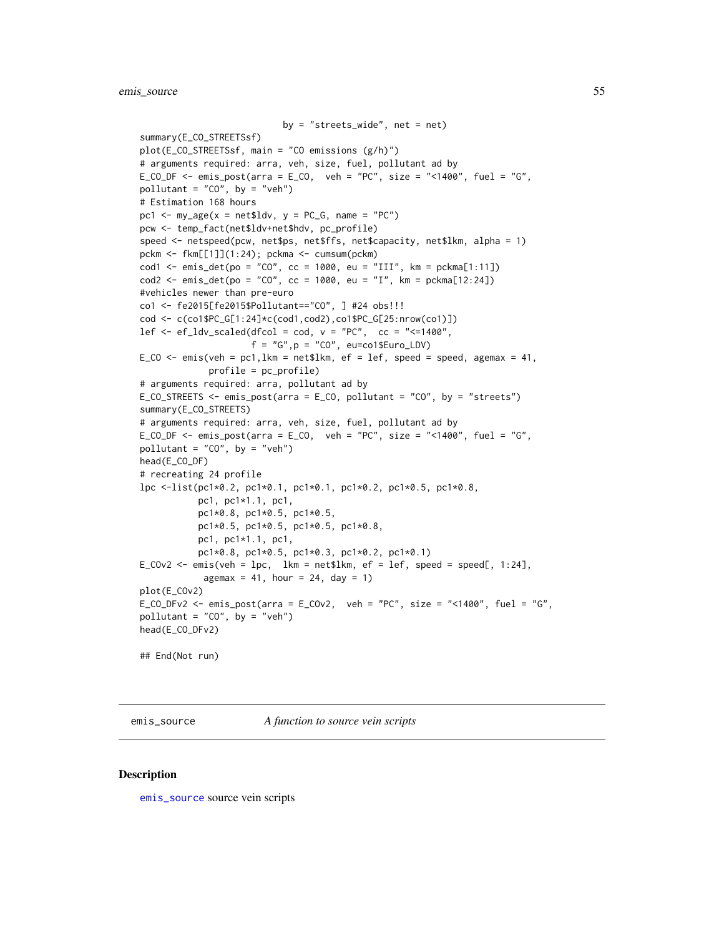```
by = "streets_wide", net = net)
summary(E_CO_STREETSsf)
plot(E_CO_STREETSsf, main = "CO emissions (g/h)")
# arguments required: arra, veh, size, fuel, pollutant ad by
E_CO_DF \le - emis_post(arra = E_CO, veh = "PC", size = "\le1400", fuel = "G",
pollutant = "CO", by = "veh")
# Estimation 168 hours
pc1 <- my\_\text{age}(x = net$1dv, y = PC_G, name = "PC")pcw <- temp_fact(net$ldv+net$hdv, pc_profile)
speed <- netspeed(pcw, net$ps, net$ffs, net$capacity, net$lkm, alpha = 1)
pckm <- fkm[[1]](1:24); pckma <- cumsum(pckm)
cod1 <- emis\_det(po = "CO", cc = 1000, eu = "III", km = pckma[1:11])cod2 \le - \text{emis\_det}(po = "CO", cc = 1000, eu = "I", km = pckma[12:24])#vehicles newer than pre-euro
co1 <- fe2015[fe2015$Pollutant=="CO", ] #24 obs!!!
cod <- c(co1$PC_G[1:24]*c(cod1,cod2),co1$PC_G[25:nrow(co1)])
lef \le - ef_ldv_scaled(dfcol = cod, v = "PC", cc = "\le=1400",
                     f = "G", p = "CO", eu=co1$Euro_LDV)E_CO \le emis(veh = pc1, lkm = net$lkm, ef = lef, speed = speed, agemax = 41,
             profile = pc_profile)
# arguments required: arra, pollutant ad by
E_CO_STREETS \le emis_post(arra = E_CO, pollutant = "CO", by = "streets")
summary(E_CO_STREETS)
# arguments required: arra, veh, size, fuel, pollutant ad by
E_CO_DF <- emis_post(arra = E_CO, veh = "PC", size = "<1400", fuel = "G",
pollutant = "CO", by = "veh")
head(E_CO_DF)
# recreating 24 profile
lpc <-list(pc1*0.2, pc1*0.1, pc1*0.1, pc1*0.2, pc1*0.5, pc1*0.8,
           pc1, pc1*1.1, pc1,
           pc1*0.8, pc1*0.5, pc1*0.5,
           pc1*0.5, pc1*0.5, pc1*0.5, pc1*0.8,
           pc1, pc1*1.1, pc1,
           pc1*0.8, pc1*0.5, pc1*0.3, pc1*0.2, pc1*0.1)
E_COv2 <- emis(veh = lpc, lkm = net$lkm, ef = lef, speed = speed[, 1:24],
            agemax = 41, hour = 24, day = 1)
plot(E_COv2)
E_CO_DFv2 <- emis_post(arra = E_COv2, veh = "PC", size = "<1400", fuel = "G",
pollutant = "CO", by = "veh")
head(E_CO_DFv2)
## End(Not run)
```
<span id="page-54-0"></span>emis\_source *A function to source vein scripts*

#### Description

[emis\\_source](#page-54-0) source vein scripts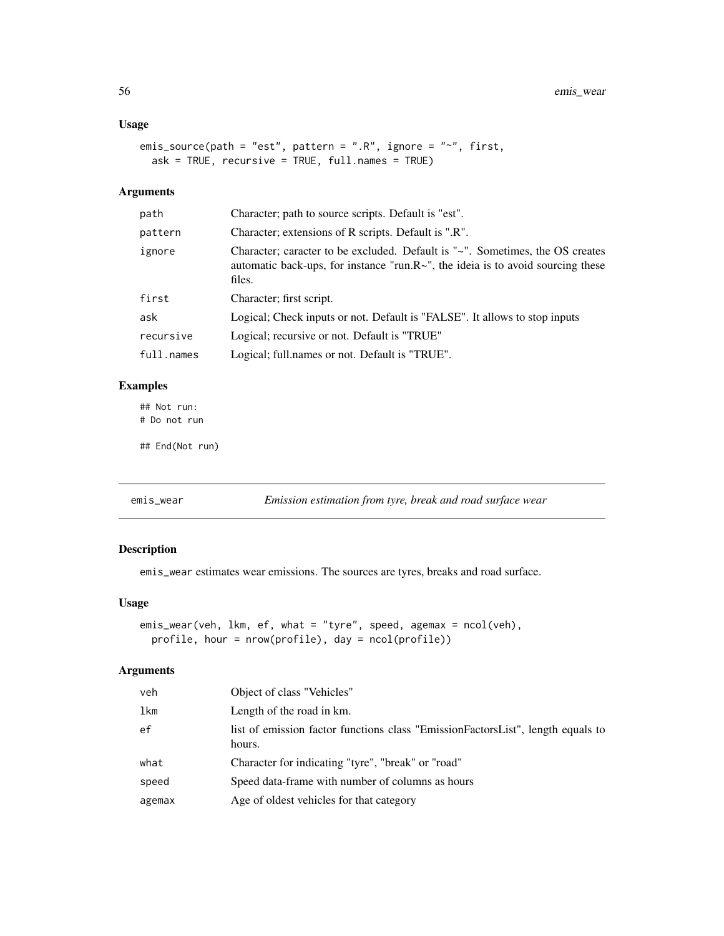### Usage

```
emis_source(path = "est", pattern = ".R", ignore = "~", first,
 ask = TRUE, recursive = TRUE, full.names = TRUE)
```
### Arguments

| path       | Character; path to source scripts. Default is "est".                                                                                                                              |
|------------|-----------------------------------------------------------------------------------------------------------------------------------------------------------------------------------|
| pattern    | Character; extensions of R scripts. Default is ".R".                                                                                                                              |
| ignore     | Character; caracter to be excluded. Default is "~". Sometimes, the OS creates<br>automatic back-ups, for instance "run. $R\sim$ ", the ideia is to avoid sourcing these<br>files. |
| first      | Character; first script.                                                                                                                                                          |
| ask        | Logical; Check inputs or not. Default is "FALSE". It allows to stop inputs                                                                                                        |
| recursive  | Logical; recursive or not. Default is "TRUE"                                                                                                                                      |
| full.names | Logical; full names or not. Default is "TRUE".                                                                                                                                    |

# Examples

## Not run: # Do not run

## End(Not run)

emis\_wear *Emission estimation from tyre, break and road surface wear*

## Description

emis\_wear estimates wear emissions. The sources are tyres, breaks and road surface.

### Usage

```
emis_wear(veh, lkm, ef, what = "tyre", speed, agemax = ncol(veh),
 profile, hour = nrow(profile), day = ncol(profile))
```
### Arguments

| veh    | Object of class "Vehicles"                                                                |
|--------|-------------------------------------------------------------------------------------------|
| lkm    | Length of the road in km.                                                                 |
| ef     | list of emission factor functions class "EmissionFactorsList", length equals to<br>hours. |
| what   | Character for indicating "tyre", "break" or "road"                                        |
| speed  | Speed data-frame with number of columns as hours                                          |
| agemax | Age of oldest vehicles for that category                                                  |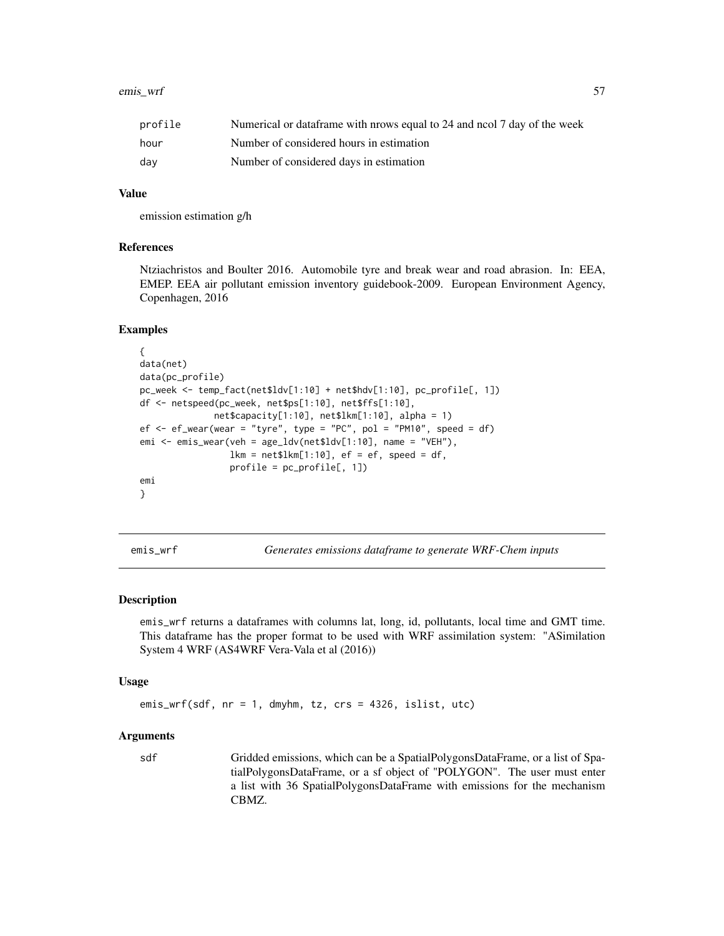| profile | Numerical or dataframe with prows equal to 24 and nool 7 day of the week |
|---------|--------------------------------------------------------------------------|
| hour    | Number of considered hours in estimation                                 |
| dav     | Number of considered days in estimation                                  |

### Value

emission estimation g/h

### References

Ntziachristos and Boulter 2016. Automobile tyre and break wear and road abrasion. In: EEA, EMEP. EEA air pollutant emission inventory guidebook-2009. European Environment Agency, Copenhagen, 2016

#### Examples

```
{
data(net)
data(pc_profile)
pc_week <- temp_fact(net$ldv[1:10] + net$hdv[1:10], pc_profile[, 1])
df <- netspeed(pc_week, net$ps[1:10], net$ffs[1:10],
              net$capacity[1:10], net$lkm[1:10], alpha = 1)
ef \leq ef_wear(wear = "tyre", type = "PC", pol = "PM10", speed = df)
emi <- emis_wear(veh = age_ldv(net$ldv[1:10], name = "VEH"),
                 lkm = net$lkm[1:10], ef = ef, speed = df,profile = pc_profile[, 1])
emi
}
```
emis\_wrf *Generates emissions dataframe to generate WRF-Chem inputs*

#### Description

emis\_wrf returns a dataframes with columns lat, long, id, pollutants, local time and GMT time. This dataframe has the proper format to be used with WRF assimilation system: "ASimilation System 4 WRF (AS4WRF Vera-Vala et al (2016))

### Usage

emis\_wrf(sdf, nr = 1, dmyhm, tz, crs = 4326, islist, utc)

#### Arguments

sdf Gridded emissions, which can be a SpatialPolygonsDataFrame, or a list of SpatialPolygonsDataFrame, or a sf object of "POLYGON". The user must enter a list with 36 SpatialPolygonsDataFrame with emissions for the mechanism CBMZ.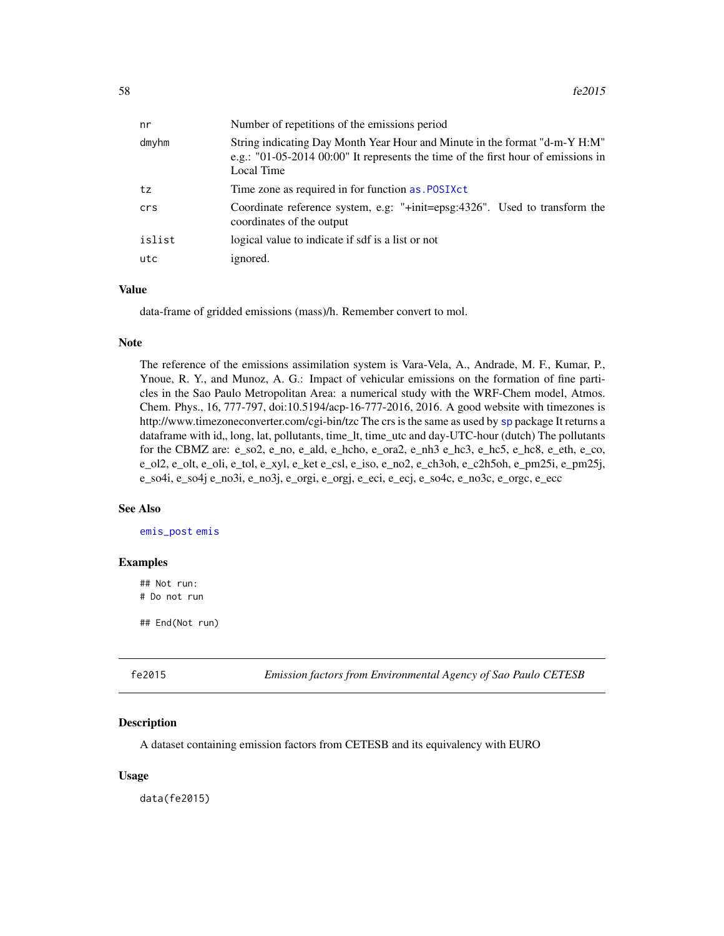| nr     | Number of repetitions of the emissions period                                                                                                                                 |
|--------|-------------------------------------------------------------------------------------------------------------------------------------------------------------------------------|
| dmyhm  | String indicating Day Month Year Hour and Minute in the format "d-m-Y H:M"<br>e.g.: "01-05-2014 00:00" It represents the time of the first hour of emissions in<br>Local Time |
| tz     | Time zone as required in for function as . POSIXct                                                                                                                            |
| crs    | Coordinate reference system, e.g: " $+i$ nit=epsg:4326". Used to transform the<br>coordinates of the output                                                                   |
| islist | logical value to indicate if sdf is a list or not                                                                                                                             |
| utc    | ignored.                                                                                                                                                                      |
|        |                                                                                                                                                                               |

## Value

data-frame of gridded emissions (mass)/h. Remember convert to mol.

### Note

The reference of the emissions assimilation system is Vara-Vela, A., Andrade, M. F., Kumar, P., Ynoue, R. Y., and Munoz, A. G.: Impact of vehicular emissions on the formation of fine particles in the Sao Paulo Metropolitan Area: a numerical study with the WRF-Chem model, Atmos. Chem. Phys., 16, 777-797, doi:10.5194/acp-16-777-2016, 2016. A good website with timezones is http://www.timezoneconverter.com/cgi-bin/tzc The crs is the same as used by [sp](#page-0-0) package It returns a dataframe with id,, long, lat, pollutants, time\_lt, time\_utc and day-UTC-hour (dutch) The pollutants for the CBMZ are: e\_so2, e\_no, e\_ald, e\_hcho, e\_ora2, e\_nh3 e\_hc3, e\_hc5, e\_hc8, e\_eth, e\_co, e\_ol2, e\_olt, e\_oli, e\_tol, e\_xyl, e\_ket e\_csl, e\_iso, e\_no2, e\_ch3oh, e\_c2h5oh, e\_pm25i, e\_pm25j, e\_so4i, e\_so4j e\_no3i, e\_no3j, e\_orgi, e\_orgj, e\_eci, e\_ecj, e\_so4c, e\_no3c, e\_orgc, e\_ecc

### See Also

[emis\\_post](#page-52-0) [emis](#page-30-0)

#### Examples

## Not run: # Do not run

## End(Not run)

fe2015 *Emission factors from Environmental Agency of Sao Paulo CETESB*

### Description

A dataset containing emission factors from CETESB and its equivalency with EURO

#### Usage

data(fe2015)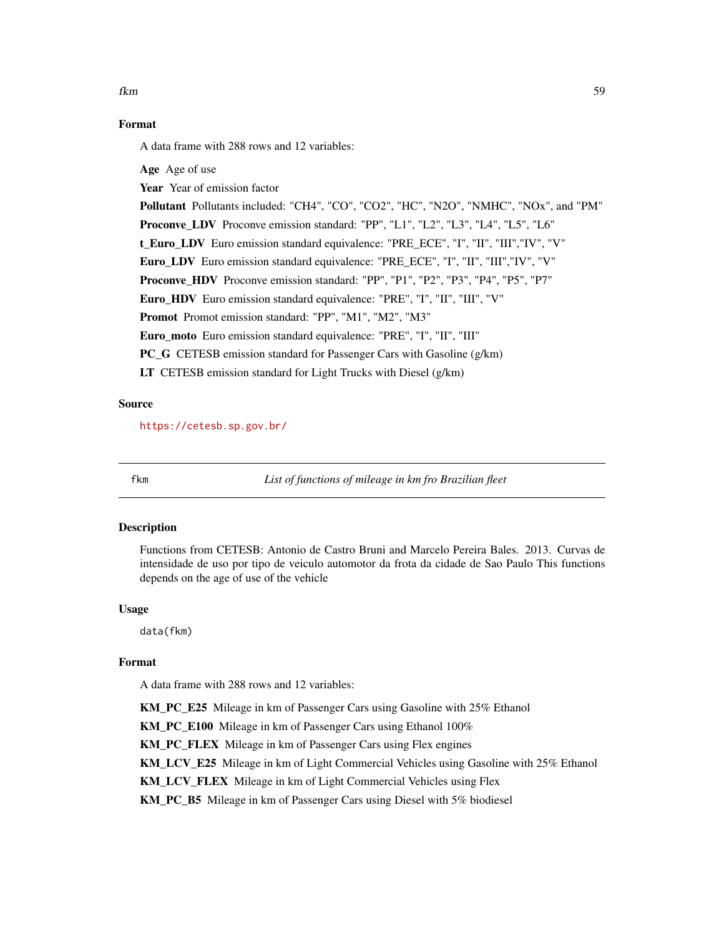# Format

A data frame with 288 rows and 12 variables:

Age Age of use Year Year of emission factor Pollutant Pollutants included: "CH4", "CO", "CO2", "HC", "N2O", "NMHC", "NOx", and "PM" Proconve\_LDV Proconve emission standard: "PP", "L1", "L2", "L3", "L4", "L5", "L6" t Euro LDV Euro emission standard equivalence: "PRE\_ECE", "I", "III", "III", "IV", "V" Euro\_LDV Euro emission standard equivalence: "PRE\_ECE", "I", "II", "III","IV", "V" Proconve\_HDV Proconve emission standard: "PP", "P1", "P2", "P3", "P4", "P5", "P7" Euro\_HDV Euro emission standard equivalence: "PRE", "I", "II", "III", "V" Promot Promot emission standard: "PP", "M1", "M2", "M3" Euro\_moto Euro emission standard equivalence: "PRE", "I", "II", "III" PC G CETESB emission standard for Passenger Cars with Gasoline (g/km) LT CETESB emission standard for Light Trucks with Diesel (g/km)

### Source

<https://cetesb.sp.gov.br/>

fkm *List of functions of mileage in km fro Brazilian fleet*

#### Description

Functions from CETESB: Antonio de Castro Bruni and Marcelo Pereira Bales. 2013. Curvas de intensidade de uso por tipo de veiculo automotor da frota da cidade de Sao Paulo This functions depends on the age of use of the vehicle

#### Usage

data(fkm)

## Format

A data frame with 288 rows and 12 variables:

KM\_PC\_E25 Mileage in km of Passenger Cars using Gasoline with 25% Ethanol KM\_PC\_E100 Mileage in km of Passenger Cars using Ethanol 100% KM\_PC\_FLEX Mileage in km of Passenger Cars using Flex engines KM\_LCV\_E25 Mileage in km of Light Commercial Vehicles using Gasoline with 25% Ethanol KM\_LCV\_FLEX Mileage in km of Light Commercial Vehicles using Flex KM\_PC\_B5 Mileage in km of Passenger Cars using Diesel with 5% biodiesel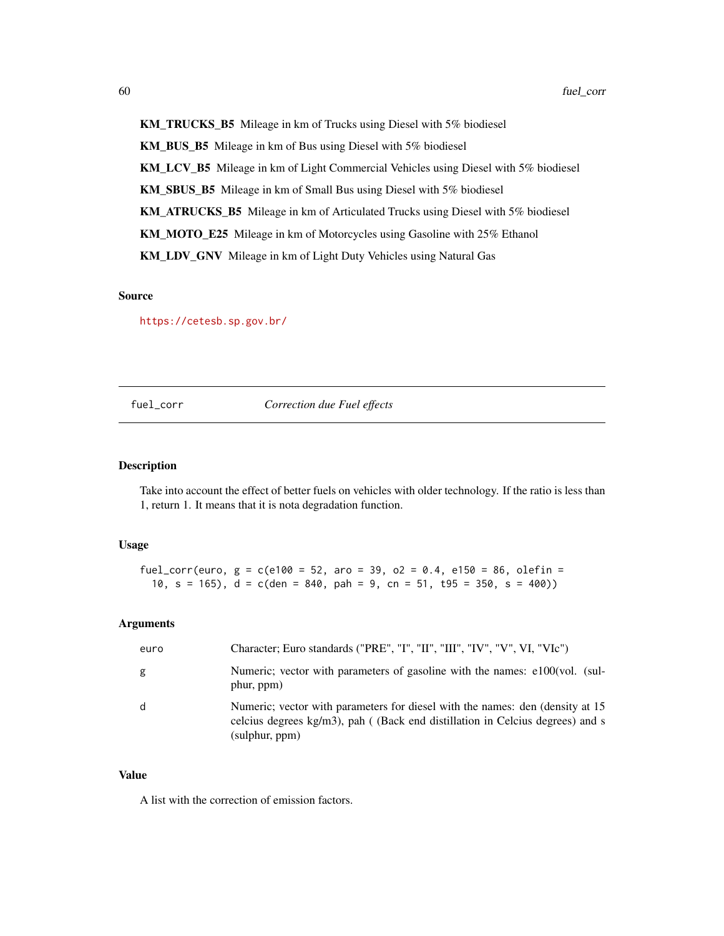KM\_TRUCKS\_B5 Mileage in km of Trucks using Diesel with 5% biodiesel KM\_BUS\_B5 Mileage in km of Bus using Diesel with 5% biodiesel KM\_LCV\_B5 Mileage in km of Light Commercial Vehicles using Diesel with 5% biodiesel KM\_SBUS\_B5 Mileage in km of Small Bus using Diesel with 5% biodiesel KM\_ATRUCKS\_B5 Mileage in km of Articulated Trucks using Diesel with 5% biodiesel KM\_MOTO\_E25 Mileage in km of Motorcycles using Gasoline with 25% Ethanol KM\_LDV\_GNV Mileage in km of Light Duty Vehicles using Natural Gas

#### Source

<https://cetesb.sp.gov.br/>

#### fuel\_corr *Correction due Fuel effects*

#### Description

Take into account the effect of better fuels on vehicles with older technology. If the ratio is less than 1, return 1. It means that it is nota degradation function.

### Usage

fuel\_corr(euro,  $g = c(e100 = 52, aro = 39, o2 = 0.4, e150 = 86, oleft = 52$ 10, s = 165), d = c(den = 840, pah = 9, cn = 51, t95 = 350, s = 400))

### Arguments

| euro | Character; Euro standards ("PRE", "I", "II", "III", "IV", "V", VI, "VIc")                                                                                                         |
|------|-----------------------------------------------------------------------------------------------------------------------------------------------------------------------------------|
| g    | Numeric; vector with parameters of gasoline with the names: e100(vol. (sul-<br>phur, ppm)                                                                                         |
| d    | Numeric; vector with parameters for diesel with the names: den (density at 15)<br>celcius degrees kg/m3), pah ((Back end distillation in Celcius degrees) and s<br>(sulphur, ppm) |

### Value

A list with the correction of emission factors.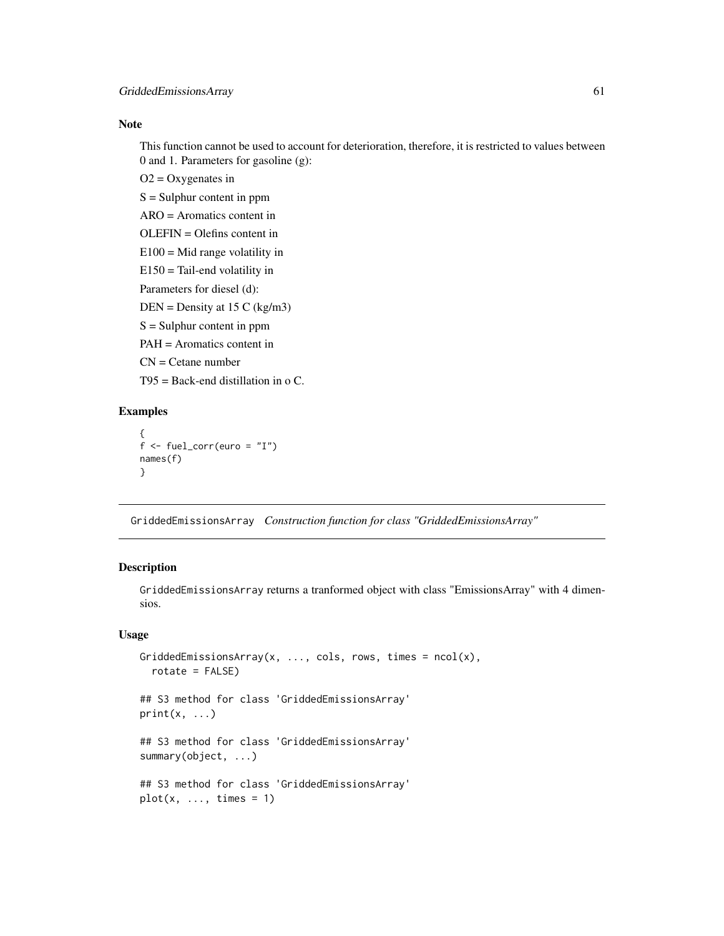### Note

This function cannot be used to account for deterioration, therefore, it is restricted to values between 0 and 1. Parameters for gasoline (g):

 $O2 = Oxy$  genates in

 $S =$  Sulphur content in ppm

ARO = Aromatics content in

OLEFIN = Olefins content in

 $E100 = Mid range volatility in$ 

 $E150$  = Tail-end volatility in Parameters for diesel (d):

 $DEN = Density at 15 C (kg/m3)$ 

 $S =$  Sulphur content in ppm

PAH = Aromatics content in

 $CN =$ Cetane number

 $T95 =$  Back-end distillation in o C.

### Examples

```
{
f \leftarrow \text{fuel\_corr}(\text{euro} = "I")names(f)
}
```
GriddedEmissionsArray *Construction function for class "GriddedEmissionsArray"*

#### Description

GriddedEmissionsArray returns a tranformed object with class "EmissionsArray" with 4 dimensios.

## Usage

```
GriddedEmissionsArray(x, ..., cols, rows, times = ncol(x),
  rotate = FALSE)## S3 method for class 'GriddedEmissionsArray'
print(x, \ldots)## S3 method for class 'GriddedEmissionsArray'
summary(object, ...)
## S3 method for class 'GriddedEmissionsArray'
plot(x, ..., times = 1)
```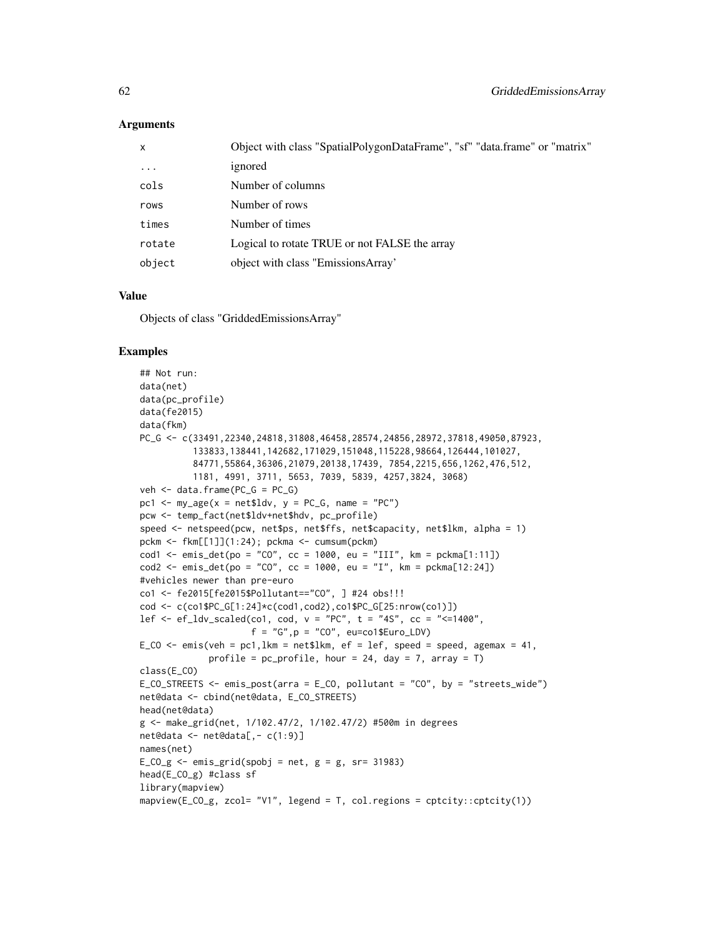### Arguments

| x         | Object with class "SpatialPolygonDataFrame", "sf" "data.frame" or "matrix" |
|-----------|----------------------------------------------------------------------------|
| $\ddotsc$ | ignored                                                                    |
| cols      | Number of columns                                                          |
| rows      | Number of rows                                                             |
| times     | Number of times                                                            |
| rotate    | Logical to rotate TRUE or not FALSE the array                              |
| object    | object with class "EmissionsArray"                                         |

#### Value

Objects of class "GriddedEmissionsArray"

```
## Not run:
data(net)
data(pc_profile)
data(fe2015)
data(fkm)
PC_G <- c(33491,22340,24818,31808,46458,28574,24856,28972,37818,49050,87923,
          133833,138441,142682,171029,151048,115228,98664,126444,101027,
          84771,55864,36306,21079,20138,17439, 7854,2215,656,1262,476,512,
          1181, 4991, 3711, 5653, 7039, 5839, 4257,3824, 3068)
veh \leq data.frame(PC_G = PC_G)
pc1 <- my\_\text{age}(x = net$1dv, y = PC_G, name = "PC")pcw <- temp_fact(net$ldv+net$hdv, pc_profile)
speed <- netspeed(pcw, net$ps, net$ffs, net$capacity, net$lkm, alpha = 1)
pckm <- fkm[[1]](1:24); pckma <- cumsum(pckm)
cod1 \le - emis_det(po = "CO", cc = 1000, eu = "III", km = pckma[1:11])
cod2 \le - \text{emis\_det}(po = "CO", cc = 1000, eu = "I", km = pckma[12:24])#vehicles newer than pre-euro
co1 <- fe2015[fe2015$Pollutant=="CO", ] #24 obs!!!
cod <- c(co1$PC_G[1:24]*c(cod1,cod2),co1$PC_G[25:nrow(co1)])
lef <- ef_ldv_scaled(co1, cod, v = "PC", t = "4S", cc = "<=1400",
                     f = "G", p = "CO", eu=co1$Euro_LDV)E_CO \leq emis(veh = pc1, lkm = net$lkm, ef = lef, speed = speed, agemax = 41,
             profile = pc\_profile, hour = 24, day = 7, array = T)
class(E_CO)
E_CO_STREETS <- emis_post(arra = E_CO, pollutant = "CO", by = "streets_wide")
net@data <- cbind(net@data, E_CO_STREETS)
head(net@data)
g <- make_grid(net, 1/102.47/2, 1/102.47/2) #500m in degrees
net@data <- net@data[,- c(1:9)]
names(net)
E_{C}O_{g} <- emis_grid(spobj = net, g = g, sr= 31983)
head(E_CO_g) #class sf
library(mapview)
mapview(E_CO_g, zcol= "V1", legend = T, col.regions = cptcity::cptcity(1))
```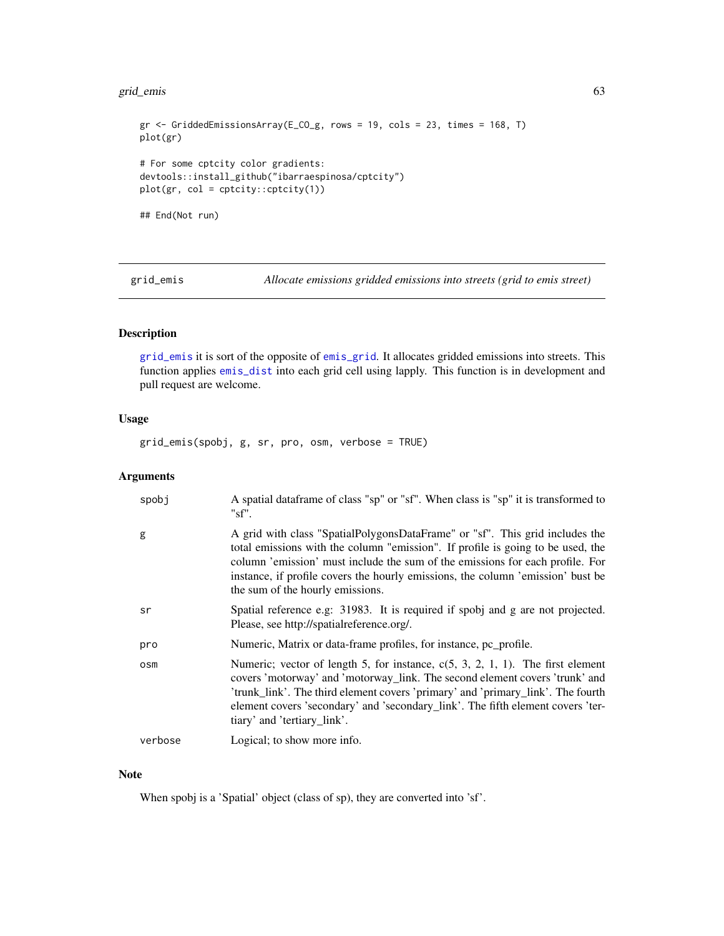#### grid\_emis 63

```
gr <- GriddedEmissionsArray(E_CO_g, rows = 19, cols = 23, times = 168, T)
plot(gr)
# For some cptcity color gradients:
devtools::install_github("ibarraespinosa/cptcity")
plot(gr, col = cptcity::cptcity(1))
## End(Not run)
```
<span id="page-62-0"></span>grid\_emis *Allocate emissions gridded emissions into streets (grid to emis street)*

## Description

[grid\\_emis](#page-62-0) it is sort of the opposite of [emis\\_grid](#page-47-0). It allocates gridded emissions into streets. This function applies [emis\\_dist](#page-42-0) into each grid cell using lapply. This function is in development and pull request are welcome.

#### Usage

grid\_emis(spobj, g, sr, pro, osm, verbose = TRUE)

#### Arguments

| spobj   | A spatial data frame of class "sp" or "sf". When class is "sp" it is transformed to<br>"sf'.                                                                                                                                                                                                                                                                            |
|---------|-------------------------------------------------------------------------------------------------------------------------------------------------------------------------------------------------------------------------------------------------------------------------------------------------------------------------------------------------------------------------|
| g       | A grid with class "SpatialPolygonsDataFrame" or "sf". This grid includes the<br>total emissions with the column "emission". If profile is going to be used, the<br>column 'emission' must include the sum of the emissions for each profile. For<br>instance, if profile covers the hourly emissions, the column 'emission' bust be<br>the sum of the hourly emissions. |
| sr      | Spatial reference e.g. 31983. It is required if spobj and g are not projected.<br>Please, see http://spatialreference.org/.                                                                                                                                                                                                                                             |
| pro     | Numeric, Matrix or data-frame profiles, for instance, pc_profile.                                                                                                                                                                                                                                                                                                       |
| osm     | Numeric; vector of length 5, for instance, $c(5, 3, 2, 1, 1)$ . The first element<br>covers 'motorway' and 'motorway_link. The second element covers 'trunk' and<br>'trunk_link'. The third element covers 'primary' and 'primary_link'. The fourth<br>element covers 'secondary' and 'secondary_link'. The fifth element covers 'ter-<br>tiary' and 'tertiary_link'.   |
| verbose | Logical; to show more info.                                                                                                                                                                                                                                                                                                                                             |
|         |                                                                                                                                                                                                                                                                                                                                                                         |

### Note

When spobj is a 'Spatial' object (class of sp), they are converted into 'sf'.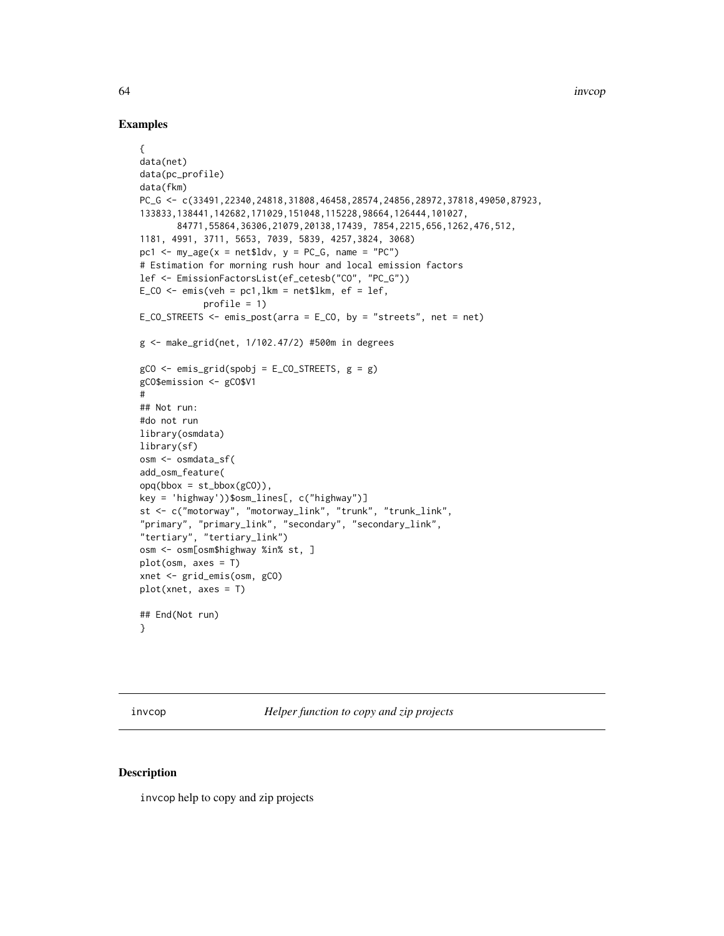### Examples

```
{
data(net)
data(pc_profile)
data(fkm)
PC_G <- c(33491,22340,24818,31808,46458,28574,24856,28972,37818,49050,87923,
133833,138441,142682,171029,151048,115228,98664,126444,101027,
       84771,55864,36306,21079,20138,17439, 7854,2215,656,1262,476,512,
1181, 4991, 3711, 5653, 7039, 5839, 4257,3824, 3068)
pc1 \leq my_age(x = net$ldv, y = PC_G, name = "PC")
# Estimation for morning rush hour and local emission factors
lef <- EmissionFactorsList(ef_cetesb("CO", "PC_G"))
E_{C}CO <- emis(veh = pc1, lkm = net$lkm, ef = lef,
            profile = 1)
E_CO_STREETS \le- emis_post(arra = E_CO, by = "streets", net = net)
g <- make_grid(net, 1/102.47/2) #500m in degrees
gCO \le - emis_grid(spobj = E_CO_STREETS, g = g)
gCO$emission <- gCO$V1
#
## Not run:
#do not run
library(osmdata)
library(sf)
osm <- osmdata_sf(
add_osm_feature(
opq(bbox = st_bbox(gCO)),
key = 'highway'))$osm_lines[, c("highway")]
st <- c("motorway", "motorway_link", "trunk", "trunk_link",
"primary", "primary_link", "secondary", "secondary_link",
"tertiary", "tertiary_link")
osm <- osm[osm$highway %in% st, ]
plot(osm, axes = T)
xnet <- grid_emis(osm, gCO)
plot(xnet, axes = T)
## End(Not run)
}
```
invcop *Helper function to copy and zip projects*

### Description

invcop help to copy and zip projects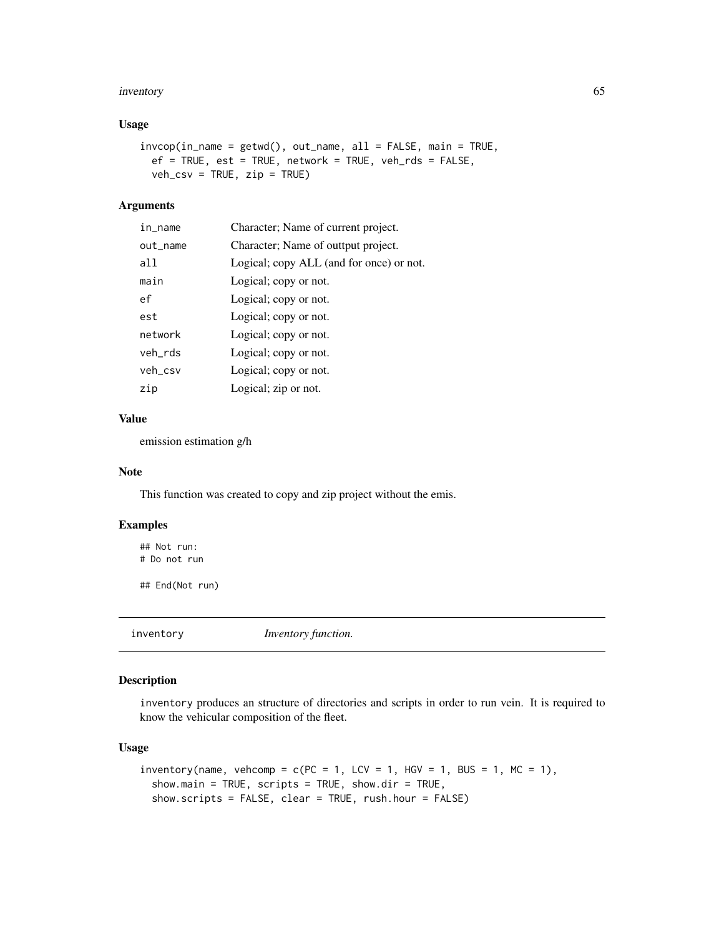#### inventory 65

### Usage

```
invcop(in\_name = getwd(), out\_name, all = FALSE, main = TRUE,ef = TRUE, est = TRUE, network = TRUE, veh_rds = FALSE,
 veh_csv = TRUE, zip = TRUE)
```
### Arguments

| in_name  | Character; Name of current project.      |
|----------|------------------------------------------|
| out_name | Character; Name of outtput project.      |
| a11      | Logical; copy ALL (and for once) or not. |
| main     | Logical; copy or not.                    |
| ef       | Logical; copy or not.                    |
| est      | Logical; copy or not.                    |
| network  | Logical; copy or not.                    |
| veh_rds  | Logical; copy or not.                    |
| veh_csv  | Logical; copy or not.                    |
| zip      | Logical; zip or not.                     |

### Value

emission estimation g/h

### Note

This function was created to copy and zip project without the emis.

## Examples

## Not run: # Do not run

## End(Not run)

inventory *Inventory function.*

### Description

inventory produces an structure of directories and scripts in order to run vein. It is required to know the vehicular composition of the fleet.

## Usage

```
inventory(name, vehcomp = c(PC = 1, LCV = 1, HGV = 1, BUS = 1, MC = 1),
  show.main = TRUE, scripts = TRUE, show.dir = TRUE,
  show.scripts = FALSE, clear = TRUE, rush.hour = FALSE)
```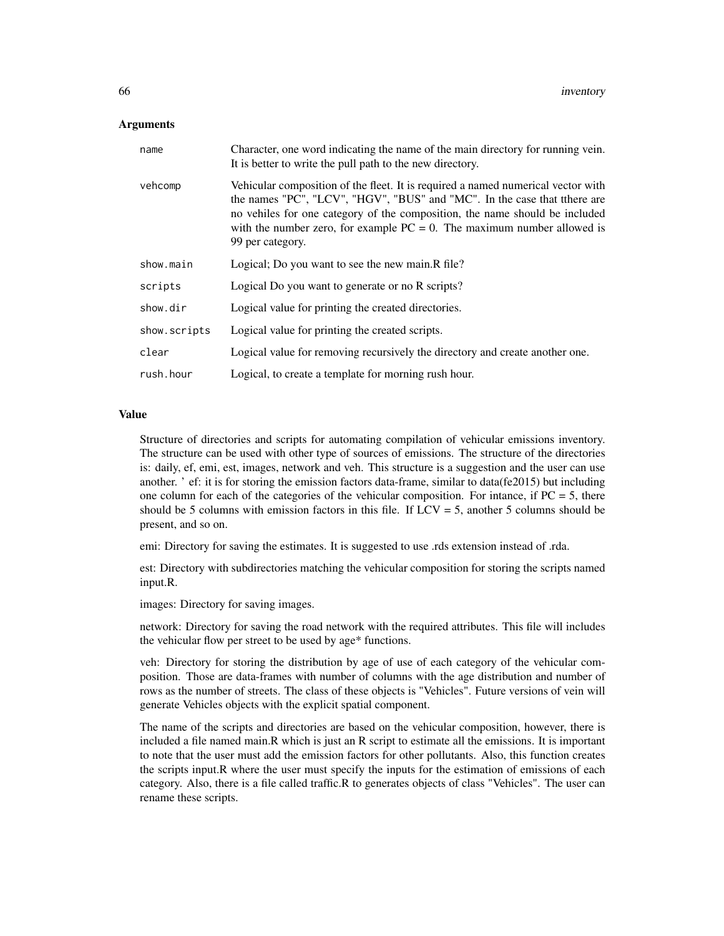#### Arguments

| name         | Character, one word indicating the name of the main directory for running vein.<br>It is better to write the pull path to the new directory.                                                                                                                                                                                                   |
|--------------|------------------------------------------------------------------------------------------------------------------------------------------------------------------------------------------------------------------------------------------------------------------------------------------------------------------------------------------------|
| vehcomp      | Vehicular composition of the fleet. It is required a named numerical vector with<br>the names "PC", "LCV", "HGV", "BUS" and "MC". In the case that tthere are<br>no vehiles for one category of the composition, the name should be included<br>with the number zero, for example $PC = 0$ . The maximum number allowed is<br>99 per category. |
| show.main    | Logical; Do you want to see the new main.R file?                                                                                                                                                                                                                                                                                               |
| scripts      | Logical Do you want to generate or no R scripts?                                                                                                                                                                                                                                                                                               |
| show.dir     | Logical value for printing the created directories.                                                                                                                                                                                                                                                                                            |
| show.scripts | Logical value for printing the created scripts.                                                                                                                                                                                                                                                                                                |
| clear        | Logical value for removing recursively the directory and create another one.                                                                                                                                                                                                                                                                   |
| rush.hour    | Logical, to create a template for morning rush hour.                                                                                                                                                                                                                                                                                           |

### Value

Structure of directories and scripts for automating compilation of vehicular emissions inventory. The structure can be used with other type of sources of emissions. The structure of the directories is: daily, ef, emi, est, images, network and veh. This structure is a suggestion and the user can use another. ' ef: it is for storing the emission factors data-frame, similar to data(fe2015) but including one column for each of the categories of the vehicular composition. For intance, if  $PC = 5$ , there should be 5 columns with emission factors in this file. If  $LCV = 5$ , another 5 columns should be present, and so on.

emi: Directory for saving the estimates. It is suggested to use .rds extension instead of .rda.

est: Directory with subdirectories matching the vehicular composition for storing the scripts named input.R.

images: Directory for saving images.

network: Directory for saving the road network with the required attributes. This file will includes the vehicular flow per street to be used by age\* functions.

veh: Directory for storing the distribution by age of use of each category of the vehicular composition. Those are data-frames with number of columns with the age distribution and number of rows as the number of streets. The class of these objects is "Vehicles". Future versions of vein will generate Vehicles objects with the explicit spatial component.

The name of the scripts and directories are based on the vehicular composition, however, there is included a file named main.R which is just an R script to estimate all the emissions. It is important to note that the user must add the emission factors for other pollutants. Also, this function creates the scripts input.R where the user must specify the inputs for the estimation of emissions of each category. Also, there is a file called traffic.R to generates objects of class "Vehicles". The user can rename these scripts.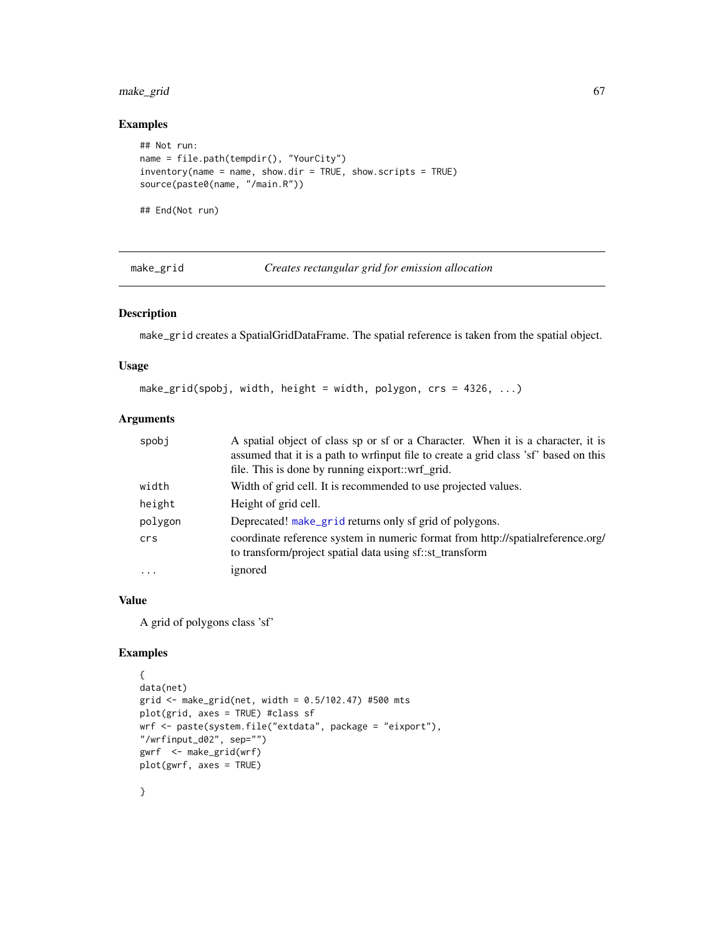## make\_grid 67

# Examples

```
## Not run:
name = file.path(tempdir(), "YourCity")
inventory(name = name, show.dir = TRUE, show.scripts = TRUE)
source(paste0(name, "/main.R"))
```
## End(Not run)

<span id="page-66-0"></span>make\_grid *Creates rectangular grid for emission allocation*

## Description

make\_grid creates a SpatialGridDataFrame. The spatial reference is taken from the spatial object.

## Usage

make\_grid(spobj, width, height = width, polygon,  $crs = 4326, ...$ )

# Arguments

| spobj   | A spatial object of class sp or sf or a Character. When it is a character, it is<br>assumed that it is a path to wrfinput file to create a grid class 'sf' based on this<br>file. This is done by running eixport::wrf_grid. |
|---------|------------------------------------------------------------------------------------------------------------------------------------------------------------------------------------------------------------------------------|
| width   | Width of grid cell. It is recommended to use projected values.                                                                                                                                                               |
| height  | Height of grid cell.                                                                                                                                                                                                         |
| polygon | Deprecated! make_grid returns only sf grid of polygons.                                                                                                                                                                      |
| crs     | coordinate reference system in numeric format from http://spatialreference.org/<br>to transform/project spatial data using sf::st_transform                                                                                  |
| $\cdot$ | ignored                                                                                                                                                                                                                      |

## Value

A grid of polygons class 'sf'

```
{
data(net)
grid <- make_grid(net, width = 0.5/102.47) #500 mts
plot(grid, axes = TRUE) #class sf
wrf <- paste(system.file("extdata", package = "eixport"),
"/wrfinput_d02", sep="")
gwrf <- make_grid(wrf)
plot(gwrf, axes = TRUE)
```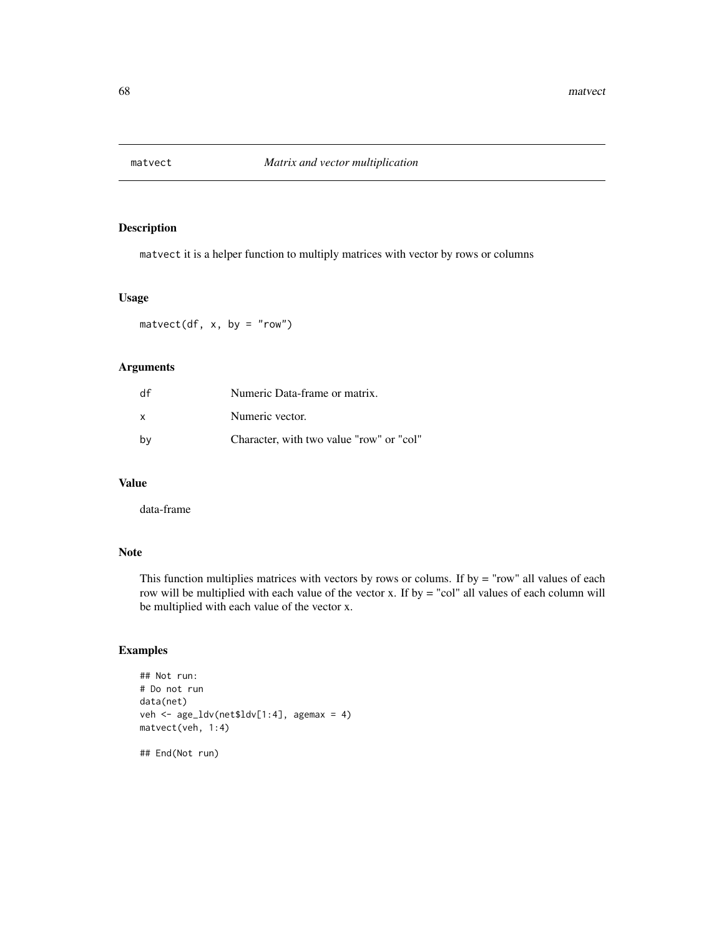## Description

matvect it is a helper function to multiply matrices with vector by rows or columns

## Usage

 $\text{matvect}(df, x, by = "row")$ 

#### Arguments

| df | Numeric Data-frame or matrix.            |
|----|------------------------------------------|
| X  | Numeric vector.                          |
| bv | Character, with two value "row" or "col" |

# Value

data-frame

## Note

This function multiplies matrices with vectors by rows or colums. If by = "row" all values of each row will be multiplied with each value of the vector x. If by = "col" all values of each column will be multiplied with each value of the vector x.

# Examples

```
## Not run:
# Do not run
data(net)
veh <- age_ldv(net$ldv[1:4], agemax = 4)
matvect(veh, 1:4)
```
## End(Not run)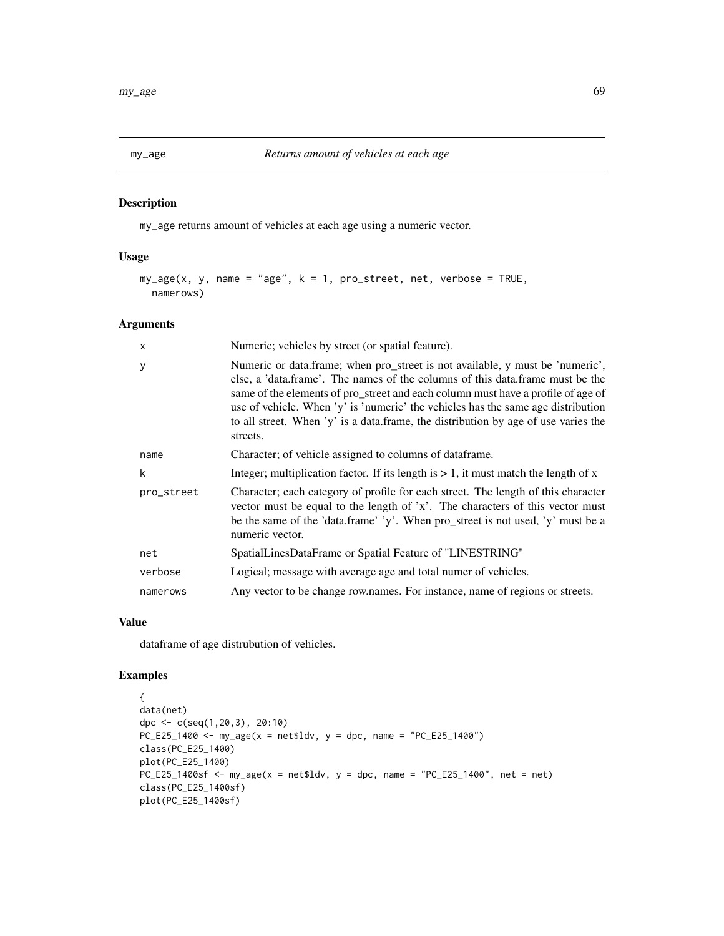## Description

my\_age returns amount of vehicles at each age using a numeric vector.

## Usage

```
my\_\{age}(x, y, name = "age", k = 1, proc\_street, net, verbose = TRUE,namerows)
```
## Arguments

| $\boldsymbol{\mathsf{x}}$ | Numeric; vehicles by street (or spatial feature).                                                                                                                                                                                                                                                                                                                                                                                        |
|---------------------------|------------------------------------------------------------------------------------------------------------------------------------------------------------------------------------------------------------------------------------------------------------------------------------------------------------------------------------------------------------------------------------------------------------------------------------------|
| y                         | Numeric or data.frame; when pro_street is not available, y must be 'numeric',<br>else, a 'data.frame'. The names of the columns of this data.frame must be the<br>same of the elements of pro_street and each column must have a profile of age of<br>use of vehicle. When 'y' is 'numeric' the vehicles has the same age distribution<br>to all street. When 'y' is a data frame, the distribution by age of use varies the<br>streets. |
| name                      | Character; of vehicle assigned to columns of dataframe.                                                                                                                                                                                                                                                                                                                                                                                  |
| k                         | Integer; multiplication factor. If its length is $> 1$ , it must match the length of x                                                                                                                                                                                                                                                                                                                                                   |
| pro_street                | Character; each category of profile for each street. The length of this character<br>vector must be equal to the length of 'x'. The characters of this vector must<br>be the same of the 'data.frame' 'y'. When pro_street is not used, 'y' must be a<br>numeric vector.                                                                                                                                                                 |
| net                       | SpatialLinesDataFrame or Spatial Feature of "LINESTRING"                                                                                                                                                                                                                                                                                                                                                                                 |
| verbose                   | Logical; message with average age and total numer of vehicles.                                                                                                                                                                                                                                                                                                                                                                           |
| namerows                  | Any vector to be change row.names. For instance, name of regions or streets.                                                                                                                                                                                                                                                                                                                                                             |

### Value

dataframe of age distrubution of vehicles.

```
{
data(net)
dpc \leq c(seq(1,20,3), 20:10)
PC_E25_1400 \leq my\_{age}(x = net$1dv, y = dpc, name = "PC_E25_1400")class(PC_E25_1400)
plot(PC_E25_1400)
PC_E25_1400sf <- my\_\text{age}(x = \text{net}1)dv, y = \text{dpc}, name = "PC_E25_1400", net = net)class(PC_E25_1400sf)
plot(PC_E25_1400sf)
```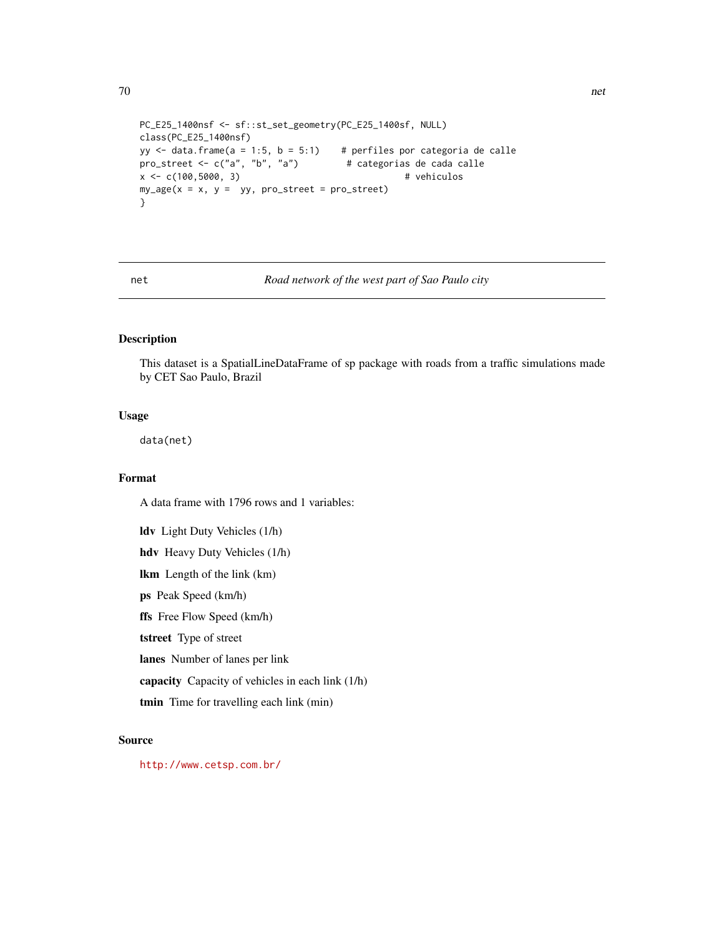```
PC_E25_1400nsf <- sf::st_set_geometry(PC_E25_1400sf, NULL)
class(PC_E25_1400nsf)
yy \le data.frame(a = 1:5, b = 5:1) # perfiles por categoria de calle
pro_street <- c("a", "b", "a") # categorias de cada calle
x <- c(100,5000, 3) # vehiculos
my\_\{age(x = x, y = yy, pro\_\text{street} = pro\_\text{street})}
```
net *Road network of the west part of Sao Paulo city*

# Description

This dataset is a SpatialLineDataFrame of sp package with roads from a traffic simulations made by CET Sao Paulo, Brazil

## Usage

data(net)

### Format

A data frame with 1796 rows and 1 variables: ldv Light Duty Vehicles (1/h) hdv Heavy Duty Vehicles (1/h) lkm Length of the link (km) ps Peak Speed (km/h) ffs Free Flow Speed (km/h) tstreet Type of street lanes Number of lanes per link capacity Capacity of vehicles in each link (1/h) tmin Time for travelling each link (min)

## Source

<http://www.cetsp.com.br/>

70 networks are the contract of the contract of the contract of the contract of the contract of the contract of the contract of the contract of the contract of the contract of the contract of the contract of the contract o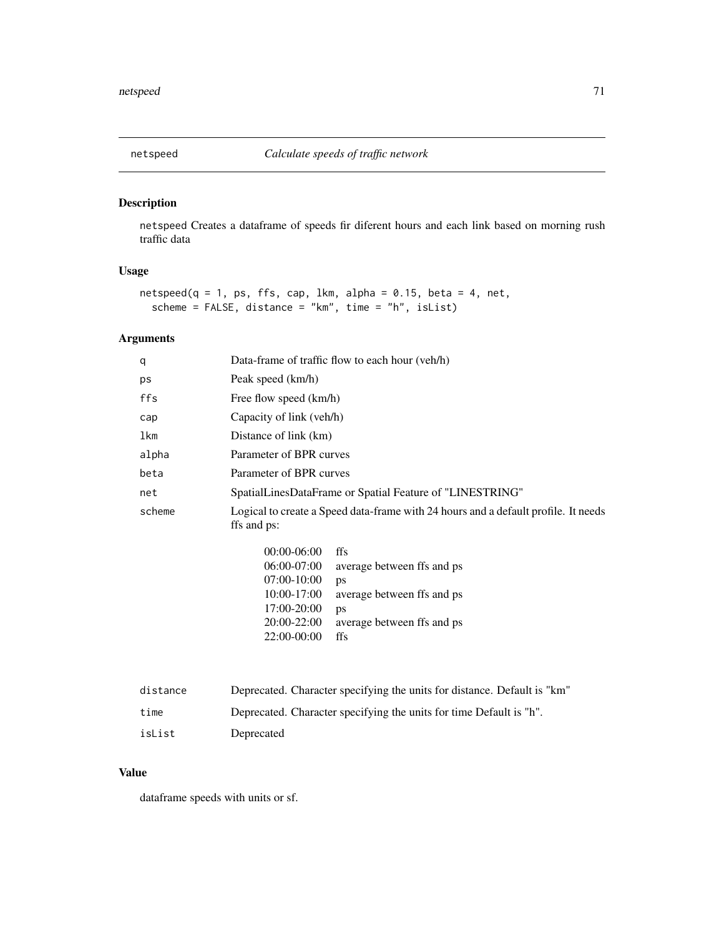## Description

netspeed Creates a dataframe of speeds fir diferent hours and each link based on morning rush traffic data

## Usage

```
netspeed(q = 1, ps, ffs, cap, 1km, alpha = 0.15, beta = 4, net,scheme = FALSE, distance = "km", time = "h", isList)
```
# Arguments

| Data-frame of traffic flow to each hour (veh/h)                                                                                                                                                                                 |  |
|---------------------------------------------------------------------------------------------------------------------------------------------------------------------------------------------------------------------------------|--|
| Peak speed (km/h)                                                                                                                                                                                                               |  |
| Free flow speed (km/h)                                                                                                                                                                                                          |  |
| Capacity of link (veh/h)                                                                                                                                                                                                        |  |
| Distance of link (km)                                                                                                                                                                                                           |  |
| Parameter of BPR curves                                                                                                                                                                                                         |  |
| Parameter of BPR curves                                                                                                                                                                                                         |  |
| SpatialLinesDataFrame or Spatial Feature of "LINESTRING"                                                                                                                                                                        |  |
| Logical to create a Speed data-frame with 24 hours and a default profile. It needs<br>ffs and ps:                                                                                                                               |  |
| $00:00-06:00$<br>ffs<br>$06:00-07:00$<br>average between ffs and ps<br>$07:00-10:00$<br>ps<br>10:00-17:00<br>average between ffs and ps<br>17:00-20:00<br>ps<br>20:00-22:00<br>average between ffs and ps<br>22:00-00:00<br>ffs |  |
|                                                                                                                                                                                                                                 |  |

| distance | Deprecated. Character specifying the units for distance. Default is "km" |
|----------|--------------------------------------------------------------------------|
| time     | Deprecated. Character specifying the units for time Default is "h".      |
| isList   | Deprecated                                                               |

### Value

dataframe speeds with units or sf.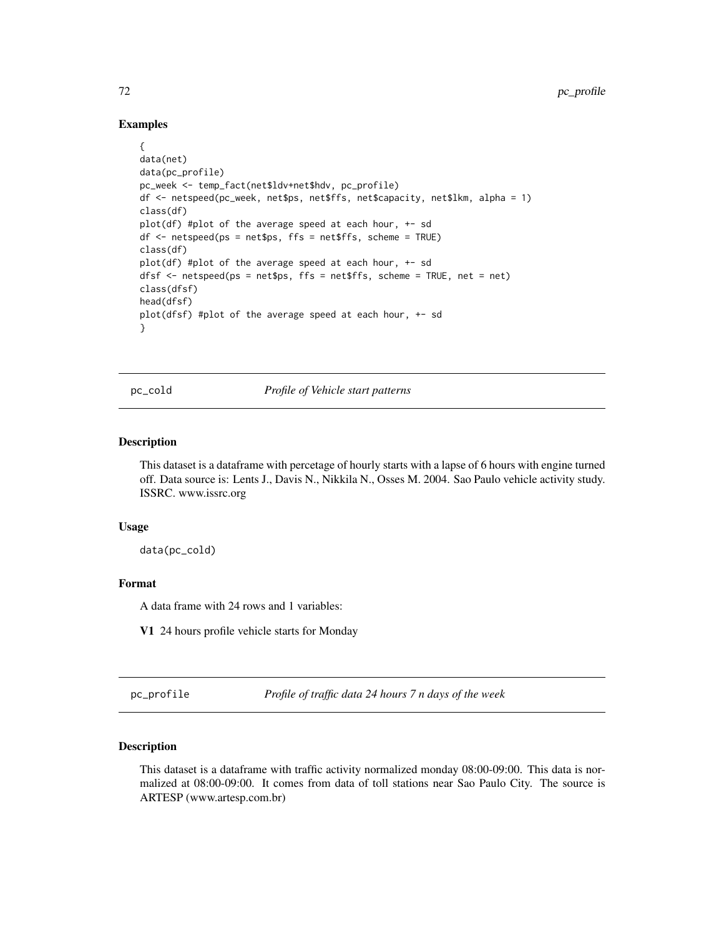### Examples

```
{
data(net)
data(pc_profile)
pc_week <- temp_fact(net$ldv+net$hdv, pc_profile)
df <- netspeed(pc_week, net$ps, net$ffs, net$capacity, net$lkm, alpha = 1)
class(df)
plot(df) #plot of the average speed at each hour, +- sd
df <- netspeed(ps = net$ps, ffs = net$ffs, scheme = TRUE)
class(df)
plot(df) #plot of the average speed at each hour, +- sd
dfsf <- netspeed(ps = net$ps, ffs = net$ffs, scheme = TRUE, net = net)
class(dfsf)
head(dfsf)
plot(dfsf) #plot of the average speed at each hour, +- sd
}
```
pc\_cold *Profile of Vehicle start patterns*

#### Description

This dataset is a dataframe with percetage of hourly starts with a lapse of 6 hours with engine turned off. Data source is: Lents J., Davis N., Nikkila N., Osses M. 2004. Sao Paulo vehicle activity study. ISSRC. www.issrc.org

#### Usage

data(pc\_cold)

### Format

A data frame with 24 rows and 1 variables:

V1 24 hours profile vehicle starts for Monday

pc\_profile *Profile of traffic data 24 hours 7 n days of the week*

### **Description**

This dataset is a dataframe with traffic activity normalized monday 08:00-09:00. This data is normalized at 08:00-09:00. It comes from data of toll stations near Sao Paulo City. The source is ARTESP (www.artesp.com.br)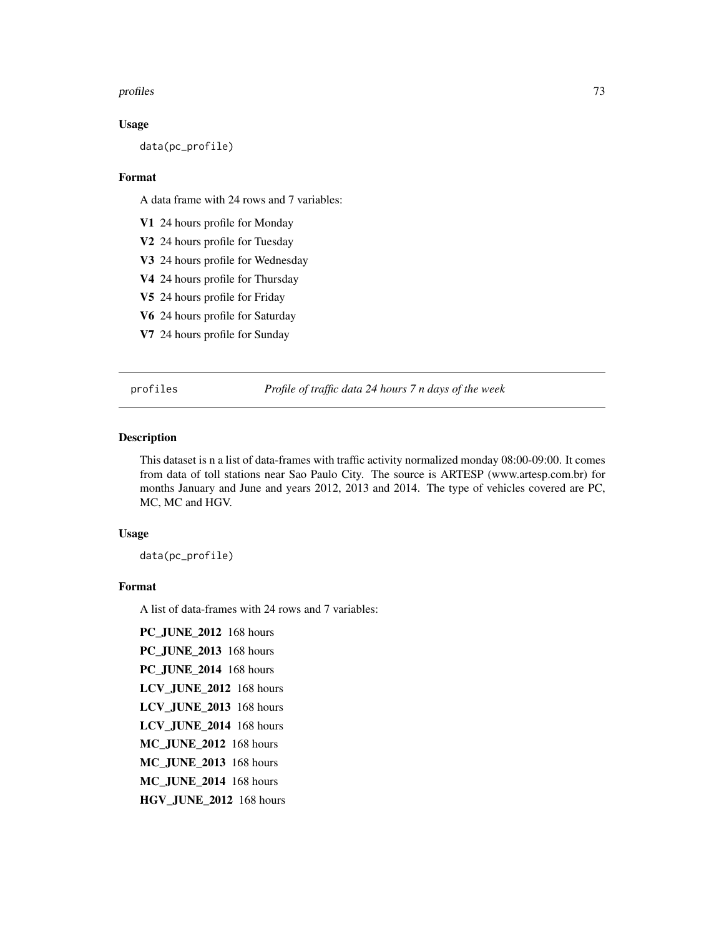#### <span id="page-72-0"></span>profiles 73

#### Usage

data(pc\_profile)

#### Format

A data frame with 24 rows and 7 variables:

V1 24 hours profile for Monday

V2 24 hours profile for Tuesday

V3 24 hours profile for Wednesday

V4 24 hours profile for Thursday

V5 24 hours profile for Friday

V6 24 hours profile for Saturday

V7 24 hours profile for Sunday

profiles *Profile of traffic data 24 hours 7 n days of the week*

# Description

This dataset is n a list of data-frames with traffic activity normalized monday 08:00-09:00. It comes from data of toll stations near Sao Paulo City. The source is ARTESP (www.artesp.com.br) for months January and June and years 2012, 2013 and 2014. The type of vehicles covered are PC, MC, MC and HGV.

# Usage

data(pc\_profile)

## Format

A list of data-frames with 24 rows and 7 variables:

PC\_JUNE\_2012 168 hours PC\_JUNE\_2013 168 hours PC\_JUNE\_2014 168 hours LCV\_JUNE\_2012 168 hours LCV\_JUNE\_2013 168 hours LCV\_JUNE\_2014 168 hours MC\_JUNE\_2012 168 hours MC\_JUNE\_2013 168 hours MC\_JUNE\_2014 168 hours HGV\_JUNE\_2012 168 hours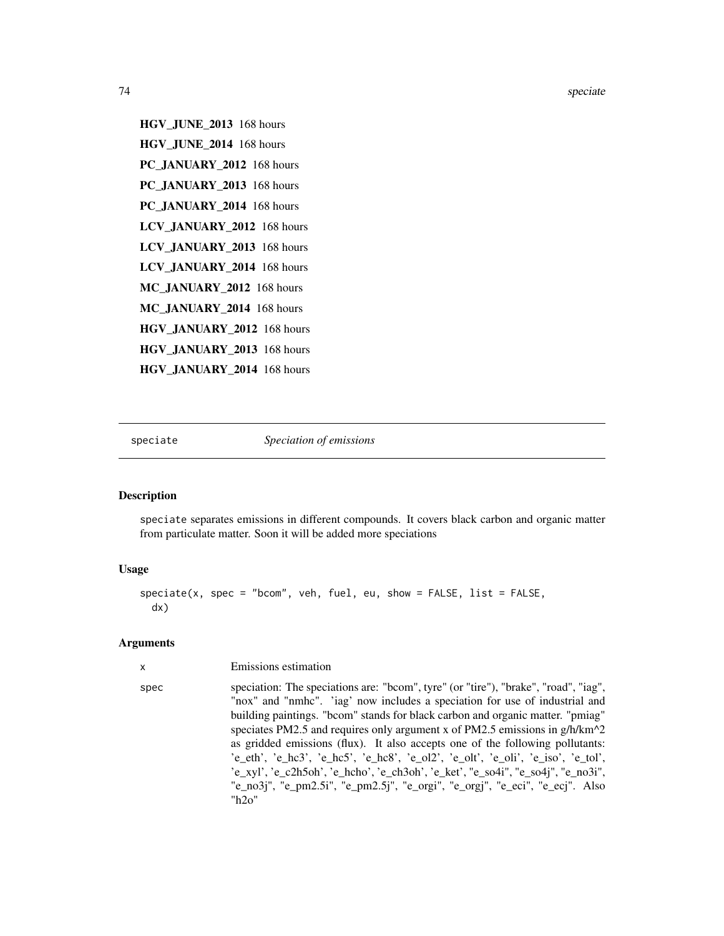74 speciale contract to the contract of the contract of the special speciale speciale speciale speciale speciale

```
HGV_JUNE_2013 168 hours
HGV_JUNE_2014 168 hours
PC_JANUARY_2012 168 hours
PC_JANUARY_2013 168 hours
PC_JANUARY_2014 168 hours
LCV_JANUARY_2012 168 hours
LCV_JANUARY_2013 168 hours
LCV JANUARY 2014 168 hours
MC_JANUARY_2012 168 hours
MC_JANUARY_2014 168 hours
HGV_JANUARY_2012 168 hours
HGV_JANUARY_2013 168 hours
HGV_JANUARY_2014 168 hours
```
speciate *Speciation of emissions*

#### Description

speciate separates emissions in different compounds. It covers black carbon and organic matter from particulate matter. Soon it will be added more speciations

#### Usage

```
speciate(x, spec = "bcom", veh, fuel, eu, show = FALSE, list = FALSE,
 dx)
```
# Arguments

x Emissions estimation

spec speciation: The speciations are: "bcom", tyre" (or "tire"), "brake", "road", "iag", "nox" and "nmhc". 'iag' now includes a speciation for use of industrial and building paintings. "bcom" stands for black carbon and organic matter. "pmiag" speciates PM2.5 and requires only argument x of PM2.5 emissions in  $g/h/km^2$ as gridded emissions (flux). It also accepts one of the following pollutants: 'e\_eth', 'e\_hc3', 'e\_hc5', 'e\_hc8', 'e\_ol2', 'e\_olt', 'e\_oli', 'e\_iso', 'e\_tol', 'e\_xyl', 'e\_c2h5oh', 'e\_hcho', 'e\_ch3oh', 'e\_ket', "e\_so4i", "e\_so4j", "e\_no3i", "e\_no3j", "e\_pm2.5i", "e\_pm2.5j", "e\_orgi", "e\_orgj", "e\_eci", "e\_ecj". Also "h2o"

<span id="page-73-0"></span>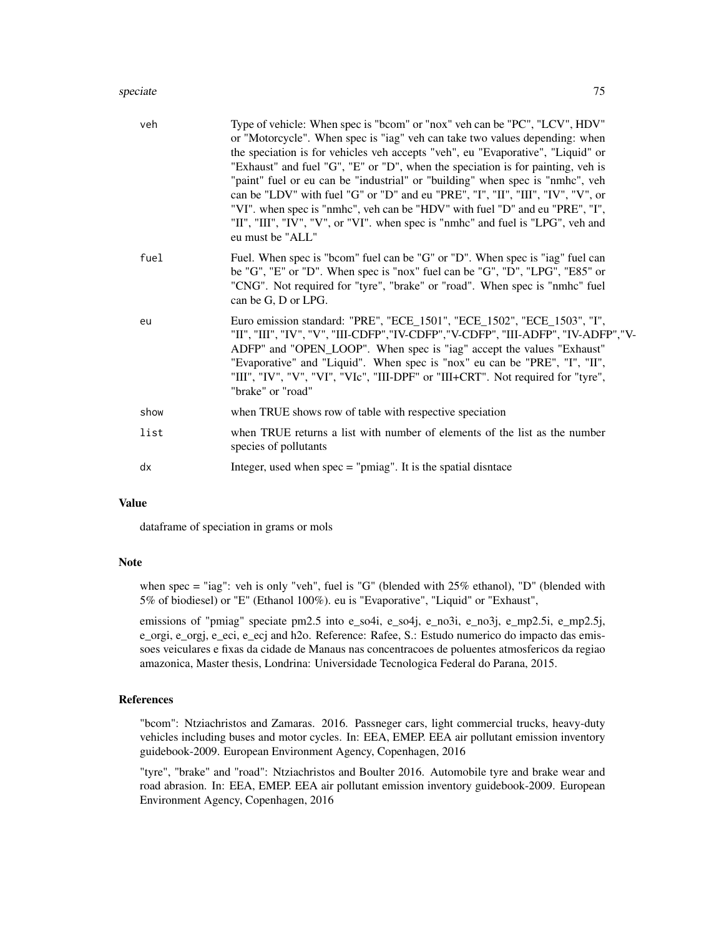#### speciate 75

| veh  | Type of vehicle: When spec is "bcom" or "nox" veh can be "PC", "LCV", HDV"<br>or "Motorcycle". When spec is "iag" veh can take two values depending: when<br>the speciation is for vehicles veh accepts "veh", eu "Evaporative", "Liquid" or<br>"Exhaust" and fuel "G", "E" or "D", when the speciation is for painting, veh is<br>"paint" fuel or eu can be "industrial" or "building" when spec is "nmhc", veh<br>can be "LDV" with fuel "G" or "D" and eu "PRE", "I", "II", "III", "IV", "V", or<br>"VI". when spec is "nmhc", veh can be "HDV" with fuel "D" and eu "PRE", "I",<br>"II", "III", "IV", "V", or "VI". when spec is "nmhc" and fuel is "LPG", veh and<br>eu must be "ALL" |
|------|--------------------------------------------------------------------------------------------------------------------------------------------------------------------------------------------------------------------------------------------------------------------------------------------------------------------------------------------------------------------------------------------------------------------------------------------------------------------------------------------------------------------------------------------------------------------------------------------------------------------------------------------------------------------------------------------|
| fuel | Fuel. When spec is "bcom" fuel can be "G" or "D". When spec is "iag" fuel can<br>be "G", "E" or "D". When spec is "nox" fuel can be "G", "D", "LPG", "E85" or<br>"CNG". Not required for "tyre", "brake" or "road". When spec is "nmhc" fuel<br>can be G, D or LPG.                                                                                                                                                                                                                                                                                                                                                                                                                        |
| eu   | Euro emission standard: "PRE", "ECE_1501", "ECE_1502", "ECE_1503", "I",<br>"II", "III", "IV", "V", "III-CDFP","IV-CDFP","V-CDFP", "III-ADFP", "IV-ADFP","V-<br>ADFP" and "OPEN_LOOP". When spec is "iag" accept the values "Exhaust"<br>"Evaporative" and "Liquid". When spec is "nox" eu can be "PRE", "I", "II",<br>"III", "IV", "V", "VI", "VIc", "III-DPF" or "III+CRT". Not required for "tyre",<br>"brake" or "road"                                                                                                                                                                                                                                                                 |
| show | when TRUE shows row of table with respective speciation                                                                                                                                                                                                                                                                                                                                                                                                                                                                                                                                                                                                                                    |
| list | when TRUE returns a list with number of elements of the list as the number<br>species of pollutants                                                                                                                                                                                                                                                                                                                                                                                                                                                                                                                                                                                        |
| dx   | Integer, used when $spec = "pmiag".$ It is the spatial disntace                                                                                                                                                                                                                                                                                                                                                                                                                                                                                                                                                                                                                            |

#### Value

dataframe of speciation in grams or mols

#### Note

when spec = "iag": veh is only "veh", fuel is "G" (blended with 25% ethanol), "D" (blended with 5% of biodiesel) or "E" (Ethanol 100%). eu is "Evaporative", "Liquid" or "Exhaust",

emissions of "pmiag" speciate pm2.5 into e\_so4i, e\_so4j, e\_no3i, e\_no3j, e\_mp2.5i, e\_mp2.5j, e\_orgi, e\_orgj, e\_eci, e\_ecj and h2o. Reference: Rafee, S.: Estudo numerico do impacto das emissoes veiculares e fixas da cidade de Manaus nas concentracoes de poluentes atmosfericos da regiao amazonica, Master thesis, Londrina: Universidade Tecnologica Federal do Parana, 2015.

#### References

"bcom": Ntziachristos and Zamaras. 2016. Passneger cars, light commercial trucks, heavy-duty vehicles including buses and motor cycles. In: EEA, EMEP. EEA air pollutant emission inventory guidebook-2009. European Environment Agency, Copenhagen, 2016

"tyre", "brake" and "road": Ntziachristos and Boulter 2016. Automobile tyre and brake wear and road abrasion. In: EEA, EMEP. EEA air pollutant emission inventory guidebook-2009. European Environment Agency, Copenhagen, 2016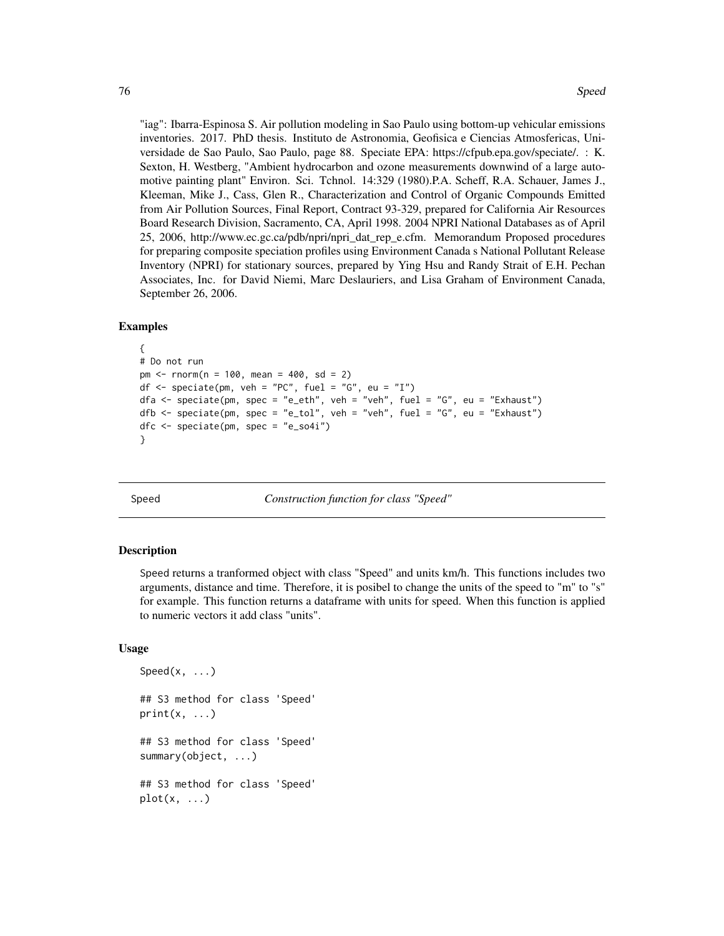<span id="page-75-0"></span>"iag": Ibarra-Espinosa S. Air pollution modeling in Sao Paulo using bottom-up vehicular emissions inventories. 2017. PhD thesis. Instituto de Astronomia, Geofisica e Ciencias Atmosfericas, Universidade de Sao Paulo, Sao Paulo, page 88. Speciate EPA: https://cfpub.epa.gov/speciate/. : K. Sexton, H. Westberg, "Ambient hydrocarbon and ozone measurements downwind of a large automotive painting plant" Environ. Sci. Tchnol. 14:329 (1980).P.A. Scheff, R.A. Schauer, James J., Kleeman, Mike J., Cass, Glen R., Characterization and Control of Organic Compounds Emitted from Air Pollution Sources, Final Report, Contract 93-329, prepared for California Air Resources Board Research Division, Sacramento, CA, April 1998. 2004 NPRI National Databases as of April 25, 2006, http://www.ec.gc.ca/pdb/npri/npri\_dat\_rep\_e.cfm. Memorandum Proposed procedures for preparing composite speciation profiles using Environment Canada s National Pollutant Release Inventory (NPRI) for stationary sources, prepared by Ying Hsu and Randy Strait of E.H. Pechan Associates, Inc. for David Niemi, Marc Deslauriers, and Lisa Graham of Environment Canada, September 26, 2006.

#### Examples

```
{
# Do not run
pm \le - rnorm(n = 100, mean = 400, sd = 2)
df \leq speciate(pm, veh = "PC", fuel = "G", eu = "I")
dfa <- speciate(pm, spec = "e_eth", veh = "veh", fuel = "G", eu = "Exhaust")
dfb <- speciate(pm, spec = "e_tol", veh = "veh", fuel = "G", eu = "Exhaust")
dfc \leq speciate(pm, spec = "e_so4i")
}
```
Speed *Construction function for class "Speed"*

#### Description

Speed returns a tranformed object with class "Speed" and units km/h. This functions includes two arguments, distance and time. Therefore, it is posibel to change the units of the speed to "m" to "s" for example. This function returns a dataframe with units for speed. When this function is applied to numeric vectors it add class "units".

#### Usage

Speed $(x, \ldots)$ ## S3 method for class 'Speed'  $print(x, \ldots)$ ## S3 method for class 'Speed' summary(object, ...) ## S3 method for class 'Speed'  $plot(x, \ldots)$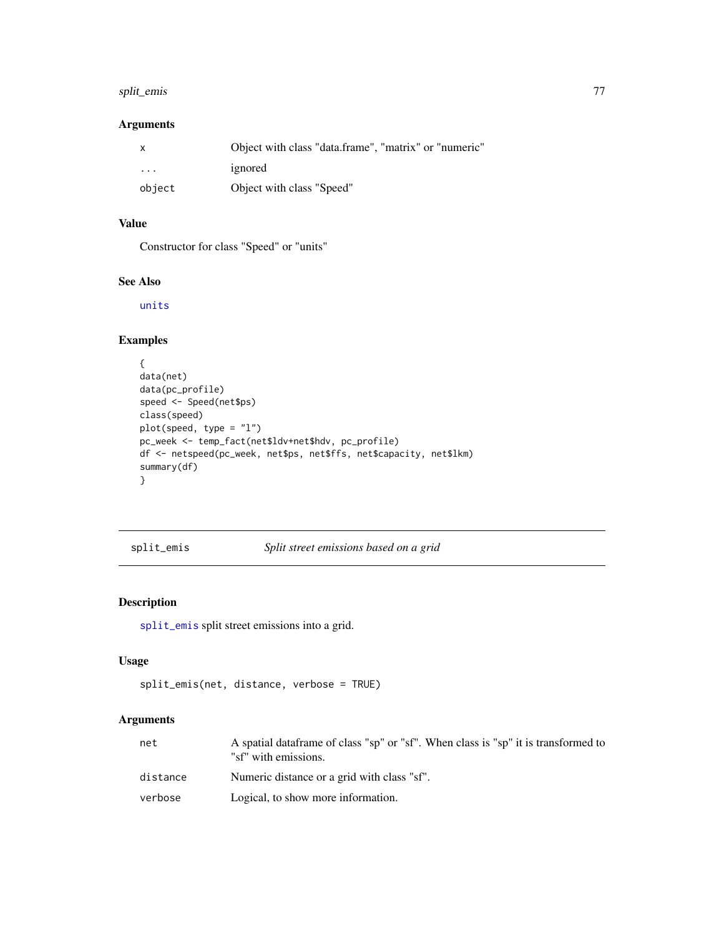# <span id="page-76-1"></span>split\_emis 77

### Arguments

| $\mathsf{X}$            | Object with class "data.frame", "matrix" or "numeric" |
|-------------------------|-------------------------------------------------------|
| $\cdot$ $\cdot$ $\cdot$ | ignored                                               |
| object                  | Object with class "Speed"                             |

# Value

Constructor for class "Speed" or "units"

## See Also

[units](#page-0-0)

# Examples

```
{
data(net)
data(pc_profile)
speed <- Speed(net$ps)
class(speed)
plot(speed, type = "l")
pc_week <- temp_fact(net$ldv+net$hdv, pc_profile)
df <- netspeed(pc_week, net$ps, net$ffs, net$capacity, net$lkm)
summary(df)
}
```
<span id="page-76-0"></span>split\_emis *Split street emissions based on a grid*

# Description

[split\\_emis](#page-76-0) split street emissions into a grid.

#### Usage

```
split_emis(net, distance, verbose = TRUE)
```
## Arguments

| net      | A spatial data frame of class "sp" or "sf". When class is "sp" it is transformed to<br>"sf" with emissions. |
|----------|-------------------------------------------------------------------------------------------------------------|
| distance | Numeric distance or a grid with class "sf".                                                                 |
| verbose  | Logical, to show more information.                                                                          |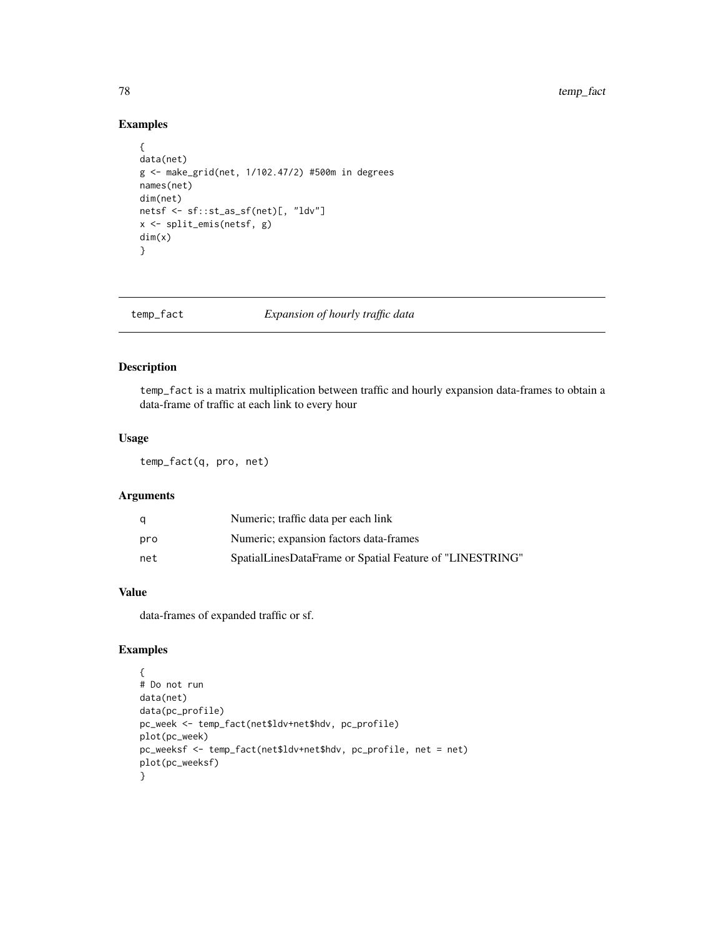# Examples

```
{
data(net)
g <- make_grid(net, 1/102.47/2) #500m in degrees
names(net)
dim(net)
netsf <- sf::st_as_sf(net)[, "ldv"]
x <- split_emis(netsf, g)
dim(x)
}
```
#### temp\_fact *Expansion of hourly traffic data*

# Description

temp\_fact is a matrix multiplication between traffic and hourly expansion data-frames to obtain a data-frame of traffic at each link to every hour

## Usage

temp\_fact(q, pro, net)

## Arguments

| q   | Numeric; traffic data per each link                      |
|-----|----------------------------------------------------------|
| pro | Numeric; expansion factors data-frames                   |
| net | SpatialLinesDataFrame or Spatial Feature of "LINESTRING" |

# Value

data-frames of expanded traffic or sf.

```
{
# Do not run
data(net)
data(pc_profile)
pc_week <- temp_fact(net$ldv+net$hdv, pc_profile)
plot(pc_week)
pc_weeksf <- temp_fact(net$ldv+net$hdv, pc_profile, net = net)
plot(pc_weeksf)
}
```
<span id="page-77-0"></span>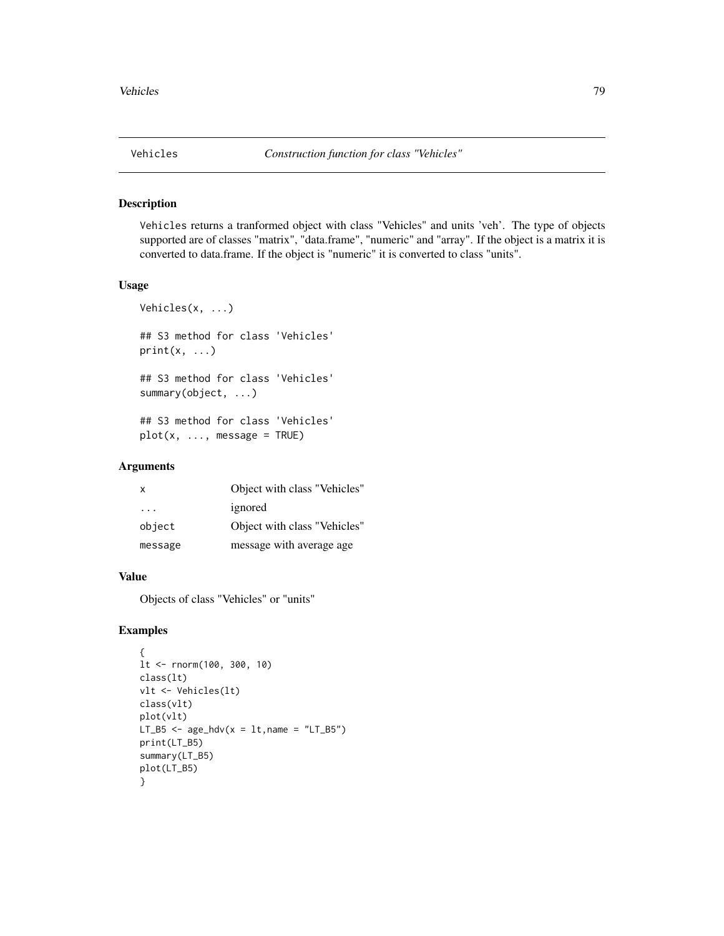<span id="page-78-0"></span>

## Description

Vehicles returns a tranformed object with class "Vehicles" and units 'veh'. The type of objects supported are of classes "matrix", "data.frame", "numeric" and "array". If the object is a matrix it is converted to data.frame. If the object is "numeric" it is converted to class "units".

#### Usage

```
Vehicles(x, ...)
## S3 method for class 'Vehicles'
print(x, \ldots)## S3 method for class 'Vehicles'
summary(object, ...)
## S3 method for class 'Vehicles'
plot(x, ..., message = TRUE)
```
# Arguments

| $\mathsf{x}$ | Object with class "Vehicles" |
|--------------|------------------------------|
| .            | ignored                      |
| object       | Object with class "Vehicles" |
| message      | message with average age.    |

#### Value

Objects of class "Vehicles" or "units"

```
{
lt <- rnorm(100, 300, 10)
class(lt)
vlt <- Vehicles(lt)
class(vlt)
plot(vlt)
LT_B5 \leq age_hdv(x = lt, name = "LT_B5")
print(LT_B5)
summary(LT_B5)
plot(LT_B5)
}
```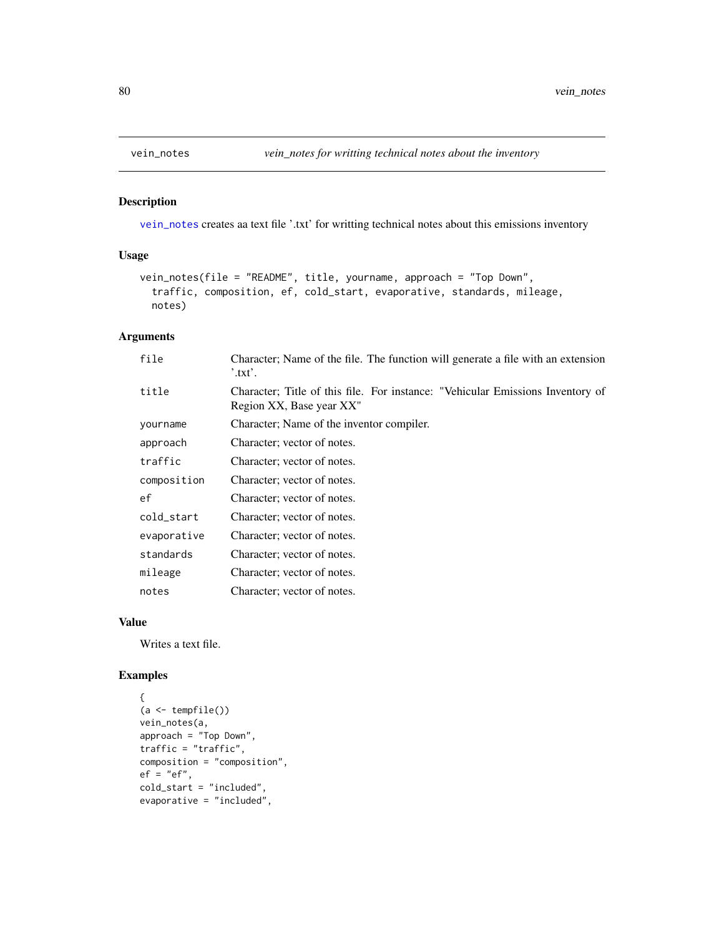<span id="page-79-1"></span><span id="page-79-0"></span>

## Description

[vein\\_notes](#page-79-0) creates aa text file '.txt' for writting technical notes about this emissions inventory

# Usage

```
vein_notes(file = "README", title, yourname, approach = "Top Down",
  traffic, composition, ef, cold_start, evaporative, standards, mileage,
 notes)
```
## Arguments

| file        | Character; Name of the file. The function will generate a file with an extension<br>$^{\prime}$ .txt'.     |
|-------------|------------------------------------------------------------------------------------------------------------|
| title       | Character; Title of this file. For instance: "Vehicular Emissions Inventory of<br>Region XX, Base year XX" |
| yourname    | Character; Name of the inventor compiler.                                                                  |
| approach    | Character; vector of notes.                                                                                |
| traffic     | Character; vector of notes.                                                                                |
| composition | Character; vector of notes.                                                                                |
| ef          | Character; vector of notes.                                                                                |
| cold_start  | Character; vector of notes.                                                                                |
| evaporative | Character; vector of notes.                                                                                |
| standards   | Character; vector of notes.                                                                                |
| mileage     | Character; vector of notes.                                                                                |
| notes       | Character; vector of notes.                                                                                |

#### Value

Writes a text file.

```
{
(a \leftarrow tempfile())vein_notes(a,
approach = "Top Down",
traffic = "traffic",
composition = "composition",
ef = "ef",cold_start = "included",
evaporative = "included",
```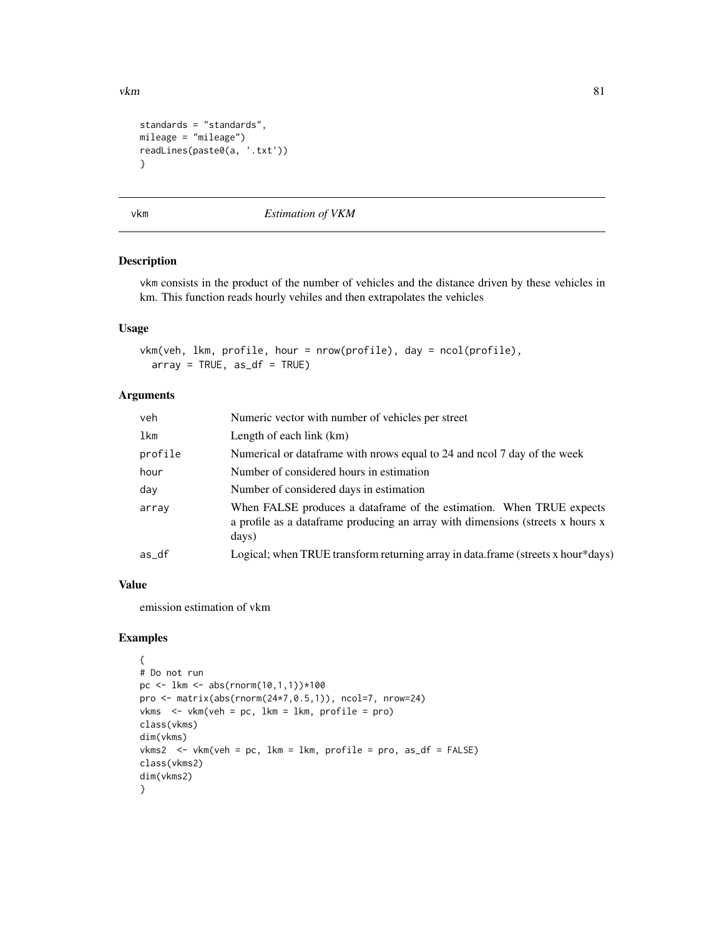```
standards = "standards",
mileage = "mileage")
readLines(paste0(a, '.txt'))
}
```
vkm *Estimation of VKM*

## Description

vkm consists in the product of the number of vehicles and the distance driven by these vehicles in km. This function reads hourly vehiles and then extrapolates the vehicles

#### Usage

vkm(veh, lkm, profile, hour = nrow(profile), day = ncol(profile),  $array = TRUE, as_df = TRUE$ 

#### Arguments

| veh     | Numeric vector with number of vehicles per street                                                                                                               |
|---------|-----------------------------------------------------------------------------------------------------------------------------------------------------------------|
| lkm     | Length of each link $(km)$                                                                                                                                      |
| profile | Numerical or data frame with prows equal to 24 and nool 7 day of the week                                                                                       |
| hour    | Number of considered hours in estimation                                                                                                                        |
| day     | Number of considered days in estimation                                                                                                                         |
| array   | When FALSE produces a dataframe of the estimation. When TRUE expects<br>a profile as a dataframe producing an array with dimensions (streets x hours x<br>days) |
| as_df   | Logical; when TRUE transform returning array in data.frame (streets x hour*days)                                                                                |

# Value

emission estimation of vkm

```
{
# Do not run
pc <- lkm <- abs(rnorm(10,1,1))*100
pro <- matrix(abs(rnorm(24*7,0.5,1)), ncol=7, nrow=24)
vkms \le vkm(veh = pc, lkm = lkm, profile = pro)
class(vkms)
dim(vkms)
vkms2 <- vkm(veh = pc, lkm = lkm, profile = pro, as_df = FALSE)
class(vkms2)
dim(vkms2)
}
```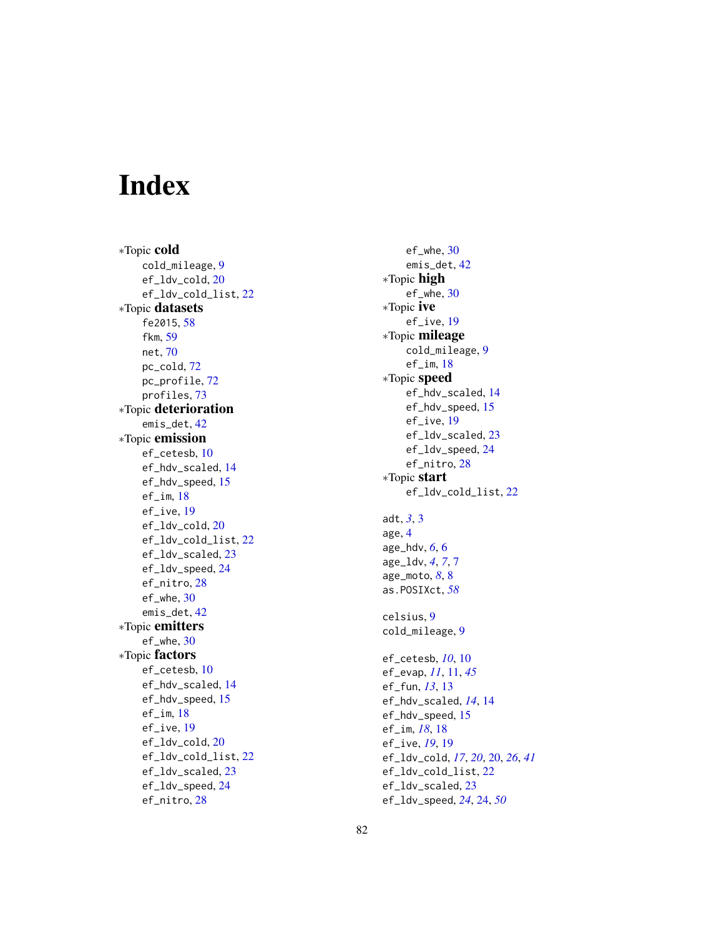# Index

∗Topic cold cold\_mileage , [9](#page-8-0) ef\_ldv\_cold, [20](#page-19-0) ef\_ldv\_cold\_list , [22](#page-21-0) ∗Topic datasets fe2015, [58](#page-57-0) fkm , [59](#page-58-0) net , [70](#page-69-0) pc\_cold , [72](#page-71-0) pc\_profile , [72](#page-71-0) profiles , [73](#page-72-0) ∗Topic deterioration emis\_det , [42](#page-41-0) ∗Topic emission ef\_cetesb , [10](#page-9-0) ef\_hdv\_scaled , [14](#page-13-0) ef\_hdv\_speed, [15](#page-14-0) ef\_im , [18](#page-17-0) ef\_ive , [19](#page-18-0) ef\_ldv\_cold , [20](#page-19-0) ef\_ldv\_cold\_list , [22](#page-21-0) ef\_ldv\_scaled, [23](#page-22-0) ef\_ldv\_speed, [24](#page-23-0) ef\_nitro, [28](#page-27-0) ef\_whe, [30](#page-29-0) emis\_det , [42](#page-41-0) ∗Topic emitters ef\_whe, [30](#page-29-0) ∗Topic factors ef\_cetesb , [10](#page-9-0) ef\_hdv\_scaled , [14](#page-13-0) ef\_hdv\_speed, [15](#page-14-0) ef\_im , [18](#page-17-0) ef\_ive , [19](#page-18-0) ef\_ldv\_cold, [20](#page-19-0) ef\_ldv\_cold\_list , [22](#page-21-0) ef\_ldv\_scaled, [23](#page-22-0) ef\_ldv\_speed, [24](#page-23-0) ef\_nitro , [28](#page-27-0)

ef\_whe , [30](#page-29-0) emis\_det , [42](#page-41-0) ∗Topic high ef\_whe , [30](#page-29-0) ∗Topic ive ef\_ive , [19](#page-18-0) ∗Topic mileage cold\_mileage , [9](#page-8-0) ef\_im, [18](#page-17-0) ∗Topic speed ef\_hdv\_scaled, [14](#page-13-0) ef\_hdv\_speed, [15](#page-14-0) ef\_ive , [19](#page-18-0) ef\_ldv\_scaled, [23](#page-22-0) ef\_ldv\_speed, [24](#page-23-0) ef\_nitro,[28](#page-27-0) ∗Topic start ef\_ldv\_cold\_list , [22](#page-21-0) adt , *[3](#page-2-0)* , [3](#page-2-0) age , [4](#page-3-0) age\_hdv , *[6](#page-5-0)* , [6](#page-5-0) age\_ldv , *[4](#page-3-0)* , *[7](#page-6-0)* , [7](#page-6-0) age\_moto , *[8](#page-7-0)* , [8](#page-7-0) as.POSIXct , *[58](#page-57-0)* celsius , [9](#page-8-0) cold\_mileage , [9](#page-8-0) ef\_cetesb , *[10](#page-9-0)* , [10](#page-9-0) ef\_evap , *[11](#page-10-0)* , [11](#page-10-0) , *[45](#page-44-0)* ef\_fun , *[13](#page-12-0)* , [13](#page-12-0) ef\_hdv\_scaled , *[14](#page-13-0)* , [14](#page-13-0) ef\_hdv\_speed, [15](#page-14-0) ef\_im , *[18](#page-17-0)* , [18](#page-17-0) ef\_ive , *[19](#page-18-0)* , [19](#page-18-0) ef\_ldv\_cold , *[17](#page-16-0)* , *[20](#page-19-0)* , [20](#page-19-0) , *[26](#page-25-0)* , *[41](#page-40-0)* ef\_ldv\_cold\_list , [22](#page-21-0) ef\_ldv\_scaled, [23](#page-22-0) ef\_ldv\_speed , *[24](#page-23-0)* , [24](#page-23-0) , *[50](#page-49-0)*